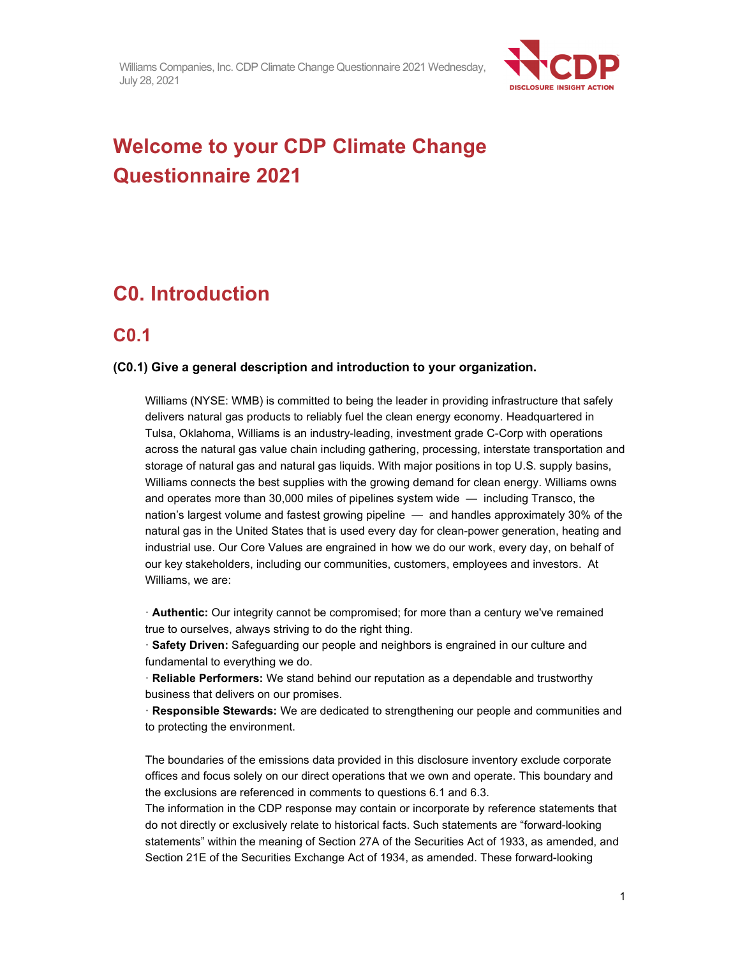

# **Welcome to your CDP Climate Change Questionnaire 2021**

# **C0. Introduction**

### **C0.1**

#### **(C0.1) Give a general description and introduction to your organization.**

Williams (NYSE: WMB) is committed to being the leader in providing infrastructure that safely delivers natural gas products to reliably fuel the clean energy economy. Headquartered in Tulsa, Oklahoma, Williams is an industry-leading, investment grade C-Corp with operations across the natural gas value chain including gathering, processing, interstate transportation and storage of natural gas and natural gas liquids. With major positions in top U.S. supply basins, Williams connects the best supplies with the growing demand for clean energy. Williams owns and operates more than 30,000 miles of pipelines system wide — including Transco, the nation's largest volume and fastest growing pipeline — and handles approximately 30% of the natural gas in the United States that is used every day for clean-power generation, heating and industrial use. Our Core Values are engrained in how we do our work, every day, on behalf of our key stakeholders, including our communities, customers, employees and investors. At Williams, we are:

· **Authentic:** Our integrity cannot be compromised; for more than a century we've remained true to ourselves, always striving to do the right thing.

· **Safety Driven:** Safeguarding our people and neighbors is engrained in our culture and fundamental to everything we do.

· **Reliable Performers:** We stand behind our reputation as a dependable and trustworthy business that delivers on our promises.

· **Responsible Stewards:** We are dedicated to strengthening our people and communities and to protecting the environment.

The boundaries of the emissions data provided in this disclosure inventory exclude corporate offices and focus solely on our direct operations that we own and operate. This boundary and the exclusions are referenced in comments to questions 6.1 and 6.3.

The information in the CDP response may contain or incorporate by reference statements that do not directly or exclusively relate to historical facts. Such statements are "forward-looking statements" within the meaning of Section 27A of the Securities Act of 1933, as amended, and Section 21E of the Securities Exchange Act of 1934, as amended. These forward-looking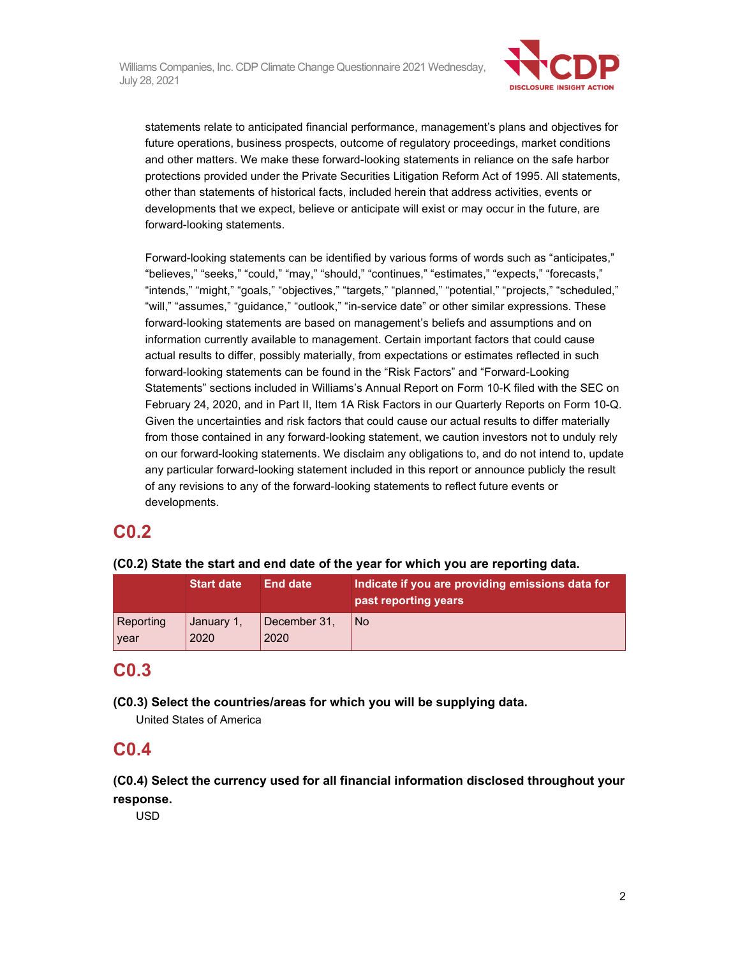

statements relate to anticipated financial performance, management's plans and objectives for future operations, business prospects, outcome of regulatory proceedings, market conditions and other matters. We make these forward-looking statements in reliance on the safe harbor protections provided under the Private Securities Litigation Reform Act of 1995. All statements, other than statements of historical facts, included herein that address activities, events or developments that we expect, believe or anticipate will exist or may occur in the future, are forward-looking statements.

Forward-looking statements can be identified by various forms of words such as "anticipates," "believes," "seeks," "could," "may," "should," "continues," "estimates," "expects," "forecasts," "intends," "might," "goals," "objectives," "targets," "planned," "potential," "projects," "scheduled," "will," "assumes," "guidance," "outlook," "in-service date" or other similar expressions. These forward-looking statements are based on management's beliefs and assumptions and on information currently available to management. Certain important factors that could cause actual results to differ, possibly materially, from expectations or estimates reflected in such forward-looking statements can be found in the "Risk Factors" and "Forward-Looking Statements" sections included in Williams's Annual Report on Form 10-K filed with the SEC on February 24, 2020, and in Part II, Item 1A Risk Factors in our Quarterly Reports on Form 10-Q. Given the uncertainties and risk factors that could cause our actual results to differ materially from those contained in any forward-looking statement, we caution investors not to unduly rely on our forward-looking statements. We disclaim any obligations to, and do not intend to, update any particular forward-looking statement included in this report or announce publicly the result of any revisions to any of the forward-looking statements to reflect future events or developments.

## **C0.2**

**(C0.2) State the start and end date of the year for which you are reporting data.** 

|           | <b>Start date</b> | <b>End date</b> | Indicate if you are providing emissions data for<br>past reporting years |
|-----------|-------------------|-----------------|--------------------------------------------------------------------------|
| Reporting | January 1,        | December 31,    | No.                                                                      |
| year      | 2020              | 2020            |                                                                          |

## **C0.3**

**(C0.3) Select the countries/areas for which you will be supplying data.** 

United States of America

### **C0.4**

**(C0.4) Select the currency used for all financial information disclosed throughout your response.** 

USD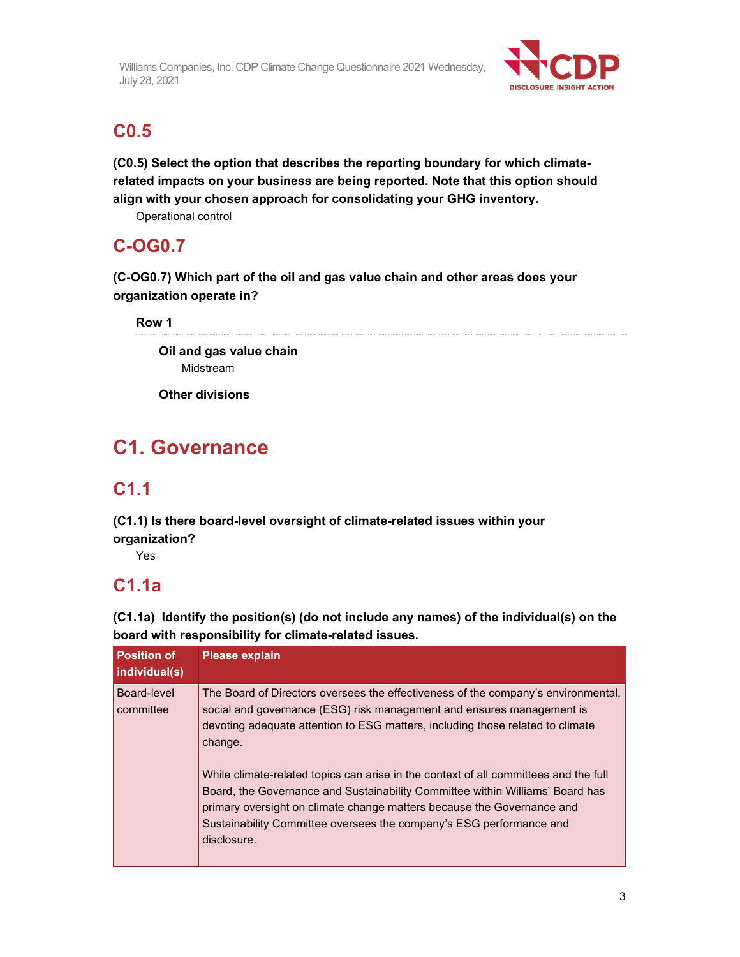

## **C0.5**

**(C0.5) Select the option that describes the reporting boundary for which climaterelated impacts on your business are being reported. Note that this option should align with your chosen approach for consolidating your GHG inventory.** 

Operational control

## **C-OG0.7**

**(C-OG0.7) Which part of the oil and gas value chain and other areas does your organization operate in?** 

**Row 1** 

**Oil and gas value chain**  Midstream

**Other divisions** 

# **C1. Governance**

## **C1.1**

**(C1.1) Is there board-level oversight of climate-related issues within your organization?** 

Yes

# **C1.1a**

**(C1.1a) Identify the position(s) (do not include any names) of the individual(s) on the board with responsibility for climate-related issues.** 

| <b>Position of</b><br>individual(s) | <b>Please explain</b>                                                                                                                                                                                                                                                                                                                                                                                                                                                                                                                                                                            |
|-------------------------------------|--------------------------------------------------------------------------------------------------------------------------------------------------------------------------------------------------------------------------------------------------------------------------------------------------------------------------------------------------------------------------------------------------------------------------------------------------------------------------------------------------------------------------------------------------------------------------------------------------|
| Board-level<br>committee            | The Board of Directors oversees the effectiveness of the company's environmental,<br>social and governance (ESG) risk management and ensures management is<br>devoting adequate attention to ESG matters, including those related to climate<br>change.<br>While climate-related topics can arise in the context of all committees and the full<br>Board, the Governance and Sustainability Committee within Williams' Board has<br>primary oversight on climate change matters because the Governance and<br>Sustainability Committee oversees the company's ESG performance and<br>disclosure. |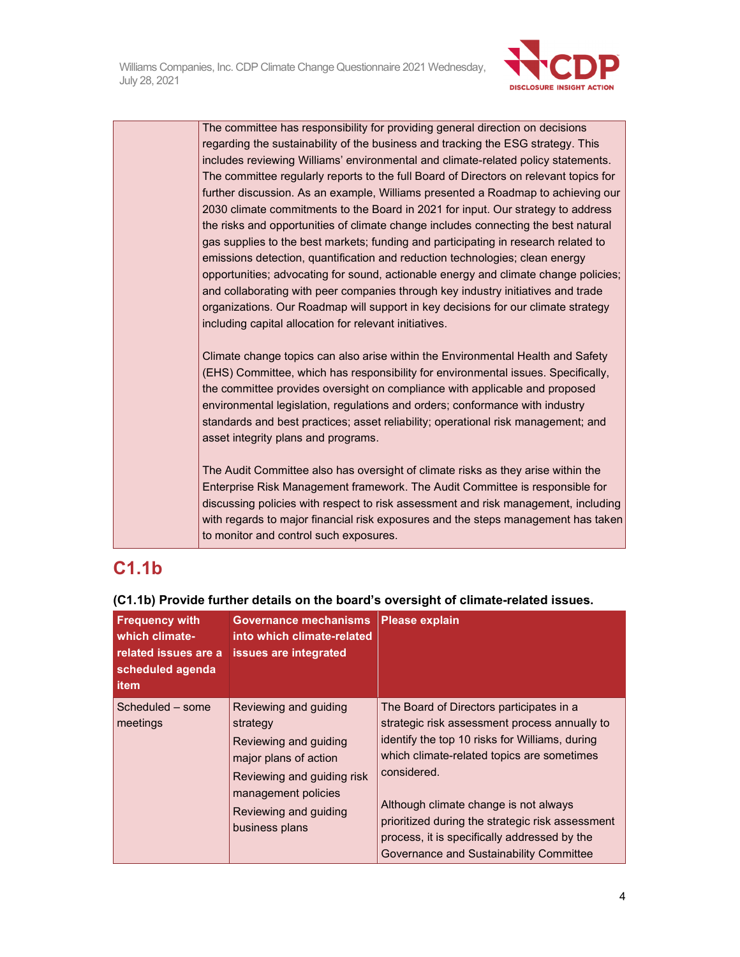

The committee has responsibility for providing general direction on decisions regarding the sustainability of the business and tracking the ESG strategy. This includes reviewing Williams' environmental and climate-related policy statements. The committee regularly reports to the full Board of Directors on relevant topics for further discussion. As an example, Williams presented a Roadmap to achieving our 2030 climate commitments to the Board in 2021 for input. Our strategy to address the risks and opportunities of climate change includes connecting the best natural gas supplies to the best markets; funding and participating in research related to emissions detection, quantification and reduction technologies; clean energy opportunities; advocating for sound, actionable energy and climate change policies; and collaborating with peer companies through key industry initiatives and trade organizations. Our Roadmap will support in key decisions for our climate strategy including capital allocation for relevant initiatives.

Climate change topics can also arise within the Environmental Health and Safety (EHS) Committee, which has responsibility for environmental issues. Specifically, the committee provides oversight on compliance with applicable and proposed environmental legislation, regulations and orders; conformance with industry standards and best practices; asset reliability; operational risk management; and asset integrity plans and programs.

The Audit Committee also has oversight of climate risks as they arise within the Enterprise Risk Management framework. The Audit Committee is responsible for discussing policies with respect to risk assessment and risk management, including with regards to major financial risk exposures and the steps management has taken to monitor and control such exposures.

## **C1.1b**

| <b>Frequency with</b><br>which climate-<br>related issues are a<br>scheduled agenda<br>item | Governance mechanisms Please explain<br>into which climate-related<br>issues are integrated                                                                                         |                                                                                                                                                                                                                                                                                                                                                                                                  |
|---------------------------------------------------------------------------------------------|-------------------------------------------------------------------------------------------------------------------------------------------------------------------------------------|--------------------------------------------------------------------------------------------------------------------------------------------------------------------------------------------------------------------------------------------------------------------------------------------------------------------------------------------------------------------------------------------------|
| Scheduled - some<br>meetings                                                                | Reviewing and guiding<br>strategy<br>Reviewing and guiding<br>major plans of action<br>Reviewing and guiding risk<br>management policies<br>Reviewing and guiding<br>business plans | The Board of Directors participates in a<br>strategic risk assessment process annually to<br>identify the top 10 risks for Williams, during<br>which climate-related topics are sometimes<br>considered.<br>Although climate change is not always<br>prioritized during the strategic risk assessment<br>process, it is specifically addressed by the<br>Governance and Sustainability Committee |

#### **(C1.1b) Provide further details on the board's oversight of climate-related issues.**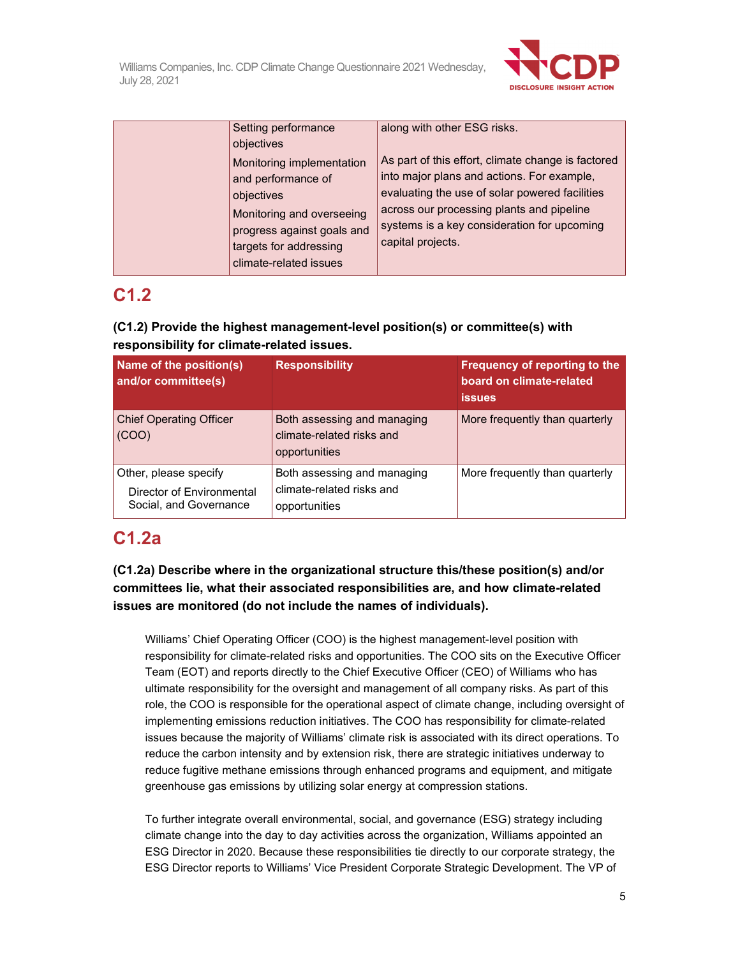

| Setting performance        | along with other ESG risks.                        |
|----------------------------|----------------------------------------------------|
| objectives                 |                                                    |
| Monitoring implementation  | As part of this effort, climate change is factored |
| and performance of         | into major plans and actions. For example,         |
| objectives                 | evaluating the use of solar powered facilities     |
| Monitoring and overseeing  | across our processing plants and pipeline          |
| progress against goals and | systems is a key consideration for upcoming        |
| targets for addressing     | capital projects.                                  |
| climate-related issues     |                                                    |

## **C1.2**

### **(C1.2) Provide the highest management-level position(s) or committee(s) with responsibility for climate-related issues.**

| Name of the position(s)<br>and/or committee(s)                               | <b>Responsibility</b>                                                     | Frequency of reporting to the<br>board on climate-related<br><b>issues</b> |
|------------------------------------------------------------------------------|---------------------------------------------------------------------------|----------------------------------------------------------------------------|
| <b>Chief Operating Officer</b><br>(COO)                                      | Both assessing and managing<br>climate-related risks and<br>opportunities | More frequently than quarterly                                             |
| Other, please specify<br>Director of Environmental<br>Social, and Governance | Both assessing and managing<br>climate-related risks and<br>opportunities | More frequently than quarterly                                             |

## **C1.2a**

### **(C1.2a) Describe where in the organizational structure this/these position(s) and/or committees lie, what their associated responsibilities are, and how climate-related issues are monitored (do not include the names of individuals).**

Williams' Chief Operating Officer (COO) is the highest management-level position with responsibility for climate-related risks and opportunities. The COO sits on the Executive Officer Team (EOT) and reports directly to the Chief Executive Officer (CEO) of Williams who has ultimate responsibility for the oversight and management of all company risks. As part of this role, the COO is responsible for the operational aspect of climate change, including oversight of implementing emissions reduction initiatives. The COO has responsibility for climate-related issues because the majority of Williams' climate risk is associated with its direct operations. To reduce the carbon intensity and by extension risk, there are strategic initiatives underway to reduce fugitive methane emissions through enhanced programs and equipment, and mitigate greenhouse gas emissions by utilizing solar energy at compression stations.

To further integrate overall environmental, social, and governance (ESG) strategy including climate change into the day to day activities across the organization, Williams appointed an ESG Director in 2020. Because these responsibilities tie directly to our corporate strategy, the ESG Director reports to Williams' Vice President Corporate Strategic Development. The VP of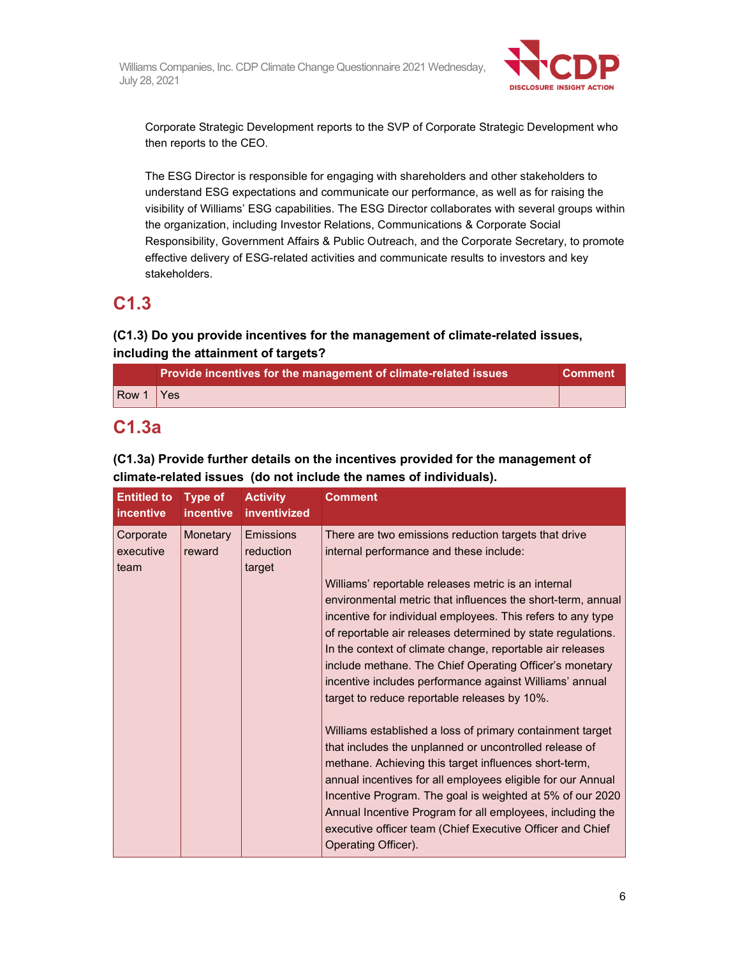

Corporate Strategic Development reports to the SVP of Corporate Strategic Development who then reports to the CEO.

The ESG Director is responsible for engaging with shareholders and other stakeholders to understand ESG expectations and communicate our performance, as well as for raising the visibility of Williams' ESG capabilities. The ESG Director collaborates with several groups within the organization, including Investor Relations, Communications & Corporate Social Responsibility, Government Affairs & Public Outreach, and the Corporate Secretary, to promote effective delivery of ESG-related activities and communicate results to investors and key stakeholders.

## **C1.3**

### **(C1.3) Do you provide incentives for the management of climate-related issues, including the attainment of targets?**

|       | Provide incentives for the management of climate-related issues | <b>Comment</b> |
|-------|-----------------------------------------------------------------|----------------|
| Row 1 | <b>I</b> Yes                                                    |                |

## **C1.3a**

### **(C1.3a) Provide further details on the incentives provided for the management of climate-related issues (do not include the names of individuals).**

| <b>Entitled to</b><br><i>incentive</i> | <b>Type of</b><br><i>incentive</i> | <b>Activity</b><br>inventivized  | <b>Comment</b>                                                                                                                                                                                                                                                                                                                                                                                                                                                                                                                                                                         |
|----------------------------------------|------------------------------------|----------------------------------|----------------------------------------------------------------------------------------------------------------------------------------------------------------------------------------------------------------------------------------------------------------------------------------------------------------------------------------------------------------------------------------------------------------------------------------------------------------------------------------------------------------------------------------------------------------------------------------|
| Corporate<br>executive<br>team         | Monetary<br>reward                 | Emissions<br>reduction<br>target | There are two emissions reduction targets that drive<br>internal performance and these include:<br>Williams' reportable releases metric is an internal<br>environmental metric that influences the short-term, annual<br>incentive for individual employees. This refers to any type<br>of reportable air releases determined by state regulations.<br>In the context of climate change, reportable air releases<br>include methane. The Chief Operating Officer's monetary<br>incentive includes performance against Williams' annual<br>target to reduce reportable releases by 10%. |
|                                        |                                    |                                  | Williams established a loss of primary containment target<br>that includes the unplanned or uncontrolled release of<br>methane. Achieving this target influences short-term,<br>annual incentives for all employees eligible for our Annual<br>Incentive Program. The goal is weighted at 5% of our 2020<br>Annual Incentive Program for all employees, including the<br>executive officer team (Chief Executive Officer and Chief<br>Operating Officer).                                                                                                                              |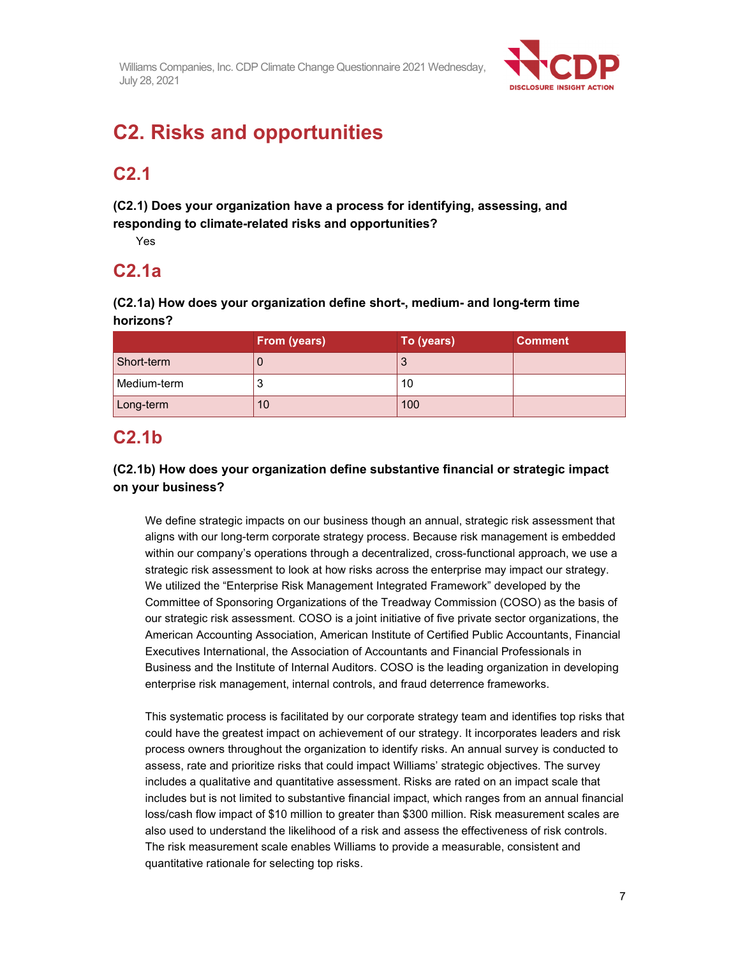

# **C2. Risks and opportunities**

## **C2.1**

**(C2.1) Does your organization have a process for identifying, assessing, and responding to climate-related risks and opportunities?** 

Yes

### **C2.1a**

**(C2.1a) How does your organization define short-, medium- and long-term time horizons?** 

|             | From (years) | To (years) | <b>Comment</b> |
|-------------|--------------|------------|----------------|
| Short-term  |              | J          |                |
| Medium-term | ◠<br>J       | 10         |                |
| Long-term   | 10           | 100        |                |

## **C2.1b**

### **(C2.1b) How does your organization define substantive financial or strategic impact on your business?**

We define strategic impacts on our business though an annual, strategic risk assessment that aligns with our long-term corporate strategy process. Because risk management is embedded within our company's operations through a decentralized, cross-functional approach, we use a strategic risk assessment to look at how risks across the enterprise may impact our strategy. We utilized the "Enterprise Risk Management Integrated Framework" developed by the Committee of Sponsoring Organizations of the Treadway Commission (COSO) as the basis of our strategic risk assessment. COSO is a joint initiative of five private sector organizations, the American Accounting Association, American Institute of Certified Public Accountants, Financial Executives International, the Association of Accountants and Financial Professionals in Business and the Institute of Internal Auditors. COSO is the leading organization in developing enterprise risk management, internal controls, and fraud deterrence frameworks.

This systematic process is facilitated by our corporate strategy team and identifies top risks that could have the greatest impact on achievement of our strategy. It incorporates leaders and risk process owners throughout the organization to identify risks. An annual survey is conducted to assess, rate and prioritize risks that could impact Williams' strategic objectives. The survey includes a qualitative and quantitative assessment. Risks are rated on an impact scale that includes but is not limited to substantive financial impact, which ranges from an annual financial loss/cash flow impact of \$10 million to greater than \$300 million. Risk measurement scales are also used to understand the likelihood of a risk and assess the effectiveness of risk controls. The risk measurement scale enables Williams to provide a measurable, consistent and quantitative rationale for selecting top risks.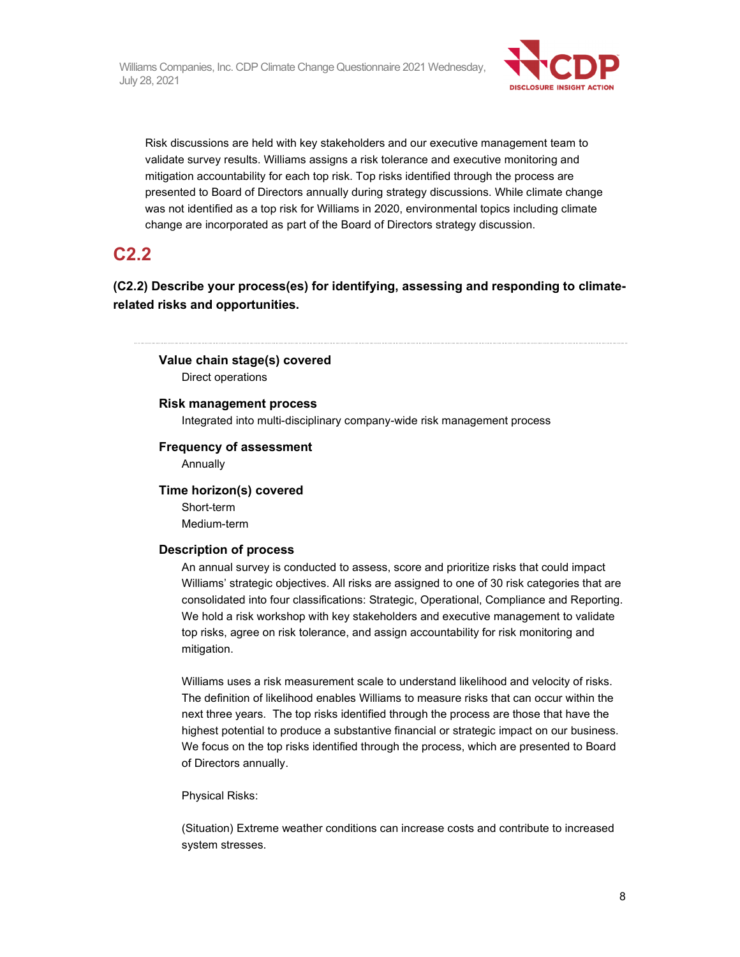

Risk discussions are held with key stakeholders and our executive management team to validate survey results. Williams assigns a risk tolerance and executive monitoring and mitigation accountability for each top risk. Top risks identified through the process are presented to Board of Directors annually during strategy discussions. While climate change was not identified as a top risk for Williams in 2020, environmental topics including climate change are incorporated as part of the Board of Directors strategy discussion.

### **C2.2**

**(C2.2) Describe your process(es) for identifying, assessing and responding to climaterelated risks and opportunities.** 

#### **Value chain stage(s) covered**

Direct operations

#### **Risk management process**

Integrated into multi-disciplinary company-wide risk management process

#### **Frequency of assessment**

Annually

#### **Time horizon(s) covered**

Short-term Medium-term

#### **Description of process**

An annual survey is conducted to assess, score and prioritize risks that could impact Williams' strategic objectives. All risks are assigned to one of 30 risk categories that are consolidated into four classifications: Strategic, Operational, Compliance and Reporting. We hold a risk workshop with key stakeholders and executive management to validate top risks, agree on risk tolerance, and assign accountability for risk monitoring and mitigation.

Williams uses a risk measurement scale to understand likelihood and velocity of risks. The definition of likelihood enables Williams to measure risks that can occur within the next three years. The top risks identified through the process are those that have the highest potential to produce a substantive financial or strategic impact on our business. We focus on the top risks identified through the process, which are presented to Board of Directors annually.

Physical Risks:

(Situation) Extreme weather conditions can increase costs and contribute to increased system stresses.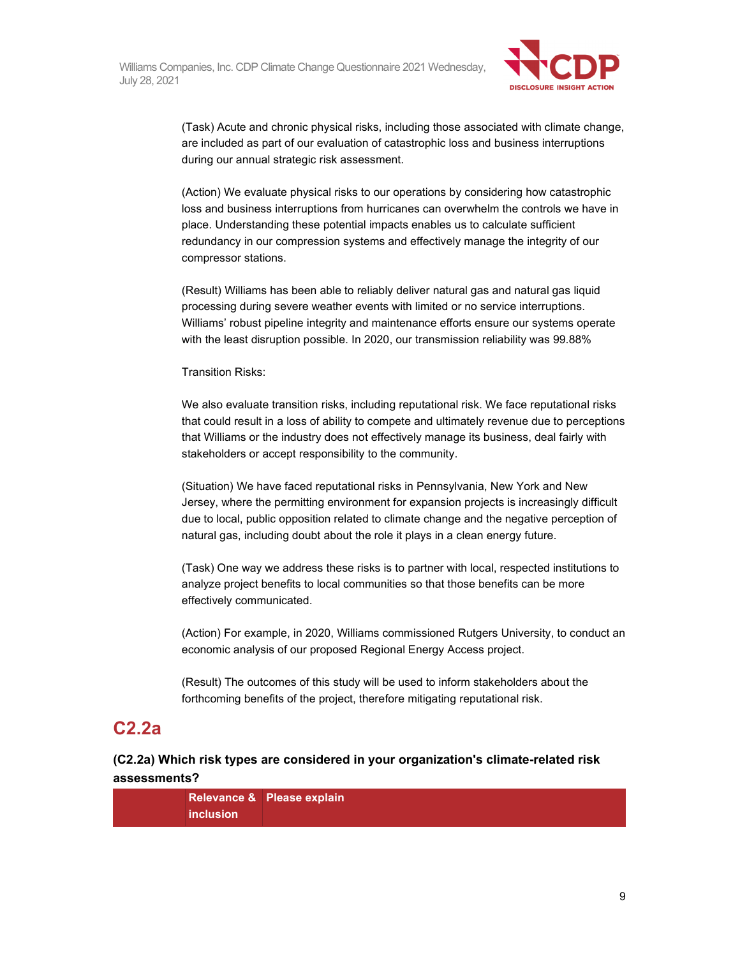

(Task) Acute and chronic physical risks, including those associated with climate change, are included as part of our evaluation of catastrophic loss and business interruptions during our annual strategic risk assessment.

(Action) We evaluate physical risks to our operations by considering how catastrophic loss and business interruptions from hurricanes can overwhelm the controls we have in place. Understanding these potential impacts enables us to calculate sufficient redundancy in our compression systems and effectively manage the integrity of our compressor stations.

(Result) Williams has been able to reliably deliver natural gas and natural gas liquid processing during severe weather events with limited or no service interruptions. Williams' robust pipeline integrity and maintenance efforts ensure our systems operate with the least disruption possible. In 2020, our transmission reliability was 99.88%

Transition Risks:

We also evaluate transition risks, including reputational risk. We face reputational risks that could result in a loss of ability to compete and ultimately revenue due to perceptions that Williams or the industry does not effectively manage its business, deal fairly with stakeholders or accept responsibility to the community.

(Situation) We have faced reputational risks in Pennsylvania, New York and New Jersey, where the permitting environment for expansion projects is increasingly difficult due to local, public opposition related to climate change and the negative perception of natural gas, including doubt about the role it plays in a clean energy future.

(Task) One way we address these risks is to partner with local, respected institutions to analyze project benefits to local communities so that those benefits can be more effectively communicated.

(Action) For example, in 2020, Williams commissioned Rutgers University, to conduct an economic analysis of our proposed Regional Energy Access project.

(Result) The outcomes of this study will be used to inform stakeholders about the forthcoming benefits of the project, therefore mitigating reputational risk.

## **C2.2a**

### **(C2.2a) Which risk types are considered in your organization's climate-related risk assessments?**

**Relevance & Please explain inclusion**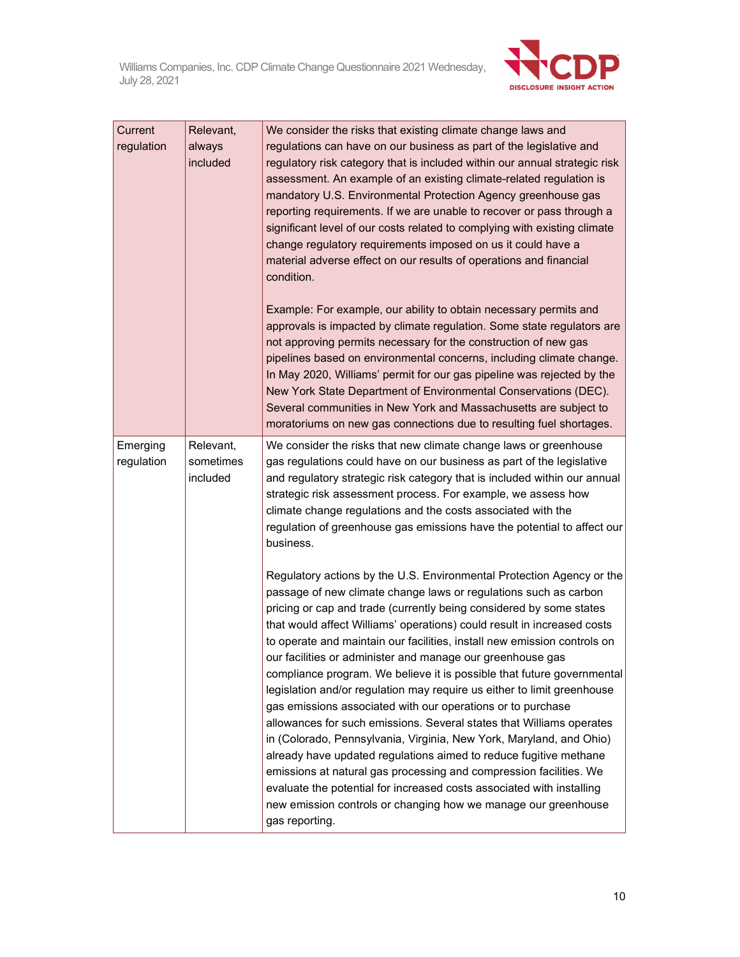

| Current<br>regulation  | Relevant,<br>always<br>included    | We consider the risks that existing climate change laws and<br>regulations can have on our business as part of the legislative and<br>regulatory risk category that is included within our annual strategic risk<br>assessment. An example of an existing climate-related regulation is<br>mandatory U.S. Environmental Protection Agency greenhouse gas<br>reporting requirements. If we are unable to recover or pass through a<br>significant level of our costs related to complying with existing climate<br>change regulatory requirements imposed on us it could have a<br>material adverse effect on our results of operations and financial<br>condition.<br>Example: For example, our ability to obtain necessary permits and<br>approvals is impacted by climate regulation. Some state regulators are<br>not approving permits necessary for the construction of new gas<br>pipelines based on environmental concerns, including climate change.<br>In May 2020, Williams' permit for our gas pipeline was rejected by the<br>New York State Department of Environmental Conservations (DEC).        |
|------------------------|------------------------------------|------------------------------------------------------------------------------------------------------------------------------------------------------------------------------------------------------------------------------------------------------------------------------------------------------------------------------------------------------------------------------------------------------------------------------------------------------------------------------------------------------------------------------------------------------------------------------------------------------------------------------------------------------------------------------------------------------------------------------------------------------------------------------------------------------------------------------------------------------------------------------------------------------------------------------------------------------------------------------------------------------------------------------------------------------------------------------------------------------------------|
|                        |                                    | Several communities in New York and Massachusetts are subject to<br>moratoriums on new gas connections due to resulting fuel shortages.                                                                                                                                                                                                                                                                                                                                                                                                                                                                                                                                                                                                                                                                                                                                                                                                                                                                                                                                                                          |
| Emerging<br>regulation | Relevant,<br>sometimes<br>included | We consider the risks that new climate change laws or greenhouse<br>gas regulations could have on our business as part of the legislative<br>and regulatory strategic risk category that is included within our annual<br>strategic risk assessment process. For example, we assess how<br>climate change regulations and the costs associated with the<br>regulation of greenhouse gas emissions have the potential to affect our<br>business.                                                                                                                                                                                                                                                                                                                                                                                                                                                                                                                                                                                                                                                                  |
|                        |                                    | Regulatory actions by the U.S. Environmental Protection Agency or the<br>passage of new climate change laws or regulations such as carbon<br>pricing or cap and trade (currently being considered by some states<br>that would affect Williams' operations) could result in increased costs<br>to operate and maintain our facilities, install new emission controls on<br>our facilities or administer and manage our greenhouse gas<br>compliance program. We believe it is possible that future governmental<br>legislation and/or regulation may require us either to limit greenhouse<br>gas emissions associated with our operations or to purchase<br>allowances for such emissions. Several states that Williams operates<br>in (Colorado, Pennsylvania, Virginia, New York, Maryland, and Ohio)<br>already have updated regulations aimed to reduce fugitive methane<br>emissions at natural gas processing and compression facilities. We<br>evaluate the potential for increased costs associated with installing<br>new emission controls or changing how we manage our greenhouse<br>gas reporting. |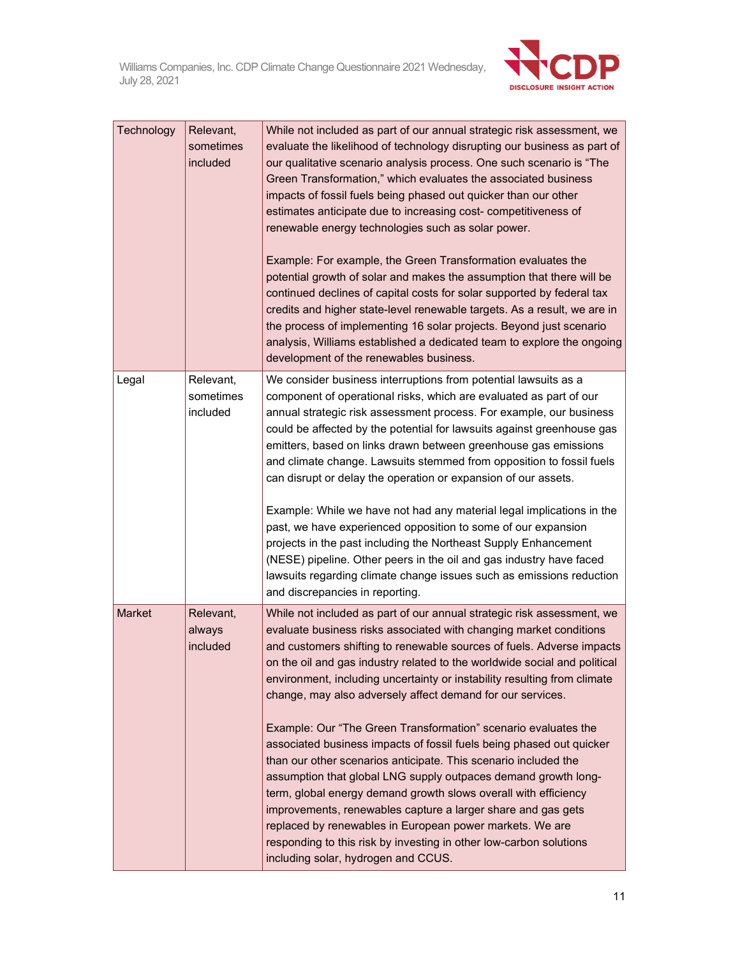

| Technology    | Relevant,<br>sometimes<br>included | While not included as part of our annual strategic risk assessment, we<br>evaluate the likelihood of technology disrupting our business as part of<br>our qualitative scenario analysis process. One such scenario is "The<br>Green Transformation," which evaluates the associated business<br>impacts of fossil fuels being phased out quicker than our other<br>estimates anticipate due to increasing cost-competitiveness of<br>renewable energy technologies such as solar power.<br>Example: For example, the Green Transformation evaluates the<br>potential growth of solar and makes the assumption that there will be<br>continued declines of capital costs for solar supported by federal tax<br>credits and higher state-level renewable targets. As a result, we are in<br>the process of implementing 16 solar projects. Beyond just scenario<br>analysis, Williams established a dedicated team to explore the ongoing<br>development of the renewables business.                                                      |
|---------------|------------------------------------|-----------------------------------------------------------------------------------------------------------------------------------------------------------------------------------------------------------------------------------------------------------------------------------------------------------------------------------------------------------------------------------------------------------------------------------------------------------------------------------------------------------------------------------------------------------------------------------------------------------------------------------------------------------------------------------------------------------------------------------------------------------------------------------------------------------------------------------------------------------------------------------------------------------------------------------------------------------------------------------------------------------------------------------------|
| Legal         | Relevant,<br>sometimes<br>included | We consider business interruptions from potential lawsuits as a<br>component of operational risks, which are evaluated as part of our<br>annual strategic risk assessment process. For example, our business<br>could be affected by the potential for lawsuits against greenhouse gas<br>emitters, based on links drawn between greenhouse gas emissions<br>and climate change. Lawsuits stemmed from opposition to fossil fuels<br>can disrupt or delay the operation or expansion of our assets.<br>Example: While we have not had any material legal implications in the<br>past, we have experienced opposition to some of our expansion<br>projects in the past including the Northeast Supply Enhancement<br>(NESE) pipeline. Other peers in the oil and gas industry have faced<br>lawsuits regarding climate change issues such as emissions reduction<br>and discrepancies in reporting.                                                                                                                                      |
| <b>Market</b> | Relevant,<br>always<br>included    | While not included as part of our annual strategic risk assessment, we<br>evaluate business risks associated with changing market conditions<br>and customers shifting to renewable sources of fuels. Adverse impacts<br>on the oil and gas industry related to the worldwide social and political<br>environment, including uncertainty or instability resulting from climate<br>change, may also adversely affect demand for our services.<br>Example: Our "The Green Transformation" scenario evaluates the<br>associated business impacts of fossil fuels being phased out quicker<br>than our other scenarios anticipate. This scenario included the<br>assumption that global LNG supply outpaces demand growth long-<br>term, global energy demand growth slows overall with efficiency<br>improvements, renewables capture a larger share and gas gets<br>replaced by renewables in European power markets. We are<br>responding to this risk by investing in other low-carbon solutions<br>including solar, hydrogen and CCUS. |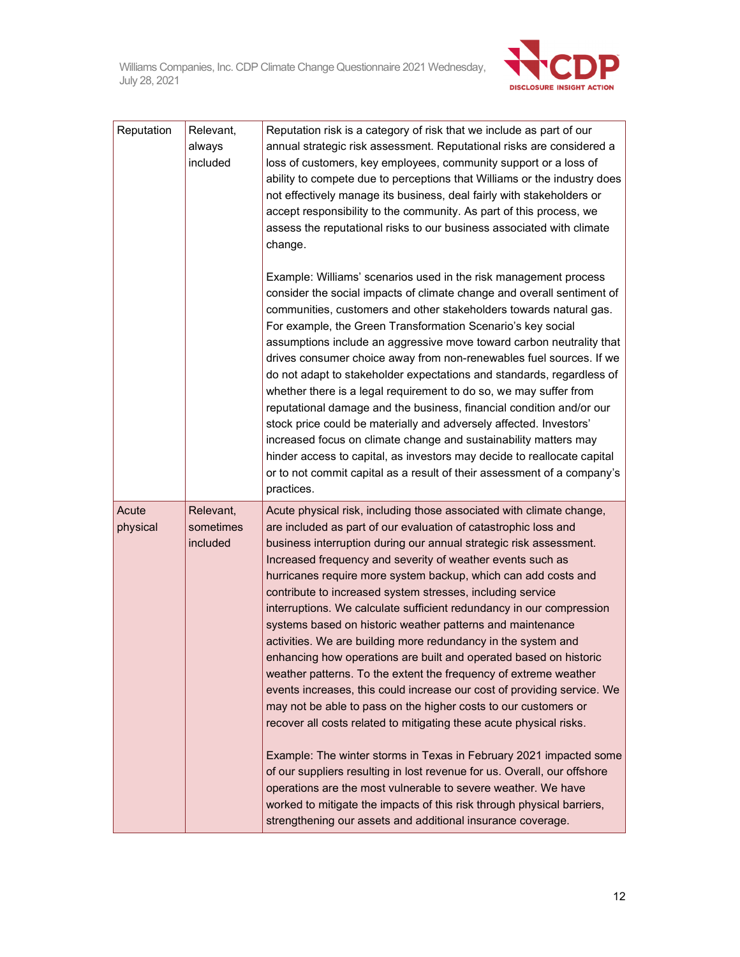

| Reputation        | Relevant,<br>always<br>included    | Reputation risk is a category of risk that we include as part of our<br>annual strategic risk assessment. Reputational risks are considered a<br>loss of customers, key employees, community support or a loss of<br>ability to compete due to perceptions that Williams or the industry does<br>not effectively manage its business, deal fairly with stakeholders or<br>accept responsibility to the community. As part of this process, we<br>assess the reputational risks to our business associated with climate<br>change.                                                                                                                                                                                                                                                                                                                                                                                                                                                                                                                                                                                                                                                                                                                                                                                                            |
|-------------------|------------------------------------|----------------------------------------------------------------------------------------------------------------------------------------------------------------------------------------------------------------------------------------------------------------------------------------------------------------------------------------------------------------------------------------------------------------------------------------------------------------------------------------------------------------------------------------------------------------------------------------------------------------------------------------------------------------------------------------------------------------------------------------------------------------------------------------------------------------------------------------------------------------------------------------------------------------------------------------------------------------------------------------------------------------------------------------------------------------------------------------------------------------------------------------------------------------------------------------------------------------------------------------------------------------------------------------------------------------------------------------------|
|                   |                                    | Example: Williams' scenarios used in the risk management process<br>consider the social impacts of climate change and overall sentiment of<br>communities, customers and other stakeholders towards natural gas.<br>For example, the Green Transformation Scenario's key social<br>assumptions include an aggressive move toward carbon neutrality that<br>drives consumer choice away from non-renewables fuel sources. If we<br>do not adapt to stakeholder expectations and standards, regardless of<br>whether there is a legal requirement to do so, we may suffer from<br>reputational damage and the business, financial condition and/or our<br>stock price could be materially and adversely affected. Investors'<br>increased focus on climate change and sustainability matters may<br>hinder access to capital, as investors may decide to reallocate capital<br>or to not commit capital as a result of their assessment of a company's<br>practices.                                                                                                                                                                                                                                                                                                                                                                           |
| Acute<br>physical | Relevant,<br>sometimes<br>included | Acute physical risk, including those associated with climate change,<br>are included as part of our evaluation of catastrophic loss and<br>business interruption during our annual strategic risk assessment.<br>Increased frequency and severity of weather events such as<br>hurricanes require more system backup, which can add costs and<br>contribute to increased system stresses, including service<br>interruptions. We calculate sufficient redundancy in our compression<br>systems based on historic weather patterns and maintenance<br>activities. We are building more redundancy in the system and<br>enhancing how operations are built and operated based on historic<br>weather patterns. To the extent the frequency of extreme weather<br>events increases, this could increase our cost of providing service. We<br>may not be able to pass on the higher costs to our customers or<br>recover all costs related to mitigating these acute physical risks.<br>Example: The winter storms in Texas in February 2021 impacted some<br>of our suppliers resulting in lost revenue for us. Overall, our offshore<br>operations are the most vulnerable to severe weather. We have<br>worked to mitigate the impacts of this risk through physical barriers,<br>strengthening our assets and additional insurance coverage. |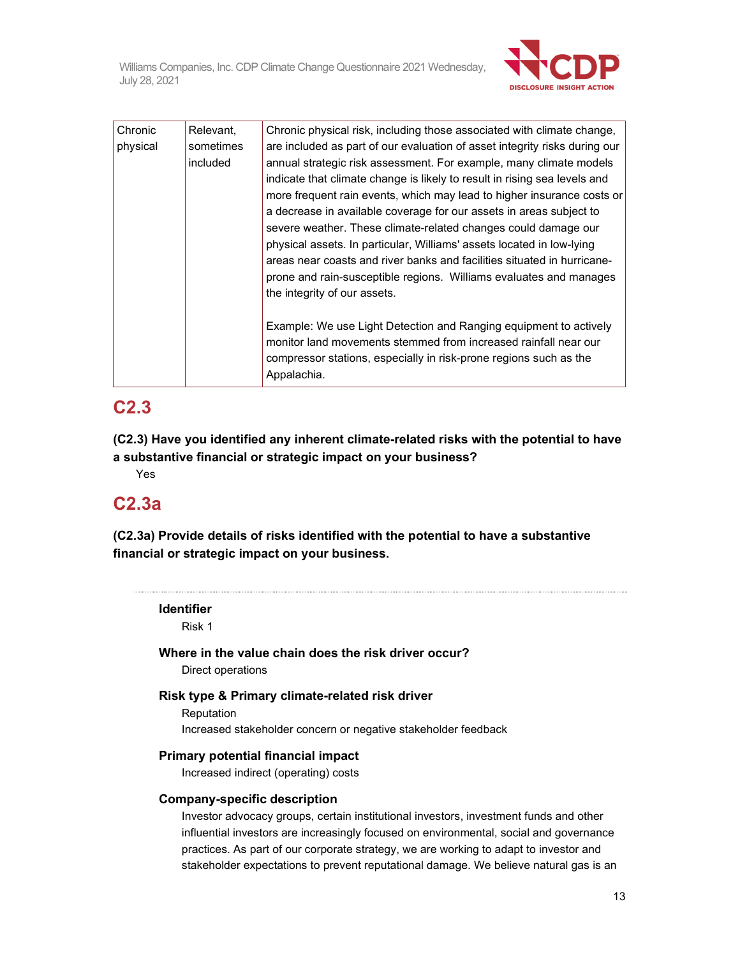

| Chronic  | Relevant, | Chronic physical risk, including those associated with climate change,     |
|----------|-----------|----------------------------------------------------------------------------|
| physical | sometimes | are included as part of our evaluation of asset integrity risks during our |
|          | included  | annual strategic risk assessment. For example, many climate models         |
|          |           | indicate that climate change is likely to result in rising sea levels and  |
|          |           | more frequent rain events, which may lead to higher insurance costs or     |
|          |           | a decrease in available coverage for our assets in areas subject to        |
|          |           | severe weather. These climate-related changes could damage our             |
|          |           | physical assets. In particular, Williams' assets located in low-lying      |
|          |           | areas near coasts and river banks and facilities situated in hurricane-    |
|          |           | prone and rain-susceptible regions. Williams evaluates and manages         |
|          |           | the integrity of our assets.                                               |
|          |           |                                                                            |
|          |           | Example: We use Light Detection and Ranging equipment to actively          |
|          |           | monitor land movements stemmed from increased rainfall near our            |
|          |           | compressor stations, especially in risk-prone regions such as the          |
|          |           | Appalachia.                                                                |
|          |           |                                                                            |

## **C2.3**

**(C2.3) Have you identified any inherent climate-related risks with the potential to have a substantive financial or strategic impact on your business?** 

Yes

## **C2.3a**

**(C2.3a) Provide details of risks identified with the potential to have a substantive financial or strategic impact on your business.** 

**Identifier** 

Risk 1

#### **Where in the value chain does the risk driver occur?**

Direct operations

### **Risk type & Primary climate-related risk driver**

Reputation Increased stakeholder concern or negative stakeholder feedback

#### **Primary potential financial impact**

Increased indirect (operating) costs

#### **Company-specific description**

Investor advocacy groups, certain institutional investors, investment funds and other influential investors are increasingly focused on environmental, social and governance practices. As part of our corporate strategy, we are working to adapt to investor and stakeholder expectations to prevent reputational damage. We believe natural gas is an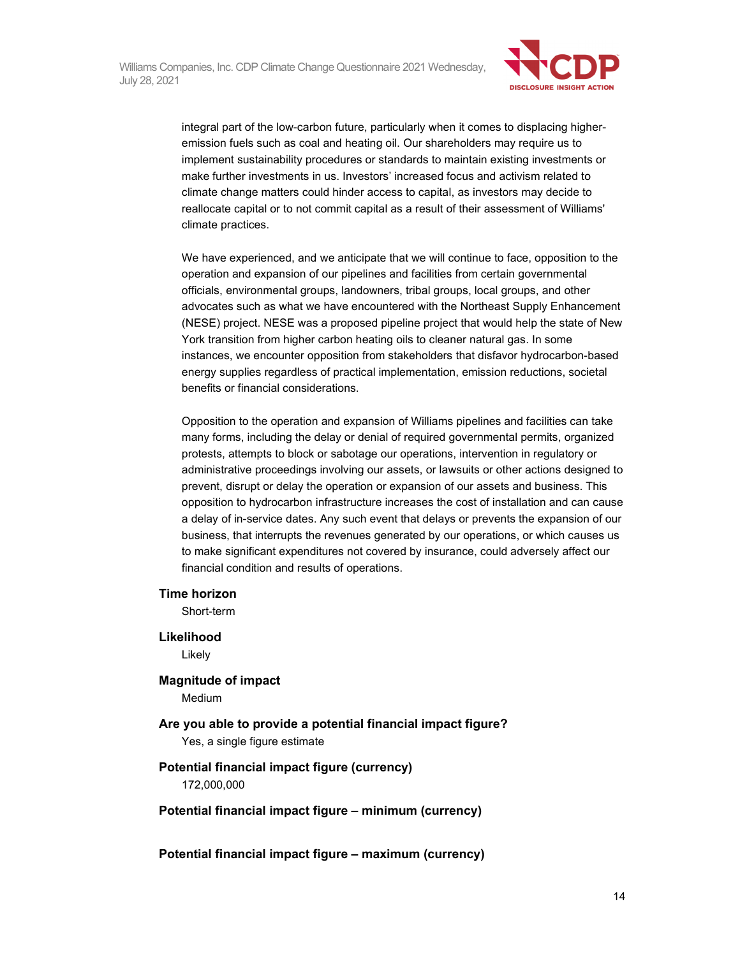

integral part of the low-carbon future, particularly when it comes to displacing higheremission fuels such as coal and heating oil. Our shareholders may require us to implement sustainability procedures or standards to maintain existing investments or make further investments in us. Investors' increased focus and activism related to climate change matters could hinder access to capital, as investors may decide to reallocate capital or to not commit capital as a result of their assessment of Williams' climate practices.

We have experienced, and we anticipate that we will continue to face, opposition to the operation and expansion of our pipelines and facilities from certain governmental officials, environmental groups, landowners, tribal groups, local groups, and other advocates such as what we have encountered with the Northeast Supply Enhancement (NESE) project. NESE was a proposed pipeline project that would help the state of New York transition from higher carbon heating oils to cleaner natural gas. In some instances, we encounter opposition from stakeholders that disfavor hydrocarbon-based energy supplies regardless of practical implementation, emission reductions, societal benefits or financial considerations.

Opposition to the operation and expansion of Williams pipelines and facilities can take many forms, including the delay or denial of required governmental permits, organized protests, attempts to block or sabotage our operations, intervention in regulatory or administrative proceedings involving our assets, or lawsuits or other actions designed to prevent, disrupt or delay the operation or expansion of our assets and business. This opposition to hydrocarbon infrastructure increases the cost of installation and can cause a delay of in-service dates. Any such event that delays or prevents the expansion of our business, that interrupts the revenues generated by our operations, or which causes us to make significant expenditures not covered by insurance, could adversely affect our financial condition and results of operations.

#### **Time horizon**

Short-term

#### **Likelihood**

Likely

#### **Magnitude of impact**

Medium

**Are you able to provide a potential financial impact figure?**  Yes, a single figure estimate

#### **Potential financial impact figure (currency)**  172,000,000

#### **Potential financial impact figure – minimum (currency)**

**Potential financial impact figure – maximum (currency)**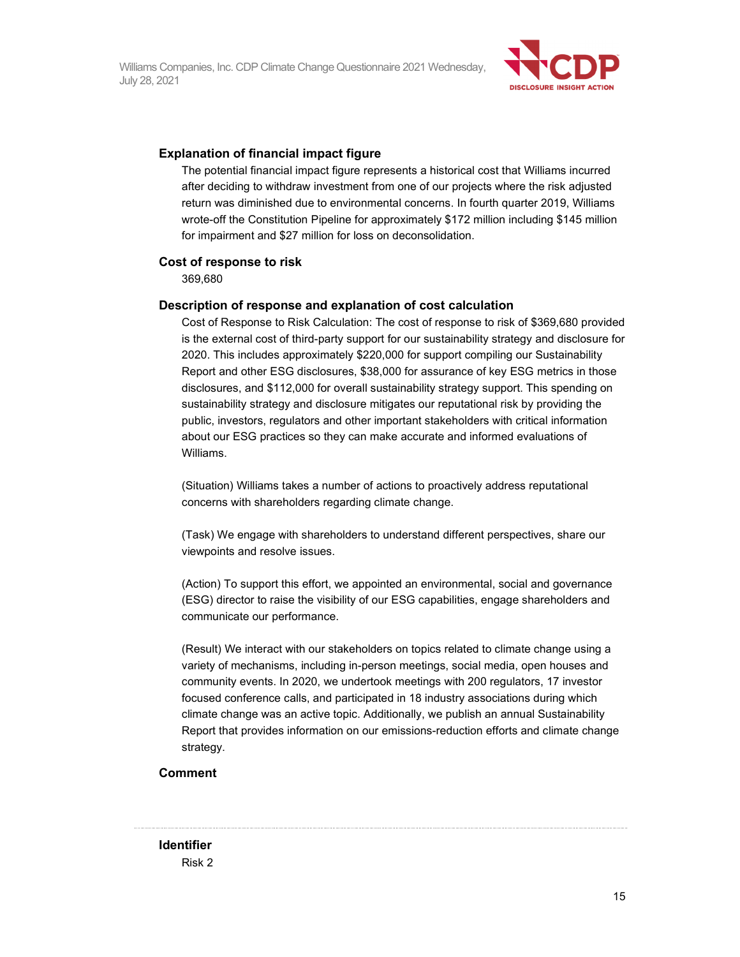

#### **Explanation of financial impact figure**

The potential financial impact figure represents a historical cost that Williams incurred after deciding to withdraw investment from one of our projects where the risk adjusted return was diminished due to environmental concerns. In fourth quarter 2019, Williams wrote-off the Constitution Pipeline for approximately \$172 million including \$145 million for impairment and \$27 million for loss on deconsolidation.

#### **Cost of response to risk**

369,680

#### **Description of response and explanation of cost calculation**

Cost of Response to Risk Calculation: The cost of response to risk of \$369,680 provided is the external cost of third-party support for our sustainability strategy and disclosure for 2020. This includes approximately \$220,000 for support compiling our Sustainability Report and other ESG disclosures, \$38,000 for assurance of key ESG metrics in those disclosures, and \$112,000 for overall sustainability strategy support. This spending on sustainability strategy and disclosure mitigates our reputational risk by providing the public, investors, regulators and other important stakeholders with critical information about our ESG practices so they can make accurate and informed evaluations of Williams.

(Situation) Williams takes a number of actions to proactively address reputational concerns with shareholders regarding climate change.

(Task) We engage with shareholders to understand different perspectives, share our viewpoints and resolve issues.

(Action) To support this effort, we appointed an environmental, social and governance (ESG) director to raise the visibility of our ESG capabilities, engage shareholders and communicate our performance.

(Result) We interact with our stakeholders on topics related to climate change using a variety of mechanisms, including in-person meetings, social media, open houses and community events. In 2020, we undertook meetings with 200 regulators, 17 investor focused conference calls, and participated in 18 industry associations during which climate change was an active topic. Additionally, we publish an annual Sustainability Report that provides information on our emissions-reduction efforts and climate change strategy.

#### **Comment**

**Identifier**  Risk 2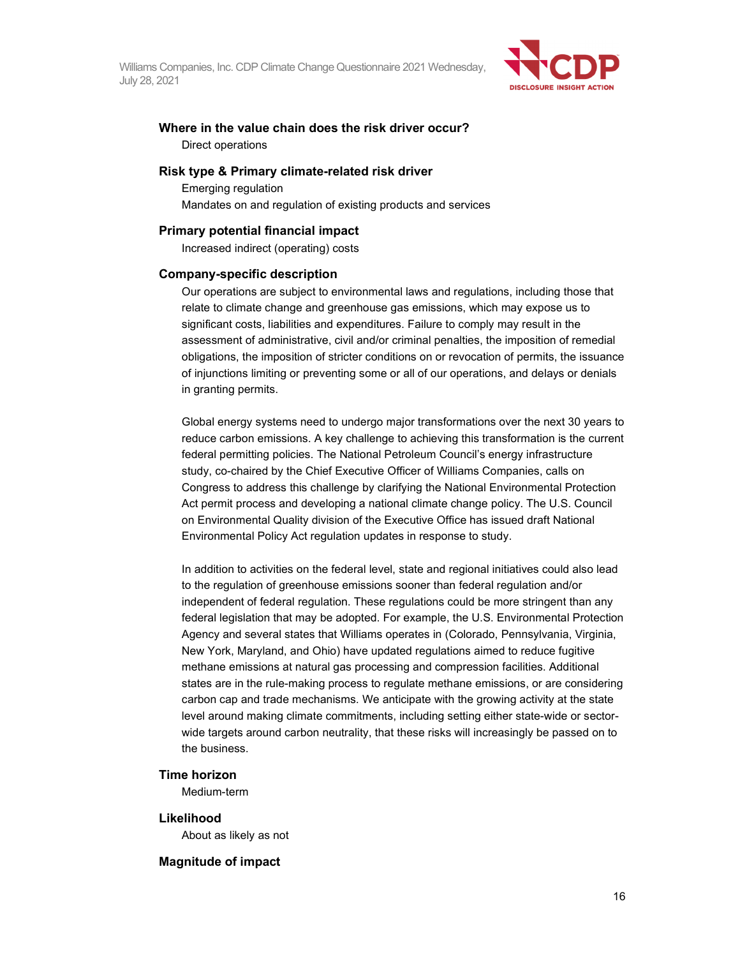

#### **Where in the value chain does the risk driver occur?**  Direct operations

#### **Risk type & Primary climate-related risk driver**

Emerging regulation Mandates on and regulation of existing products and services

#### **Primary potential financial impact**

Increased indirect (operating) costs

#### **Company-specific description**

Our operations are subject to environmental laws and regulations, including those that relate to climate change and greenhouse gas emissions, which may expose us to significant costs, liabilities and expenditures. Failure to comply may result in the assessment of administrative, civil and/or criminal penalties, the imposition of remedial obligations, the imposition of stricter conditions on or revocation of permits, the issuance of injunctions limiting or preventing some or all of our operations, and delays or denials in granting permits.

Global energy systems need to undergo major transformations over the next 30 years to reduce carbon emissions. A key challenge to achieving this transformation is the current federal permitting policies. The National Petroleum Council's energy infrastructure study, co-chaired by the Chief Executive Officer of Williams Companies, calls on Congress to address this challenge by clarifying the National Environmental Protection Act permit process and developing a national climate change policy. The U.S. Council on Environmental Quality division of the Executive Office has issued draft National Environmental Policy Act regulation updates in response to study.

In addition to activities on the federal level, state and regional initiatives could also lead to the regulation of greenhouse emissions sooner than federal regulation and/or independent of federal regulation. These regulations could be more stringent than any federal legislation that may be adopted. For example, the U.S. Environmental Protection Agency and several states that Williams operates in (Colorado, Pennsylvania, Virginia, New York, Maryland, and Ohio) have updated regulations aimed to reduce fugitive methane emissions at natural gas processing and compression facilities. Additional states are in the rule-making process to regulate methane emissions, or are considering carbon cap and trade mechanisms. We anticipate with the growing activity at the state level around making climate commitments, including setting either state-wide or sectorwide targets around carbon neutrality, that these risks will increasingly be passed on to the business.

#### **Time horizon**

Medium-term

#### **Likelihood**

About as likely as not

#### **Magnitude of impact**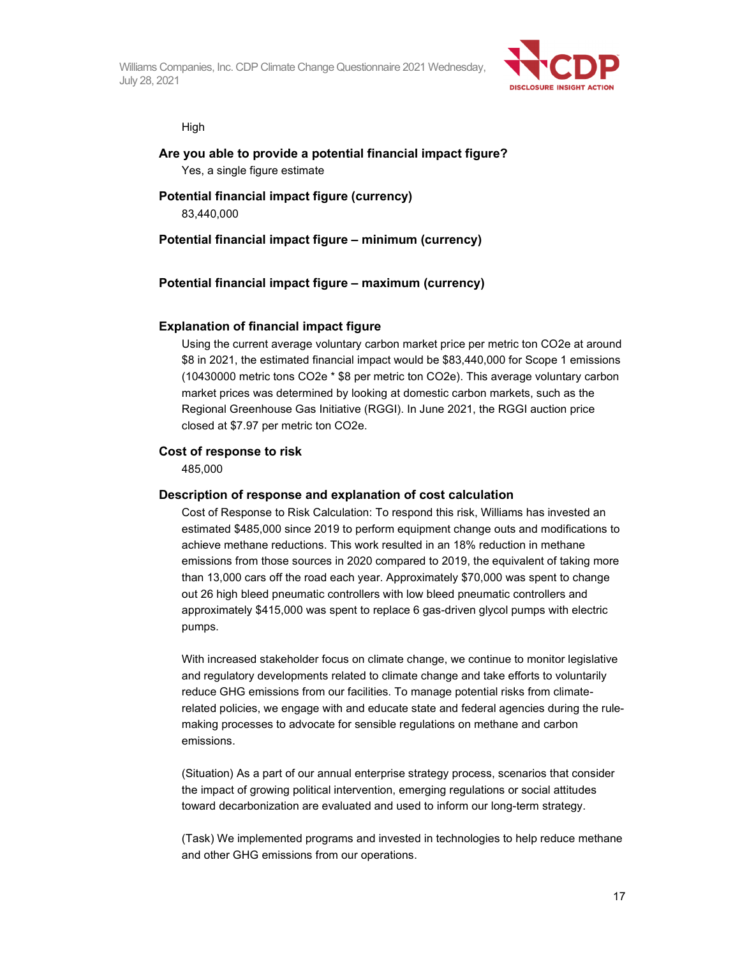

High

### **Are you able to provide a potential financial impact figure?**  Yes, a single figure estimate

#### **Potential financial impact figure (currency)**  83,440,000

#### **Potential financial impact figure – minimum (currency)**

#### **Potential financial impact figure – maximum (currency)**

#### **Explanation of financial impact figure**

Using the current average voluntary carbon market price per metric ton CO2e at around \$8 in 2021, the estimated financial impact would be \$83,440,000 for Scope 1 emissions (10430000 metric tons CO2e \* \$8 per metric ton CO2e). This average voluntary carbon market prices was determined by looking at domestic carbon markets, such as the Regional Greenhouse Gas Initiative (RGGI). In June 2021, the RGGI auction price closed at \$7.97 per metric ton CO2e.

#### **Cost of response to risk**

485,000

#### **Description of response and explanation of cost calculation**

Cost of Response to Risk Calculation: To respond this risk, Williams has invested an estimated \$485,000 since 2019 to perform equipment change outs and modifications to achieve methane reductions. This work resulted in an 18% reduction in methane emissions from those sources in 2020 compared to 2019, the equivalent of taking more than 13,000 cars off the road each year. Approximately \$70,000 was spent to change out 26 high bleed pneumatic controllers with low bleed pneumatic controllers and approximately \$415,000 was spent to replace 6 gas-driven glycol pumps with electric pumps.

With increased stakeholder focus on climate change, we continue to monitor legislative and regulatory developments related to climate change and take efforts to voluntarily reduce GHG emissions from our facilities. To manage potential risks from climaterelated policies, we engage with and educate state and federal agencies during the rulemaking processes to advocate for sensible regulations on methane and carbon emissions.

(Situation) As a part of our annual enterprise strategy process, scenarios that consider the impact of growing political intervention, emerging regulations or social attitudes toward decarbonization are evaluated and used to inform our long-term strategy.

(Task) We implemented programs and invested in technologies to help reduce methane and other GHG emissions from our operations.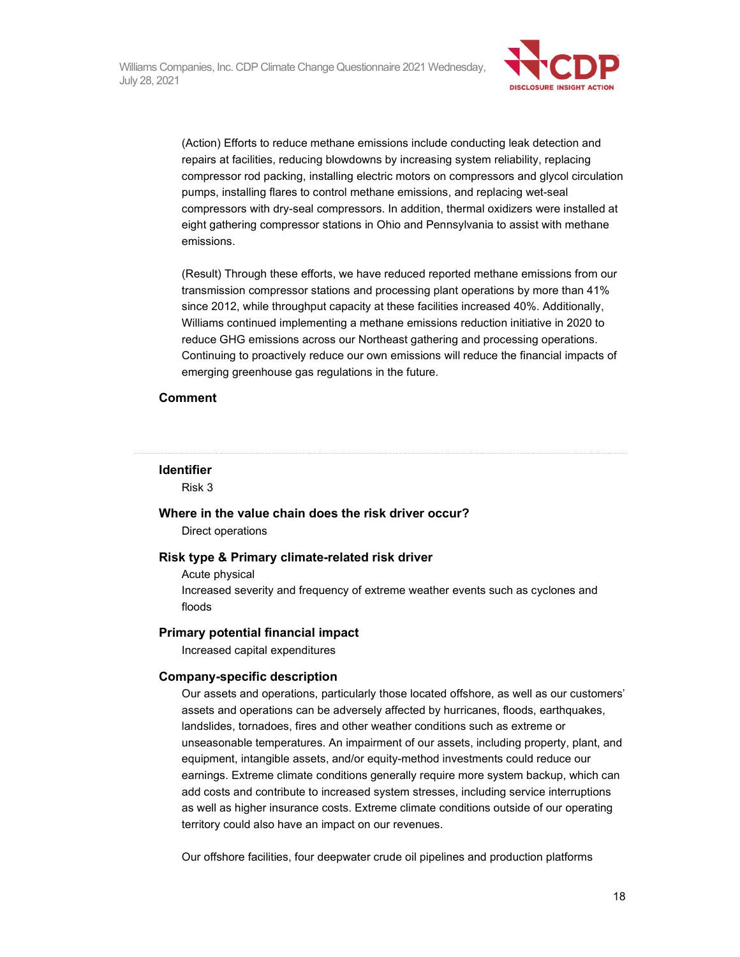

(Action) Efforts to reduce methane emissions include conducting leak detection and repairs at facilities, reducing blowdowns by increasing system reliability, replacing compressor rod packing, installing electric motors on compressors and glycol circulation pumps, installing flares to control methane emissions, and replacing wet-seal compressors with dry-seal compressors. In addition, thermal oxidizers were installed at eight gathering compressor stations in Ohio and Pennsylvania to assist with methane emissions.

(Result) Through these efforts, we have reduced reported methane emissions from our transmission compressor stations and processing plant operations by more than 41% since 2012, while throughput capacity at these facilities increased 40%. Additionally, Williams continued implementing a methane emissions reduction initiative in 2020 to reduce GHG emissions across our Northeast gathering and processing operations. Continuing to proactively reduce our own emissions will reduce the financial impacts of emerging greenhouse gas regulations in the future.

#### **Comment**

#### **Identifier**

Risk 3

#### **Where in the value chain does the risk driver occur?**

Direct operations

#### **Risk type & Primary climate-related risk driver**

Acute physical Increased severity and frequency of extreme weather events such as cyclones and floods

#### **Primary potential financial impact**

Increased capital expenditures

#### **Company-specific description**

Our assets and operations, particularly those located offshore, as well as our customers' assets and operations can be adversely affected by hurricanes, floods, earthquakes, landslides, tornadoes, fires and other weather conditions such as extreme or unseasonable temperatures. An impairment of our assets, including property, plant, and equipment, intangible assets, and/or equity-method investments could reduce our earnings. Extreme climate conditions generally require more system backup, which can add costs and contribute to increased system stresses, including service interruptions as well as higher insurance costs. Extreme climate conditions outside of our operating territory could also have an impact on our revenues.

Our offshore facilities, four deepwater crude oil pipelines and production platforms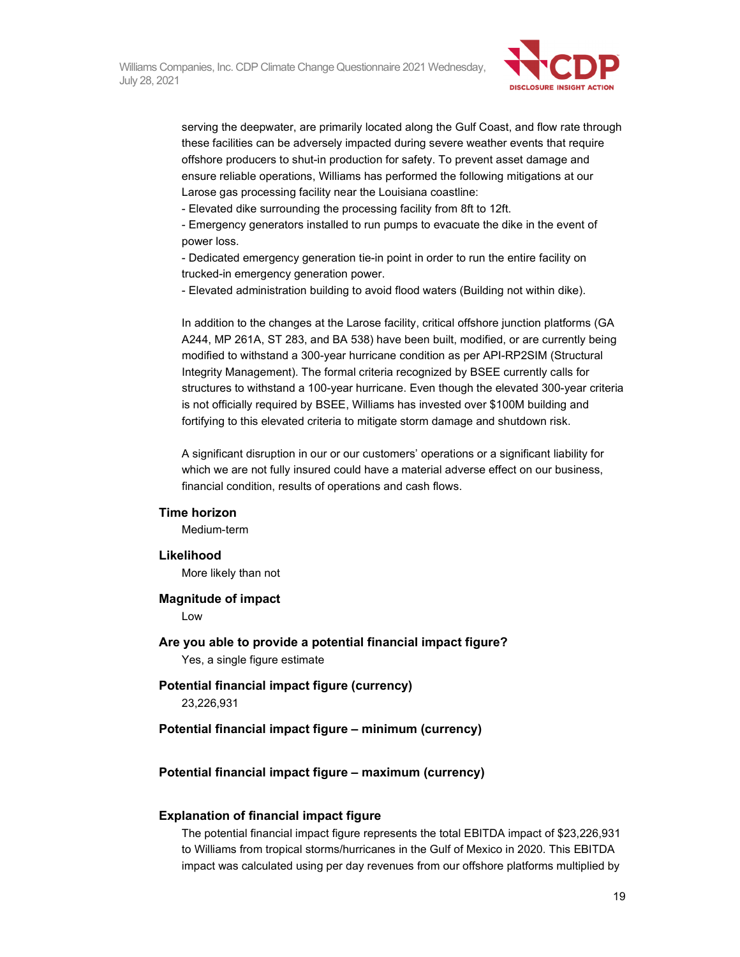

serving the deepwater, are primarily located along the Gulf Coast, and flow rate through these facilities can be adversely impacted during severe weather events that require offshore producers to shut-in production for safety. To prevent asset damage and ensure reliable operations, Williams has performed the following mitigations at our Larose gas processing facility near the Louisiana coastline:

- Elevated dike surrounding the processing facility from 8ft to 12ft.

- Emergency generators installed to run pumps to evacuate the dike in the event of power loss.

- Dedicated emergency generation tie-in point in order to run the entire facility on trucked-in emergency generation power.

- Elevated administration building to avoid flood waters (Building not within dike).

In addition to the changes at the Larose facility, critical offshore junction platforms (GA A244, MP 261A, ST 283, and BA 538) have been built, modified, or are currently being modified to withstand a 300-year hurricane condition as per API-RP2SIM (Structural Integrity Management). The formal criteria recognized by BSEE currently calls for structures to withstand a 100-year hurricane. Even though the elevated 300-year criteria is not officially required by BSEE, Williams has invested over \$100M building and fortifying to this elevated criteria to mitigate storm damage and shutdown risk.

A significant disruption in our or our customers' operations or a significant liability for which we are not fully insured could have a material adverse effect on our business, financial condition, results of operations and cash flows.

#### **Time horizon**

Medium-term

#### **Likelihood**

More likely than not

#### **Magnitude of impact**

Low

**Are you able to provide a potential financial impact figure?**  Yes, a single figure estimate

**Potential financial impact figure (currency)**  23,226,931

**Potential financial impact figure – minimum (currency)** 

#### **Potential financial impact figure – maximum (currency)**

#### **Explanation of financial impact figure**

The potential financial impact figure represents the total EBITDA impact of \$23,226,931 to Williams from tropical storms/hurricanes in the Gulf of Mexico in 2020. This EBITDA impact was calculated using per day revenues from our offshore platforms multiplied by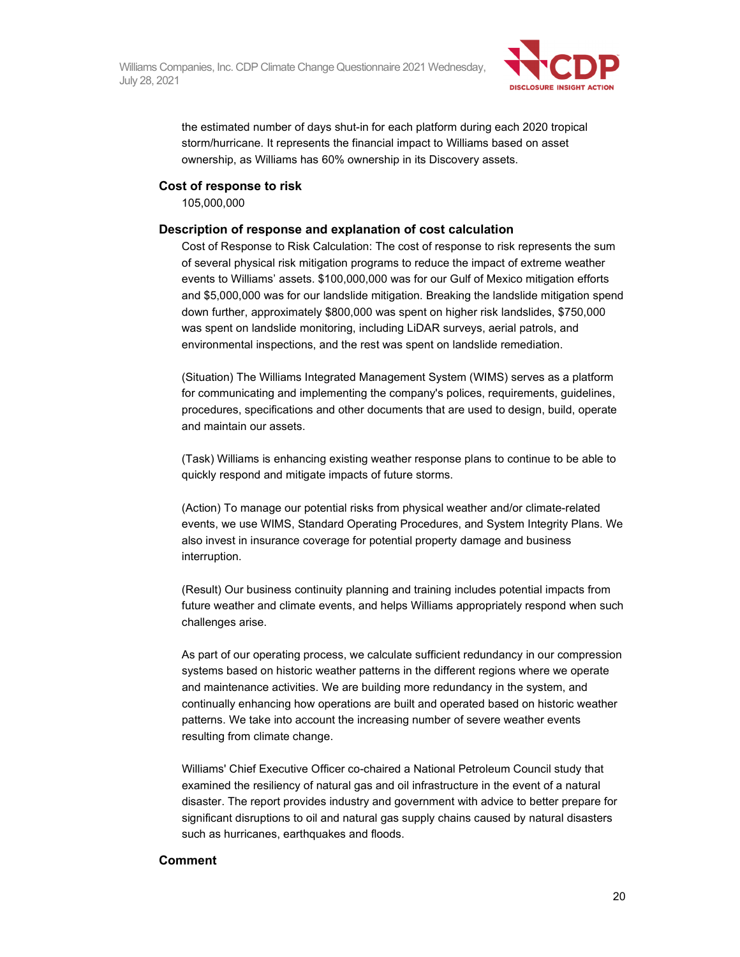

the estimated number of days shut-in for each platform during each 2020 tropical storm/hurricane. It represents the financial impact to Williams based on asset ownership, as Williams has 60% ownership in its Discovery assets.

#### **Cost of response to risk**

105,000,000

#### **Description of response and explanation of cost calculation**

Cost of Response to Risk Calculation: The cost of response to risk represents the sum of several physical risk mitigation programs to reduce the impact of extreme weather events to Williams' assets. \$100,000,000 was for our Gulf of Mexico mitigation efforts and \$5,000,000 was for our landslide mitigation. Breaking the landslide mitigation spend down further, approximately \$800,000 was spent on higher risk landslides, \$750,000 was spent on landslide monitoring, including LiDAR surveys, aerial patrols, and environmental inspections, and the rest was spent on landslide remediation.

(Situation) The Williams Integrated Management System (WIMS) serves as a platform for communicating and implementing the company's polices, requirements, guidelines, procedures, specifications and other documents that are used to design, build, operate and maintain our assets.

(Task) Williams is enhancing existing weather response plans to continue to be able to quickly respond and mitigate impacts of future storms.

(Action) To manage our potential risks from physical weather and/or climate-related events, we use WIMS, Standard Operating Procedures, and System Integrity Plans. We also invest in insurance coverage for potential property damage and business interruption.

(Result) Our business continuity planning and training includes potential impacts from future weather and climate events, and helps Williams appropriately respond when such challenges arise.

As part of our operating process, we calculate sufficient redundancy in our compression systems based on historic weather patterns in the different regions where we operate and maintenance activities. We are building more redundancy in the system, and continually enhancing how operations are built and operated based on historic weather patterns. We take into account the increasing number of severe weather events resulting from climate change.

Williams' Chief Executive Officer co-chaired a National Petroleum Council study that examined the resiliency of natural gas and oil infrastructure in the event of a natural disaster. The report provides industry and government with advice to better prepare for significant disruptions to oil and natural gas supply chains caused by natural disasters such as hurricanes, earthquakes and floods.

#### **Comment**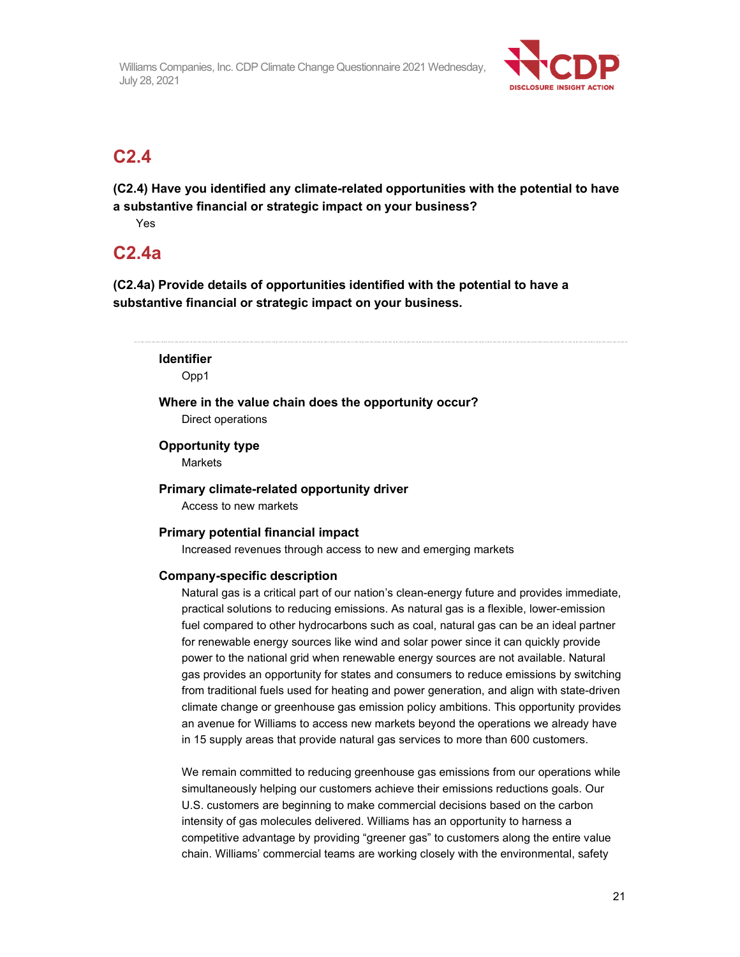

### **C2.4**

**(C2.4) Have you identified any climate-related opportunities with the potential to have a substantive financial or strategic impact on your business?** 

Yes

### **C2.4a**

**(C2.4a) Provide details of opportunities identified with the potential to have a substantive financial or strategic impact on your business.** 

| <b>Identifier</b>                                    |  |  |  |
|------------------------------------------------------|--|--|--|
| Opp1                                                 |  |  |  |
| Where in the value chain does the opportunity occur? |  |  |  |

Direct operations

#### **Opportunity type**

**Markets** 

#### **Primary climate-related opportunity driver**

Access to new markets

#### **Primary potential financial impact**

Increased revenues through access to new and emerging markets

#### **Company-specific description**

Natural gas is a critical part of our nation's clean-energy future and provides immediate, practical solutions to reducing emissions. As natural gas is a flexible, lower-emission fuel compared to other hydrocarbons such as coal, natural gas can be an ideal partner for renewable energy sources like wind and solar power since it can quickly provide power to the national grid when renewable energy sources are not available. Natural gas provides an opportunity for states and consumers to reduce emissions by switching from traditional fuels used for heating and power generation, and align with state-driven climate change or greenhouse gas emission policy ambitions. This opportunity provides an avenue for Williams to access new markets beyond the operations we already have in 15 supply areas that provide natural gas services to more than 600 customers.

We remain committed to reducing greenhouse gas emissions from our operations while simultaneously helping our customers achieve their emissions reductions goals. Our U.S. customers are beginning to make commercial decisions based on the carbon intensity of gas molecules delivered. Williams has an opportunity to harness a competitive advantage by providing "greener gas" to customers along the entire value chain. Williams' commercial teams are working closely with the environmental, safety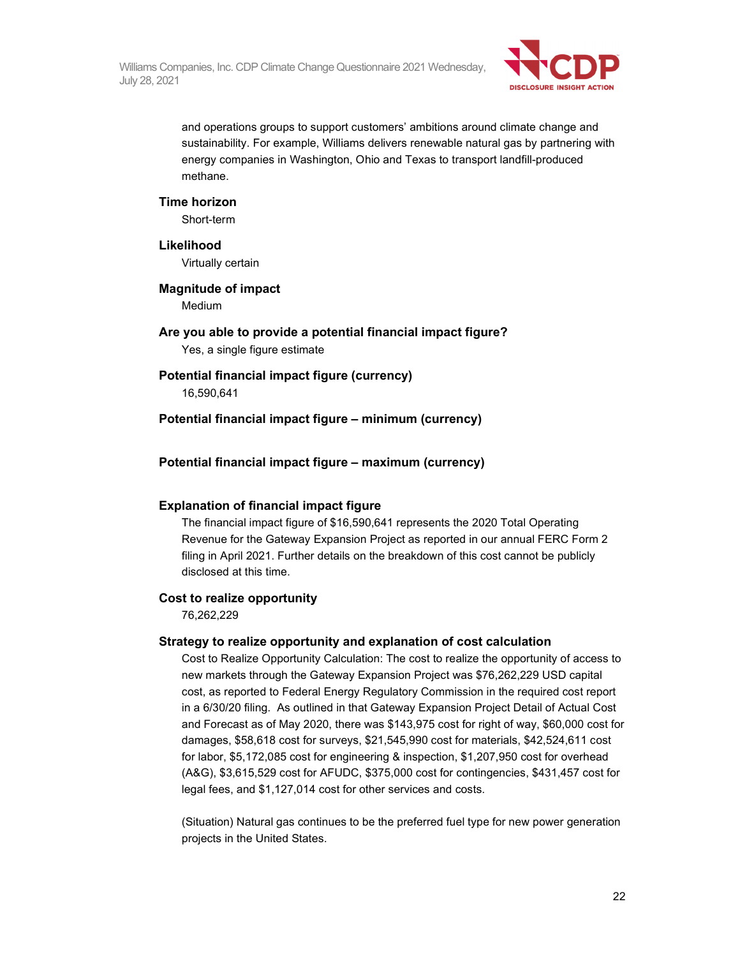

and operations groups to support customers' ambitions around climate change and sustainability. For example, Williams delivers renewable natural gas by partnering with energy companies in Washington, Ohio and Texas to transport landfill-produced methane.

#### **Time horizon**

Short-term

#### **Likelihood**

Virtually certain

#### **Magnitude of impact**

Medium

### **Are you able to provide a potential financial impact figure?**

Yes, a single figure estimate

#### **Potential financial impact figure (currency)**

16,590,641

#### **Potential financial impact figure – minimum (currency)**

#### **Potential financial impact figure – maximum (currency)**

#### **Explanation of financial impact figure**

The financial impact figure of \$16,590,641 represents the 2020 Total Operating Revenue for the Gateway Expansion Project as reported in our annual FERC Form 2 filing in April 2021. Further details on the breakdown of this cost cannot be publicly disclosed at this time.

#### **Cost to realize opportunity**

76,262,229

#### **Strategy to realize opportunity and explanation of cost calculation**

Cost to Realize Opportunity Calculation: The cost to realize the opportunity of access to new markets through the Gateway Expansion Project was \$76,262,229 USD capital cost, as reported to Federal Energy Regulatory Commission in the required cost report in a 6/30/20 filing. As outlined in that Gateway Expansion Project Detail of Actual Cost and Forecast as of May 2020, there was \$143,975 cost for right of way, \$60,000 cost for damages, \$58,618 cost for surveys, \$21,545,990 cost for materials, \$42,524,611 cost for labor, \$5,172,085 cost for engineering & inspection, \$1,207,950 cost for overhead (A&G), \$3,615,529 cost for AFUDC, \$375,000 cost for contingencies, \$431,457 cost for legal fees, and \$1,127,014 cost for other services and costs.

(Situation) Natural gas continues to be the preferred fuel type for new power generation projects in the United States.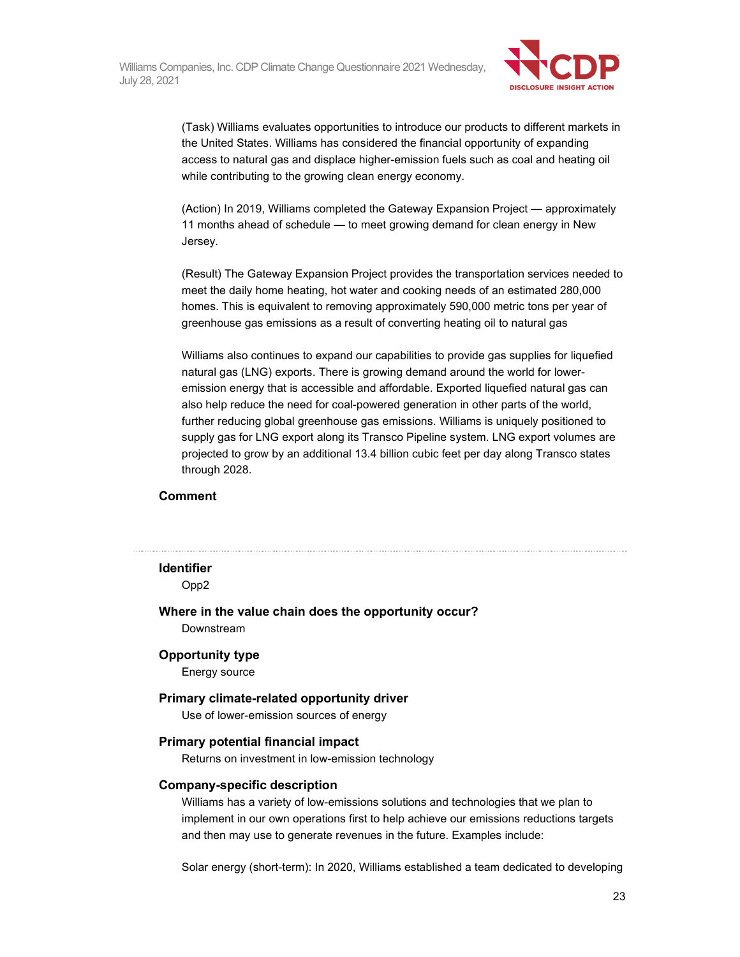

(Task) Williams evaluates opportunities to introduce our products to different markets in the United States. Williams has considered the financial opportunity of expanding access to natural gas and displace higher-emission fuels such as coal and heating oil while contributing to the growing clean energy economy.

(Action) In 2019, Williams completed the Gateway Expansion Project — approximately 11 months ahead of schedule — to meet growing demand for clean energy in New Jersey.

(Result) The Gateway Expansion Project provides the transportation services needed to meet the daily home heating, hot water and cooking needs of an estimated 280,000 homes. This is equivalent to removing approximately 590,000 metric tons per year of greenhouse gas emissions as a result of converting heating oil to natural gas

Williams also continues to expand our capabilities to provide gas supplies for liquefied natural gas (LNG) exports. There is growing demand around the world for loweremission energy that is accessible and affordable. Exported liquefied natural gas can also help reduce the need for coal-powered generation in other parts of the world, further reducing global greenhouse gas emissions. Williams is uniquely positioned to supply gas for LNG export along its Transco Pipeline system. LNG export volumes are projected to grow by an additional 13.4 billion cubic feet per day along Transco states through 2028.

#### **Comment**

# **Identifier**

Opp2

**Where in the value chain does the opportunity occur?**  Downstream

#### **Opportunity type**

Energy source

#### **Primary climate-related opportunity driver**

Use of lower-emission sources of energy

#### **Primary potential financial impact**

Returns on investment in low-emission technology

#### **Company-specific description**

Williams has a variety of low-emissions solutions and technologies that we plan to implement in our own operations first to help achieve our emissions reductions targets and then may use to generate revenues in the future. Examples include:

Solar energy (short-term): In 2020, Williams established a team dedicated to developing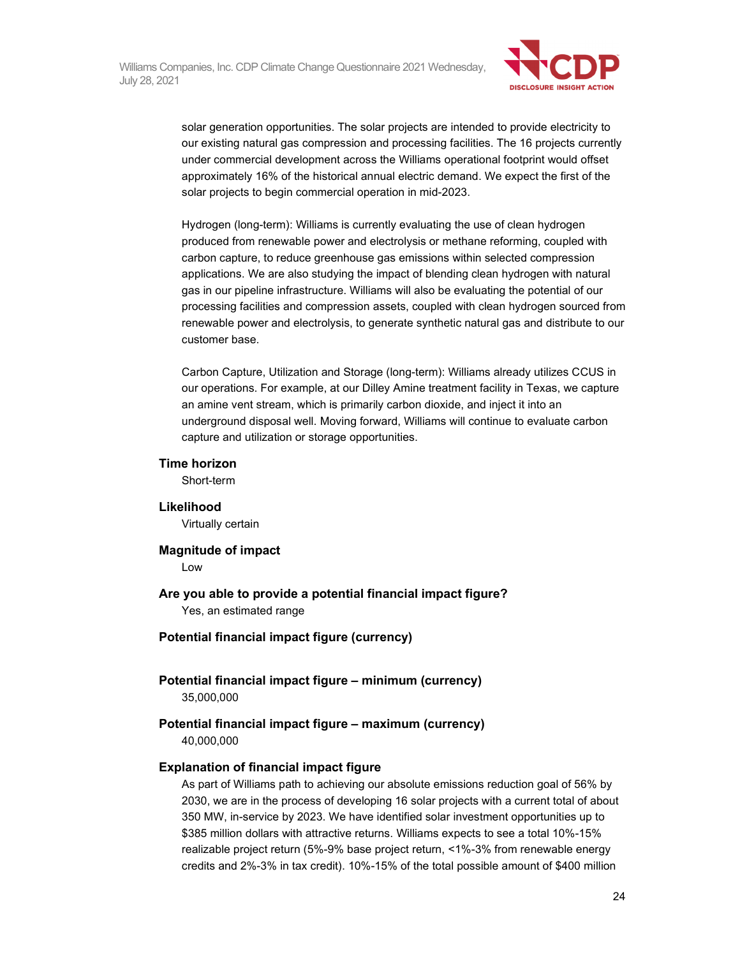

solar generation opportunities. The solar projects are intended to provide electricity to our existing natural gas compression and processing facilities. The 16 projects currently under commercial development across the Williams operational footprint would offset approximately 16% of the historical annual electric demand. We expect the first of the solar projects to begin commercial operation in mid-2023.

Hydrogen (long-term): Williams is currently evaluating the use of clean hydrogen produced from renewable power and electrolysis or methane reforming, coupled with carbon capture, to reduce greenhouse gas emissions within selected compression applications. We are also studying the impact of blending clean hydrogen with natural gas in our pipeline infrastructure. Williams will also be evaluating the potential of our processing facilities and compression assets, coupled with clean hydrogen sourced from renewable power and electrolysis, to generate synthetic natural gas and distribute to our customer base.

Carbon Capture, Utilization and Storage (long-term): Williams already utilizes CCUS in our operations. For example, at our Dilley Amine treatment facility in Texas, we capture an amine vent stream, which is primarily carbon dioxide, and inject it into an underground disposal well. Moving forward, Williams will continue to evaluate carbon capture and utilization or storage opportunities.

#### **Time horizon**

Short-term

#### **Likelihood**

Virtually certain

**Magnitude of impact**  Low

**Are you able to provide a potential financial impact figure?**  Yes, an estimated range

- **Potential financial impact figure (currency)**
- **Potential financial impact figure minimum (currency)**  35,000,000

#### **Potential financial impact figure – maximum (currency)**  40,000,000

#### **Explanation of financial impact figure**

As part of Williams path to achieving our absolute emissions reduction goal of 56% by 2030, we are in the process of developing 16 solar projects with a current total of about 350 MW, in-service by 2023. We have identified solar investment opportunities up to \$385 million dollars with attractive returns. Williams expects to see a total 10%-15% realizable project return (5%-9% base project return, <1%-3% from renewable energy credits and 2%-3% in tax credit). 10%-15% of the total possible amount of \$400 million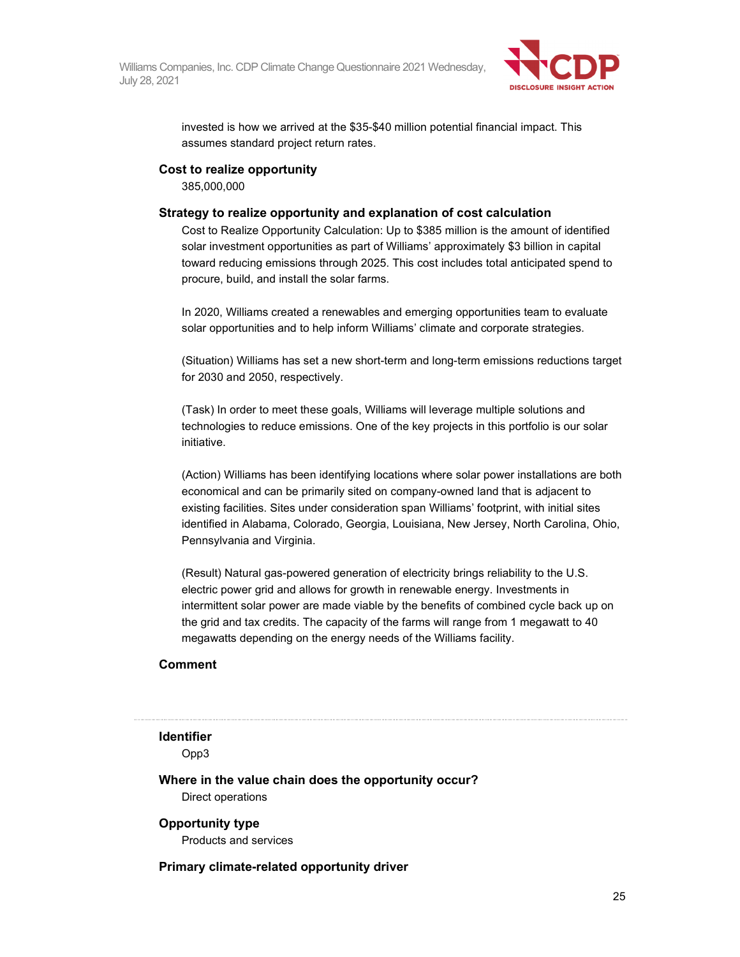

invested is how we arrived at the \$35-\$40 million potential financial impact. This assumes standard project return rates.

#### **Cost to realize opportunity**

385,000,000

#### **Strategy to realize opportunity and explanation of cost calculation**

Cost to Realize Opportunity Calculation: Up to \$385 million is the amount of identified solar investment opportunities as part of Williams' approximately \$3 billion in capital toward reducing emissions through 2025. This cost includes total anticipated spend to procure, build, and install the solar farms.

In 2020, Williams created a renewables and emerging opportunities team to evaluate solar opportunities and to help inform Williams' climate and corporate strategies.

(Situation) Williams has set a new short-term and long-term emissions reductions target for 2030 and 2050, respectively.

(Task) In order to meet these goals, Williams will leverage multiple solutions and technologies to reduce emissions. One of the key projects in this portfolio is our solar initiative.

(Action) Williams has been identifying locations where solar power installations are both economical and can be primarily sited on company-owned land that is adjacent to existing facilities. Sites under consideration span Williams' footprint, with initial sites identified in Alabama, Colorado, Georgia, Louisiana, New Jersey, North Carolina, Ohio, Pennsylvania and Virginia.

(Result) Natural gas-powered generation of electricity brings reliability to the U.S. electric power grid and allows for growth in renewable energy. Investments in intermittent solar power are made viable by the benefits of combined cycle back up on the grid and tax credits. The capacity of the farms will range from 1 megawatt to 40 megawatts depending on the energy needs of the Williams facility.

#### **Comment**

### **Identifier**

Opp3

**Where in the value chain does the opportunity occur?** 

Direct operations

### **Opportunity type**

Products and services

#### **Primary climate-related opportunity driver**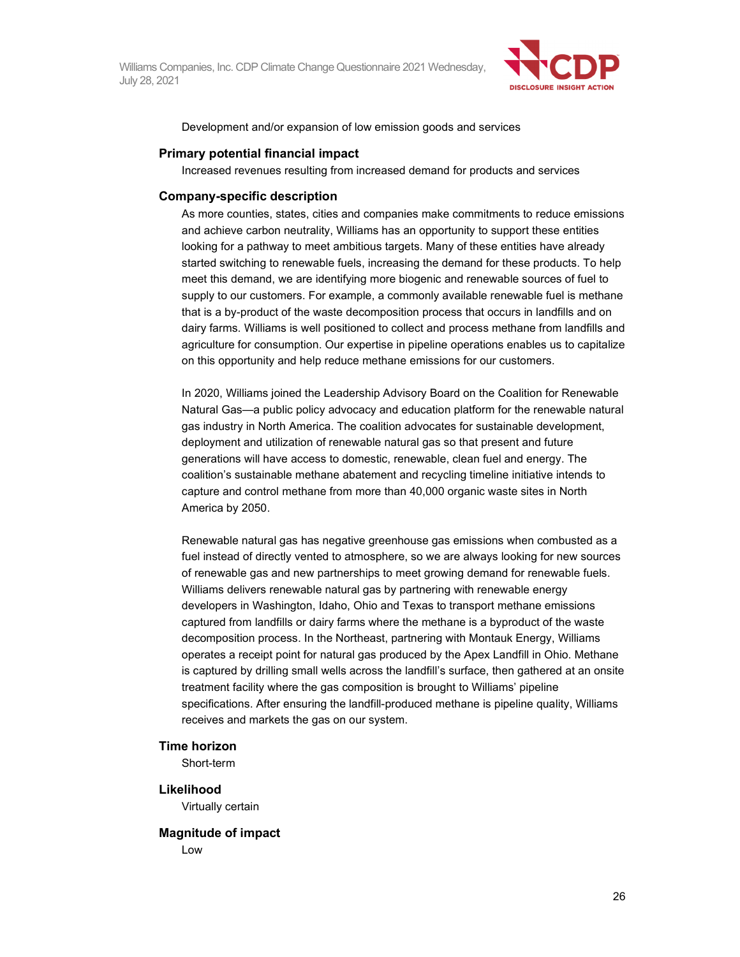

Development and/or expansion of low emission goods and services

#### **Primary potential financial impact**

Increased revenues resulting from increased demand for products and services

#### **Company-specific description**

As more counties, states, cities and companies make commitments to reduce emissions and achieve carbon neutrality, Williams has an opportunity to support these entities looking for a pathway to meet ambitious targets. Many of these entities have already started switching to renewable fuels, increasing the demand for these products. To help meet this demand, we are identifying more biogenic and renewable sources of fuel to supply to our customers. For example, a commonly available renewable fuel is methane that is a by-product of the waste decomposition process that occurs in landfills and on dairy farms. Williams is well positioned to collect and process methane from landfills and agriculture for consumption. Our expertise in pipeline operations enables us to capitalize on this opportunity and help reduce methane emissions for our customers.

In 2020, Williams joined the Leadership Advisory Board on the Coalition for Renewable Natural Gas—a public policy advocacy and education platform for the renewable natural gas industry in North America. The coalition advocates for sustainable development, deployment and utilization of renewable natural gas so that present and future generations will have access to domestic, renewable, clean fuel and energy. The coalition's sustainable methane abatement and recycling timeline initiative intends to capture and control methane from more than 40,000 organic waste sites in North America by 2050.

Renewable natural gas has negative greenhouse gas emissions when combusted as a fuel instead of directly vented to atmosphere, so we are always looking for new sources of renewable gas and new partnerships to meet growing demand for renewable fuels. Williams delivers renewable natural gas by partnering with renewable energy developers in Washington, Idaho, Ohio and Texas to transport methane emissions captured from landfills or dairy farms where the methane is a byproduct of the waste decomposition process. In the Northeast, partnering with Montauk Energy, Williams operates a receipt point for natural gas produced by the Apex Landfill in Ohio. Methane is captured by drilling small wells across the landfill's surface, then gathered at an onsite treatment facility where the gas composition is brought to Williams' pipeline specifications. After ensuring the landfill-produced methane is pipeline quality, Williams receives and markets the gas on our system.

#### **Time horizon**

Short-term

### **Likelihood**

Virtually certain

#### **Magnitude of impact**

Low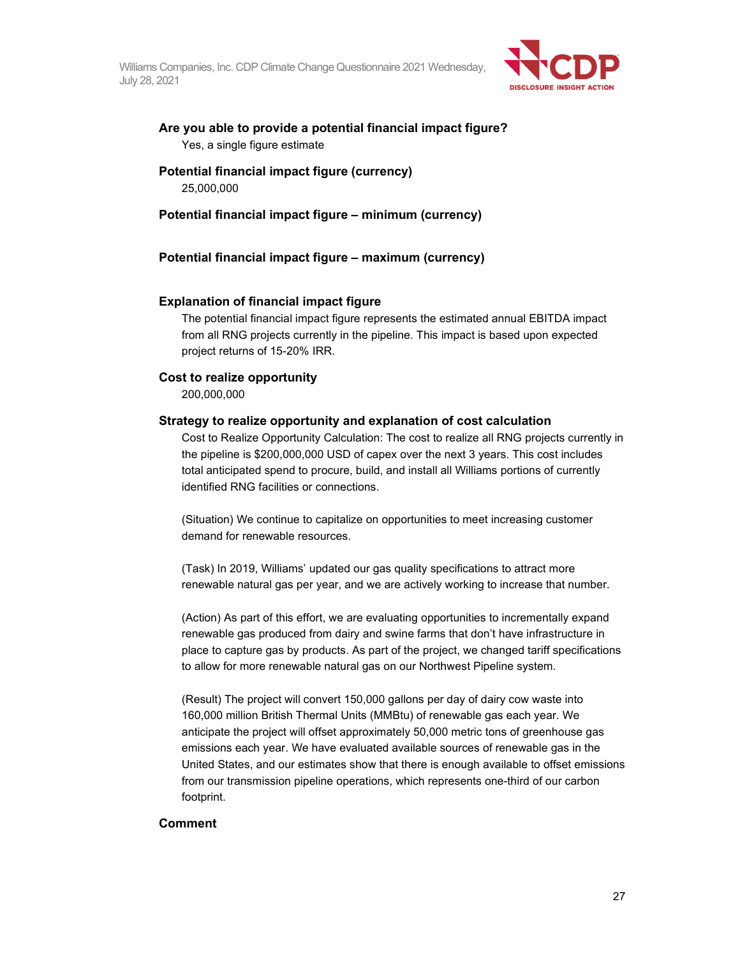

#### **Are you able to provide a potential financial impact figure?**  Yes, a single figure estimate

#### **Potential financial impact figure (currency)**  25,000,000

#### **Potential financial impact figure – minimum (currency)**

#### **Potential financial impact figure – maximum (currency)**

#### **Explanation of financial impact figure**

The potential financial impact figure represents the estimated annual EBITDA impact from all RNG projects currently in the pipeline. This impact is based upon expected project returns of 15-20% IRR.

#### **Cost to realize opportunity**

200,000,000

#### **Strategy to realize opportunity and explanation of cost calculation**

Cost to Realize Opportunity Calculation: The cost to realize all RNG projects currently in the pipeline is \$200,000,000 USD of capex over the next 3 years. This cost includes total anticipated spend to procure, build, and install all Williams portions of currently identified RNG facilities or connections.

(Situation) We continue to capitalize on opportunities to meet increasing customer demand for renewable resources.

(Task) In 2019, Williams' updated our gas quality specifications to attract more renewable natural gas per year, and we are actively working to increase that number.

(Action) As part of this effort, we are evaluating opportunities to incrementally expand renewable gas produced from dairy and swine farms that don't have infrastructure in place to capture gas by products. As part of the project, we changed tariff specifications to allow for more renewable natural gas on our Northwest Pipeline system.

(Result) The project will convert 150,000 gallons per day of dairy cow waste into 160,000 million British Thermal Units (MMBtu) of renewable gas each year. We anticipate the project will offset approximately 50,000 metric tons of greenhouse gas emissions each year. We have evaluated available sources of renewable gas in the United States, and our estimates show that there is enough available to offset emissions from our transmission pipeline operations, which represents one-third of our carbon footprint.

#### **Comment**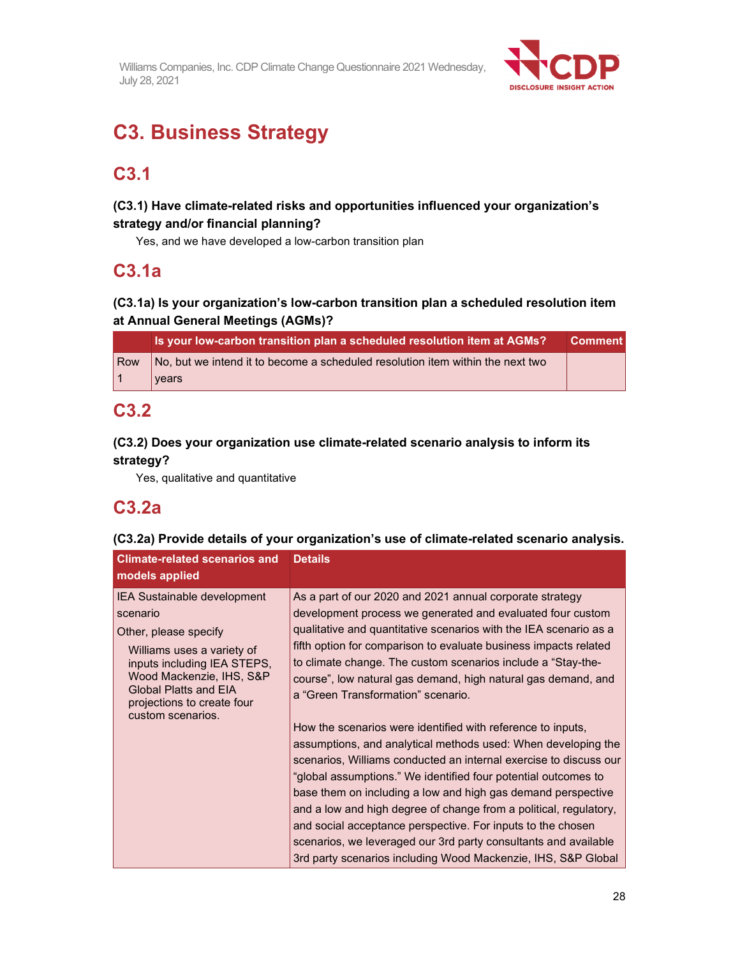

# **C3. Business Strategy**

## **C3.1**

### **(C3.1) Have climate-related risks and opportunities influenced your organization's strategy and/or financial planning?**

Yes, and we have developed a low-carbon transition plan

## **C3.1a**

### **(C3.1a) Is your organization's low-carbon transition plan a scheduled resolution item at Annual General Meetings (AGMs)?**

|     | Is your low-carbon transition plan a scheduled resolution item at AGMs?        | <b>Comment</b> |
|-----|--------------------------------------------------------------------------------|----------------|
| Row | No, but we intend it to become a scheduled resolution item within the next two |                |
| l 1 | vears                                                                          |                |

## **C3.2**

### **(C3.2) Does your organization use climate-related scenario analysis to inform its strategy?**

Yes, qualitative and quantitative

## **C3.2a**

### **(C3.2a) Provide details of your organization's use of climate-related scenario analysis.**

| <b>Climate-related scenarios and</b><br>models applied                                                                                                                                                                                              | <b>Details</b>                                                                                                                                                                                                                                                                                                                                                                                                                                                                                                                                                                                                                              |
|-----------------------------------------------------------------------------------------------------------------------------------------------------------------------------------------------------------------------------------------------------|---------------------------------------------------------------------------------------------------------------------------------------------------------------------------------------------------------------------------------------------------------------------------------------------------------------------------------------------------------------------------------------------------------------------------------------------------------------------------------------------------------------------------------------------------------------------------------------------------------------------------------------------|
| <b>IEA Sustainable development</b><br>scenario<br>Other, please specify<br>Williams uses a variety of<br>inputs including IEA STEPS,<br>Wood Mackenzie, IHS, S&P<br><b>Global Platts and EIA</b><br>projections to create four<br>custom scenarios. | As a part of our 2020 and 2021 annual corporate strategy<br>development process we generated and evaluated four custom<br>qualitative and quantitative scenarios with the IEA scenario as a<br>fifth option for comparison to evaluate business impacts related<br>to climate change. The custom scenarios include a "Stay-the-<br>course", low natural gas demand, high natural gas demand, and<br>a "Green Transformation" scenario.<br>How the scenarios were identified with reference to inputs,<br>assumptions, and analytical methods used: When developing the<br>scenarios, Williams conducted an internal exercise to discuss our |
|                                                                                                                                                                                                                                                     | "global assumptions." We identified four potential outcomes to<br>base them on including a low and high gas demand perspective<br>and a low and high degree of change from a political, regulatory,<br>and social acceptance perspective. For inputs to the chosen<br>scenarios, we leveraged our 3rd party consultants and available<br>3rd party scenarios including Wood Mackenzie, IHS, S&P Global                                                                                                                                                                                                                                      |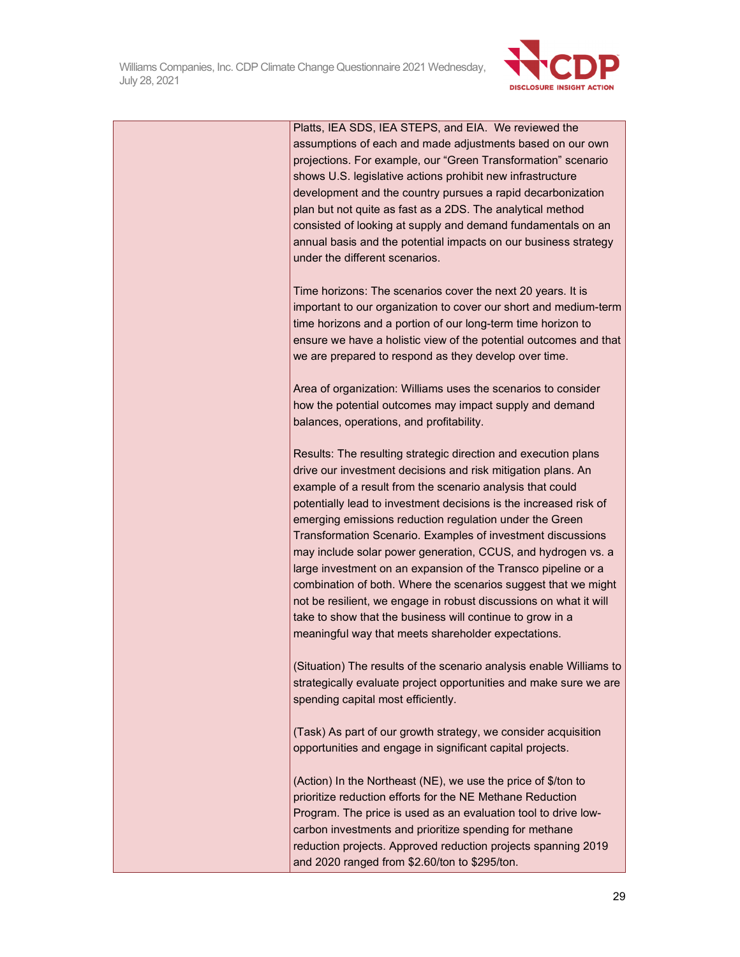

| Platts, IEA SDS, IEA STEPS, and EIA. We reviewed the            |
|-----------------------------------------------------------------|
| assumptions of each and made adjustments based on our own       |
| projections. For example, our "Green Transformation" scenario   |
| shows U.S. legislative actions prohibit new infrastructure      |
| development and the country pursues a rapid decarbonization     |
| plan but not quite as fast as a 2DS. The analytical method      |
| consisted of looking at supply and demand fundamentals on an    |
| annual basis and the potential impacts on our business strategy |
| under the different scenarios.                                  |

Time horizons: The scenarios cover the next 20 years. It is important to our organization to cover our short and medium-term time horizons and a portion of our long-term time horizon to ensure we have a holistic view of the potential outcomes and that we are prepared to respond as they develop over time.

Area of organization: Williams uses the scenarios to consider how the potential outcomes may impact supply and demand balances, operations, and profitability.

Results: The resulting strategic direction and execution plans drive our investment decisions and risk mitigation plans. An example of a result from the scenario analysis that could potentially lead to investment decisions is the increased risk of emerging emissions reduction regulation under the Green Transformation Scenario. Examples of investment discussions may include solar power generation, CCUS, and hydrogen vs. a large investment on an expansion of the Transco pipeline or a combination of both. Where the scenarios suggest that we might not be resilient, we engage in robust discussions on what it will take to show that the business will continue to grow in a meaningful way that meets shareholder expectations.

(Situation) The results of the scenario analysis enable Williams to strategically evaluate project opportunities and make sure we are spending capital most efficiently.

(Task) As part of our growth strategy, we consider acquisition opportunities and engage in significant capital projects.

(Action) In the Northeast (NE), we use the price of \$/ton to prioritize reduction efforts for the NE Methane Reduction Program. The price is used as an evaluation tool to drive lowcarbon investments and prioritize spending for methane reduction projects. Approved reduction projects spanning 2019 and 2020 ranged from \$2.60/ton to \$295/ton.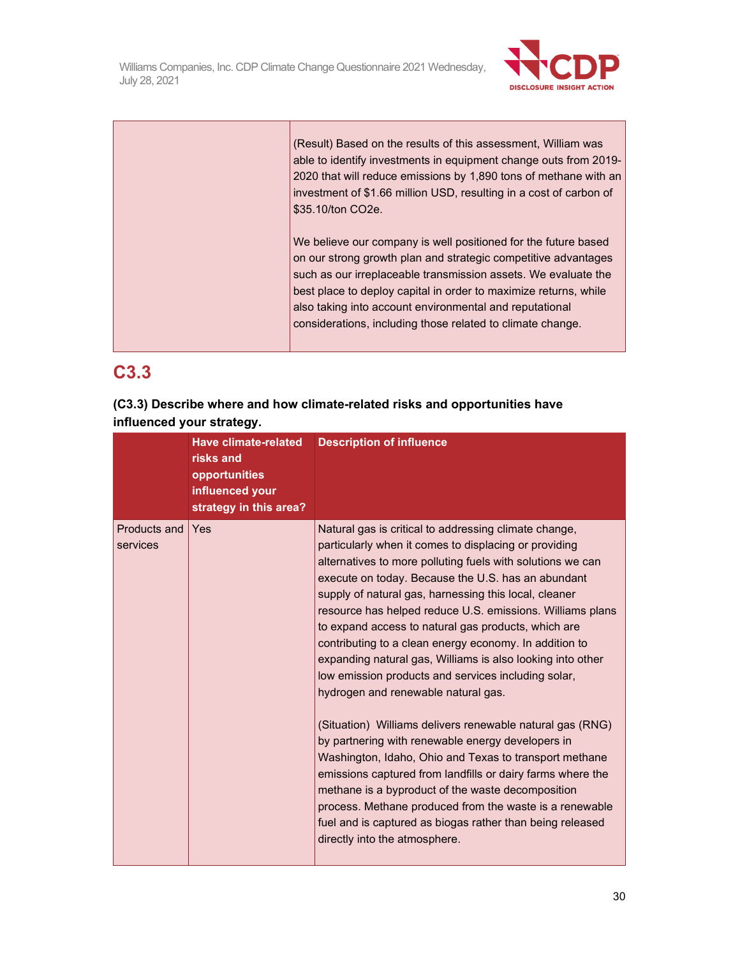

| (Result) Based on the results of this assessment, William was<br>able to identify investments in equipment change outs from 2019-<br>2020 that will reduce emissions by 1,890 tons of methane with an<br>investment of \$1.66 million USD, resulting in a cost of carbon of<br>\$35.10/ton CO2e.                                                                                                |
|-------------------------------------------------------------------------------------------------------------------------------------------------------------------------------------------------------------------------------------------------------------------------------------------------------------------------------------------------------------------------------------------------|
| We believe our company is well positioned for the future based<br>on our strong growth plan and strategic competitive advantages<br>such as our irreplaceable transmission assets. We evaluate the<br>best place to deploy capital in order to maximize returns, while<br>also taking into account environmental and reputational<br>considerations, including those related to climate change. |

# **C3.3**

|                           |  |  | (C3.3) Describe where and how climate-related risks and opportunities have |  |
|---------------------------|--|--|----------------------------------------------------------------------------|--|
| influenced your strategy. |  |  |                                                                            |  |

|                          | Have climate-related<br>risks and<br>opportunities<br>influenced your<br>strategy in this area? | <b>Description of influence</b>                                                                                                                                                                                                                                                                                                                                                                                                                                                                                                                                                                                                                                                                                                                                                                                                                                                                                                                                                                                                                                                               |
|--------------------------|-------------------------------------------------------------------------------------------------|-----------------------------------------------------------------------------------------------------------------------------------------------------------------------------------------------------------------------------------------------------------------------------------------------------------------------------------------------------------------------------------------------------------------------------------------------------------------------------------------------------------------------------------------------------------------------------------------------------------------------------------------------------------------------------------------------------------------------------------------------------------------------------------------------------------------------------------------------------------------------------------------------------------------------------------------------------------------------------------------------------------------------------------------------------------------------------------------------|
| Products and<br>services | Yes                                                                                             | Natural gas is critical to addressing climate change,<br>particularly when it comes to displacing or providing<br>alternatives to more polluting fuels with solutions we can<br>execute on today. Because the U.S. has an abundant<br>supply of natural gas, harnessing this local, cleaner<br>resource has helped reduce U.S. emissions. Williams plans<br>to expand access to natural gas products, which are<br>contributing to a clean energy economy. In addition to<br>expanding natural gas, Williams is also looking into other<br>low emission products and services including solar,<br>hydrogen and renewable natural gas.<br>(Situation) Williams delivers renewable natural gas (RNG)<br>by partnering with renewable energy developers in<br>Washington, Idaho, Ohio and Texas to transport methane<br>emissions captured from landfills or dairy farms where the<br>methane is a byproduct of the waste decomposition<br>process. Methane produced from the waste is a renewable<br>fuel and is captured as biogas rather than being released<br>directly into the atmosphere. |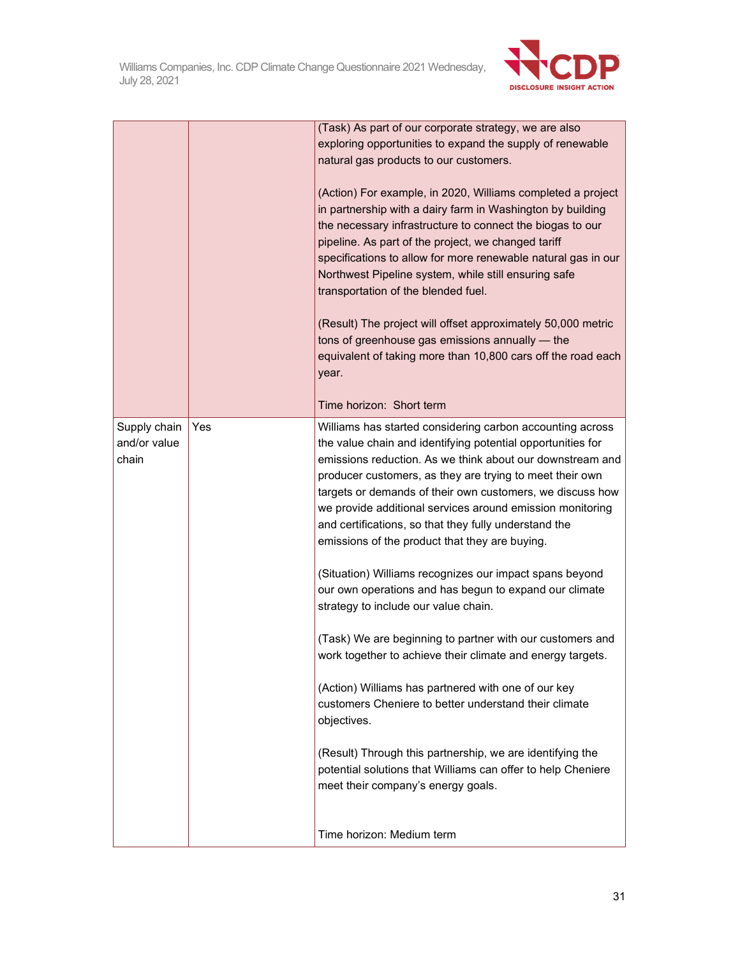

|                                       |     | (Task) As part of our corporate strategy, we are also<br>exploring opportunities to expand the supply of renewable<br>natural gas products to our customers.<br>(Action) For example, in 2020, Williams completed a project<br>in partnership with a dairy farm in Washington by building<br>the necessary infrastructure to connect the biogas to our<br>pipeline. As part of the project, we changed tariff<br>specifications to allow for more renewable natural gas in our<br>Northwest Pipeline system, while still ensuring safe<br>transportation of the blended fuel.<br>(Result) The project will offset approximately 50,000 metric<br>tons of greenhouse gas emissions annually - the<br>equivalent of taking more than 10,800 cars off the road each<br>year.                                                                                                                                                                                                                                                                                                        |
|---------------------------------------|-----|----------------------------------------------------------------------------------------------------------------------------------------------------------------------------------------------------------------------------------------------------------------------------------------------------------------------------------------------------------------------------------------------------------------------------------------------------------------------------------------------------------------------------------------------------------------------------------------------------------------------------------------------------------------------------------------------------------------------------------------------------------------------------------------------------------------------------------------------------------------------------------------------------------------------------------------------------------------------------------------------------------------------------------------------------------------------------------|
|                                       |     | Time horizon: Short term                                                                                                                                                                                                                                                                                                                                                                                                                                                                                                                                                                                                                                                                                                                                                                                                                                                                                                                                                                                                                                                         |
| Supply chain<br>and/or value<br>chain | Yes | Williams has started considering carbon accounting across<br>the value chain and identifying potential opportunities for<br>emissions reduction. As we think about our downstream and<br>producer customers, as they are trying to meet their own<br>targets or demands of their own customers, we discuss how<br>we provide additional services around emission monitoring<br>and certifications, so that they fully understand the<br>emissions of the product that they are buying.<br>(Situation) Williams recognizes our impact spans beyond<br>our own operations and has begun to expand our climate<br>strategy to include our value chain.<br>(Task) We are beginning to partner with our customers and<br>work together to achieve their climate and energy targets.<br>(Action) Williams has partnered with one of our key<br>customers Cheniere to better understand their climate<br>objectives.<br>(Result) Through this partnership, we are identifying the<br>potential solutions that Williams can offer to help Cheniere<br>meet their company's energy goals. |
|                                       |     | Time horizon: Medium term                                                                                                                                                                                                                                                                                                                                                                                                                                                                                                                                                                                                                                                                                                                                                                                                                                                                                                                                                                                                                                                        |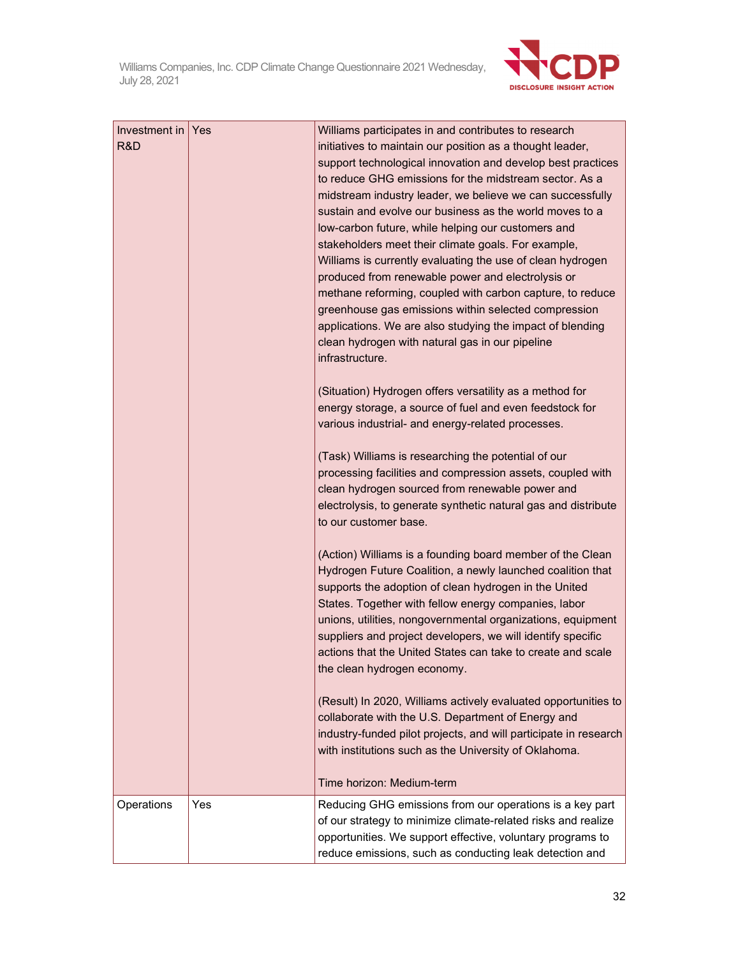

| Time horizon: Medium-term<br>Operations<br>Yes<br>Reducing GHG emissions from our operations is a key part | Investment in $\sqrt{Y}$ es<br>R&D | Williams participates in and contributes to research<br>initiatives to maintain our position as a thought leader,<br>support technological innovation and develop best practices<br>to reduce GHG emissions for the midstream sector. As a<br>midstream industry leader, we believe we can successfully<br>sustain and evolve our business as the world moves to a<br>low-carbon future, while helping our customers and<br>stakeholders meet their climate goals. For example,<br>Williams is currently evaluating the use of clean hydrogen<br>produced from renewable power and electrolysis or<br>methane reforming, coupled with carbon capture, to reduce<br>greenhouse gas emissions within selected compression<br>applications. We are also studying the impact of blending<br>clean hydrogen with natural gas in our pipeline<br>infrastructure.<br>(Situation) Hydrogen offers versatility as a method for<br>energy storage, a source of fuel and even feedstock for<br>various industrial- and energy-related processes.<br>(Task) Williams is researching the potential of our<br>processing facilities and compression assets, coupled with<br>clean hydrogen sourced from renewable power and<br>electrolysis, to generate synthetic natural gas and distribute<br>to our customer base.<br>(Action) Williams is a founding board member of the Clean<br>Hydrogen Future Coalition, a newly launched coalition that<br>supports the adoption of clean hydrogen in the United<br>States. Together with fellow energy companies, labor<br>unions, utilities, nongovernmental organizations, equipment<br>suppliers and project developers, we will identify specific<br>actions that the United States can take to create and scale<br>the clean hydrogen economy.<br>(Result) In 2020, Williams actively evaluated opportunities to<br>collaborate with the U.S. Department of Energy and<br>industry-funded pilot projects, and will participate in research<br>with institutions such as the University of Oklahoma. |
|------------------------------------------------------------------------------------------------------------|------------------------------------|---------------------------------------------------------------------------------------------------------------------------------------------------------------------------------------------------------------------------------------------------------------------------------------------------------------------------------------------------------------------------------------------------------------------------------------------------------------------------------------------------------------------------------------------------------------------------------------------------------------------------------------------------------------------------------------------------------------------------------------------------------------------------------------------------------------------------------------------------------------------------------------------------------------------------------------------------------------------------------------------------------------------------------------------------------------------------------------------------------------------------------------------------------------------------------------------------------------------------------------------------------------------------------------------------------------------------------------------------------------------------------------------------------------------------------------------------------------------------------------------------------------------------------------------------------------------------------------------------------------------------------------------------------------------------------------------------------------------------------------------------------------------------------------------------------------------------------------------------------------------------------------------------------------------------------------------------------------------------------------------------------------------------------------|
| opportunities. We support effective, voluntary programs to                                                 |                                    | of our strategy to minimize climate-related risks and realize                                                                                                                                                                                                                                                                                                                                                                                                                                                                                                                                                                                                                                                                                                                                                                                                                                                                                                                                                                                                                                                                                                                                                                                                                                                                                                                                                                                                                                                                                                                                                                                                                                                                                                                                                                                                                                                                                                                                                                         |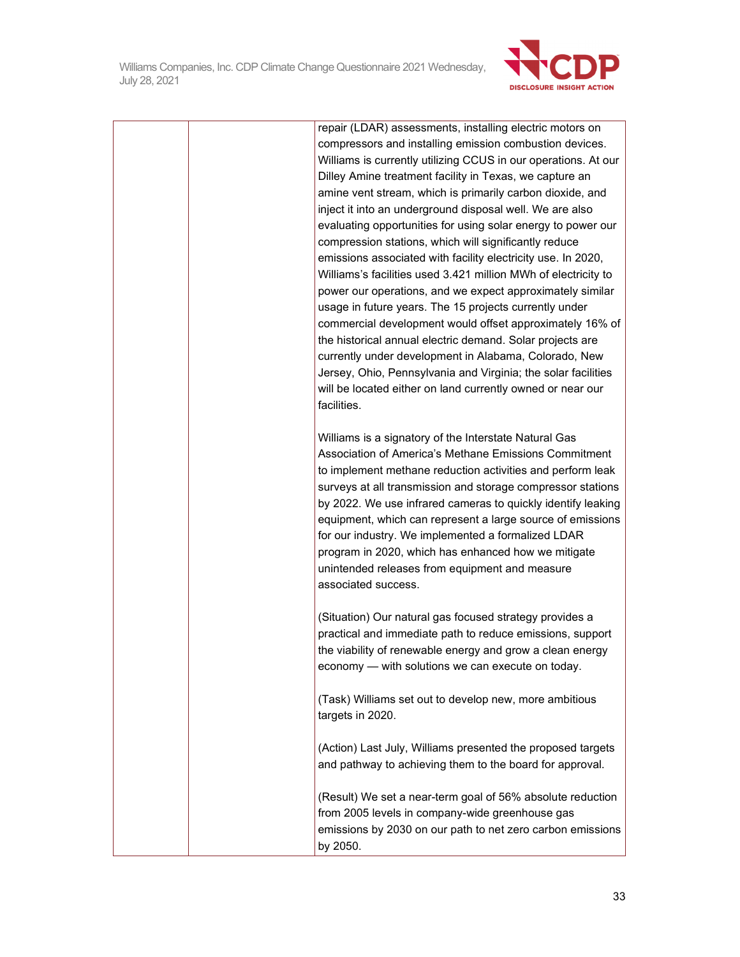

| repair (LDAR) assessments, installing electric motors on<br>compressors and installing emission combustion devices.<br>Williams is currently utilizing CCUS in our operations. At our<br>Dilley Amine treatment facility in Texas, we capture an<br>amine vent stream, which is primarily carbon dioxide, and<br>inject it into an underground disposal well. We are also<br>evaluating opportunities for using solar energy to power our<br>compression stations, which will significantly reduce<br>emissions associated with facility electricity use. In 2020,<br>Williams's facilities used 3.421 million MWh of electricity to<br>power our operations, and we expect approximately similar<br>usage in future years. The 15 projects currently under<br>commercial development would offset approximately 16% of<br>the historical annual electric demand. Solar projects are<br>currently under development in Alabama, Colorado, New<br>Jersey, Ohio, Pennsylvania and Virginia; the solar facilities<br>will be located either on land currently owned or near our |
|------------------------------------------------------------------------------------------------------------------------------------------------------------------------------------------------------------------------------------------------------------------------------------------------------------------------------------------------------------------------------------------------------------------------------------------------------------------------------------------------------------------------------------------------------------------------------------------------------------------------------------------------------------------------------------------------------------------------------------------------------------------------------------------------------------------------------------------------------------------------------------------------------------------------------------------------------------------------------------------------------------------------------------------------------------------------------|
| facilities.<br>Williams is a signatory of the Interstate Natural Gas<br>Association of America's Methane Emissions Commitment<br>to implement methane reduction activities and perform leak<br>surveys at all transmission and storage compressor stations<br>by 2022. We use infrared cameras to quickly identify leaking<br>equipment, which can represent a large source of emissions<br>for our industry. We implemented a formalized LDAR<br>program in 2020, which has enhanced how we mitigate<br>unintended releases from equipment and measure<br>associated success.                                                                                                                                                                                                                                                                                                                                                                                                                                                                                               |
| (Situation) Our natural gas focused strategy provides a<br>practical and immediate path to reduce emissions, support<br>the viability of renewable energy and grow a clean energy<br>economy - with solutions we can execute on today.<br>(Task) Williams set out to develop new, more ambitious<br>targets in 2020.                                                                                                                                                                                                                                                                                                                                                                                                                                                                                                                                                                                                                                                                                                                                                         |
| (Action) Last July, Williams presented the proposed targets<br>and pathway to achieving them to the board for approval.<br>(Result) We set a near-term goal of 56% absolute reduction<br>from 2005 levels in company-wide greenhouse gas<br>emissions by 2030 on our path to net zero carbon emissions<br>by 2050.                                                                                                                                                                                                                                                                                                                                                                                                                                                                                                                                                                                                                                                                                                                                                           |
|                                                                                                                                                                                                                                                                                                                                                                                                                                                                                                                                                                                                                                                                                                                                                                                                                                                                                                                                                                                                                                                                              |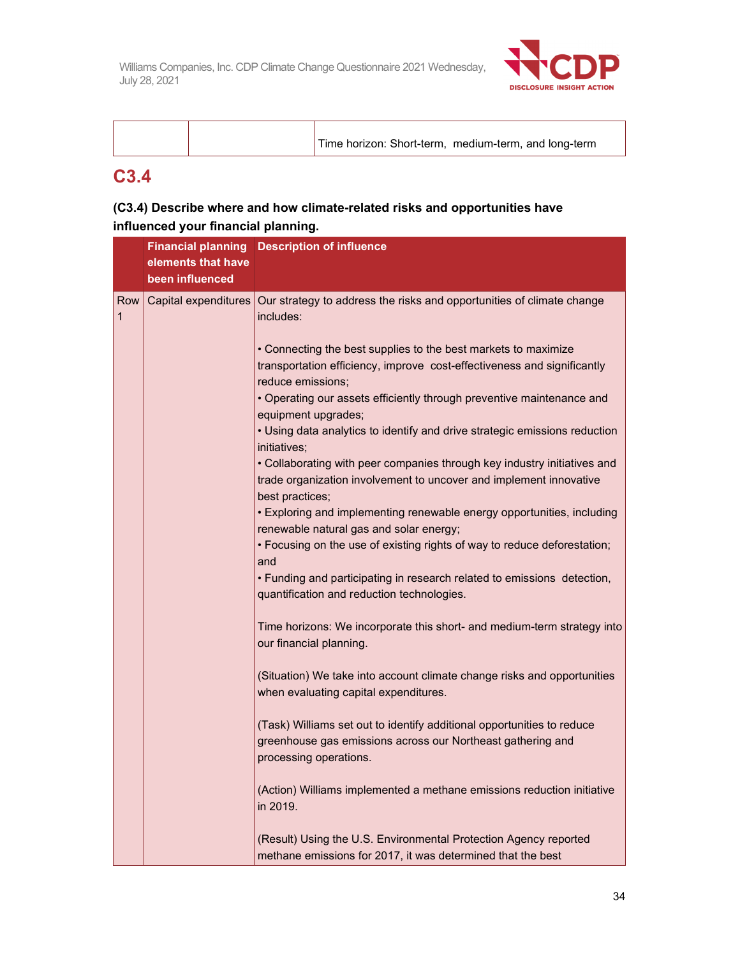

|  | Time horizon: Short-term, medium-term, and long-term |
|--|------------------------------------------------------|
|  |                                                      |

## **C3.4**

### **(C3.4) Describe where and how climate-related risks and opportunities have influenced your financial planning.**

|                      |                    | <b>Financial planning Description of influence</b>                                                                                                                                                                                      |
|----------------------|--------------------|-----------------------------------------------------------------------------------------------------------------------------------------------------------------------------------------------------------------------------------------|
|                      | elements that have |                                                                                                                                                                                                                                         |
|                      | been influenced    |                                                                                                                                                                                                                                         |
| Row  <br>$\mathbf 1$ |                    | Capital expenditures   Our strategy to address the risks and opportunities of climate change<br>includes:                                                                                                                               |
|                      |                    | • Connecting the best supplies to the best markets to maximize<br>transportation efficiency, improve cost-effectiveness and significantly<br>reduce emissions;<br>• Operating our assets efficiently through preventive maintenance and |
|                      |                    | equipment upgrades;<br>• Using data analytics to identify and drive strategic emissions reduction<br>initiatives;                                                                                                                       |
|                      |                    | • Collaborating with peer companies through key industry initiatives and<br>trade organization involvement to uncover and implement innovative<br>best practices;                                                                       |
|                      |                    | • Exploring and implementing renewable energy opportunities, including<br>renewable natural gas and solar energy;                                                                                                                       |
|                      |                    | . Focusing on the use of existing rights of way to reduce deforestation;<br>and                                                                                                                                                         |
|                      |                    | . Funding and participating in research related to emissions detection,<br>quantification and reduction technologies.                                                                                                                   |
|                      |                    | Time horizons: We incorporate this short- and medium-term strategy into<br>our financial planning.                                                                                                                                      |
|                      |                    | (Situation) We take into account climate change risks and opportunities<br>when evaluating capital expenditures.                                                                                                                        |
|                      |                    | (Task) Williams set out to identify additional opportunities to reduce<br>greenhouse gas emissions across our Northeast gathering and<br>processing operations.                                                                         |
|                      |                    | (Action) Williams implemented a methane emissions reduction initiative<br>in 2019.                                                                                                                                                      |
|                      |                    | (Result) Using the U.S. Environmental Protection Agency reported<br>methane emissions for 2017, it was determined that the best                                                                                                         |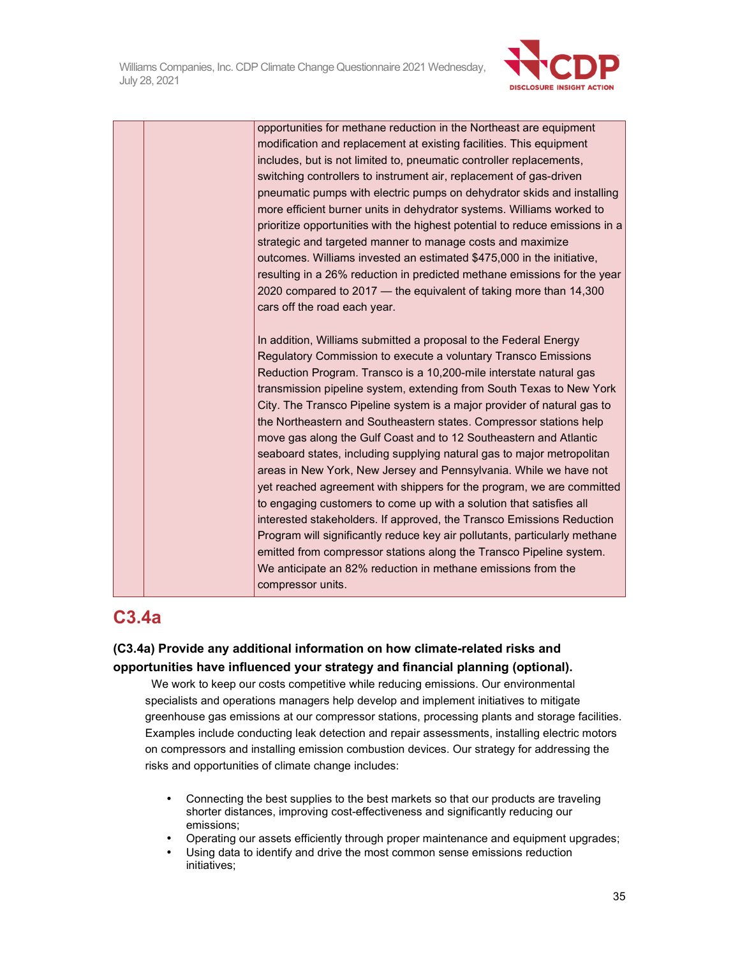

opportunities for methane reduction in the Northeast are equipment modification and replacement at existing facilities. This equipment includes, but is not limited to, pneumatic controller replacements, switching controllers to instrument air, replacement of gas-driven pneumatic pumps with electric pumps on dehydrator skids and installing more efficient burner units in dehydrator systems. Williams worked to prioritize opportunities with the highest potential to reduce emissions in a strategic and targeted manner to manage costs and maximize outcomes. Williams invested an estimated \$475,000 in the initiative, resulting in a 26% reduction in predicted methane emissions for the year 2020 compared to 2017 — the equivalent of taking more than 14,300 cars off the road each year.

In addition, Williams submitted a proposal to the Federal Energy Regulatory Commission to execute a voluntary Transco Emissions Reduction Program. Transco is a 10,200-mile interstate natural gas transmission pipeline system, extending from South Texas to New York City. The Transco Pipeline system is a major provider of natural gas to the Northeastern and Southeastern states. Compressor stations help move gas along the Gulf Coast and to 12 Southeastern and Atlantic seaboard states, including supplying natural gas to major metropolitan areas in New York, New Jersey and Pennsylvania. While we have not yet reached agreement with shippers for the program, we are committed to engaging customers to come up with a solution that satisfies all interested stakeholders. If approved, the Transco Emissions Reduction Program will significantly reduce key air pollutants, particularly methane emitted from compressor stations along the Transco Pipeline system. We anticipate an 82% reduction in methane emissions from the compressor units.

## **C3.4a**

### **(C3.4a) Provide any additional information on how climate-related risks and opportunities have influenced your strategy and financial planning (optional).**

 We work to keep our costs competitive while reducing emissions. Our environmental specialists and operations managers help develop and implement initiatives to mitigate greenhouse gas emissions at our compressor stations, processing plants and storage facilities. Examples include conducting leak detection and repair assessments, installing electric motors on compressors and installing emission combustion devices. Our strategy for addressing the risks and opportunities of climate change includes:

- Connecting the best supplies to the best markets so that our products are traveling shorter distances, improving cost-effectiveness and significantly reducing our emissions;
- Operating our assets efficiently through proper maintenance and equipment upgrades;
- Using data to identify and drive the most common sense emissions reduction initiatives;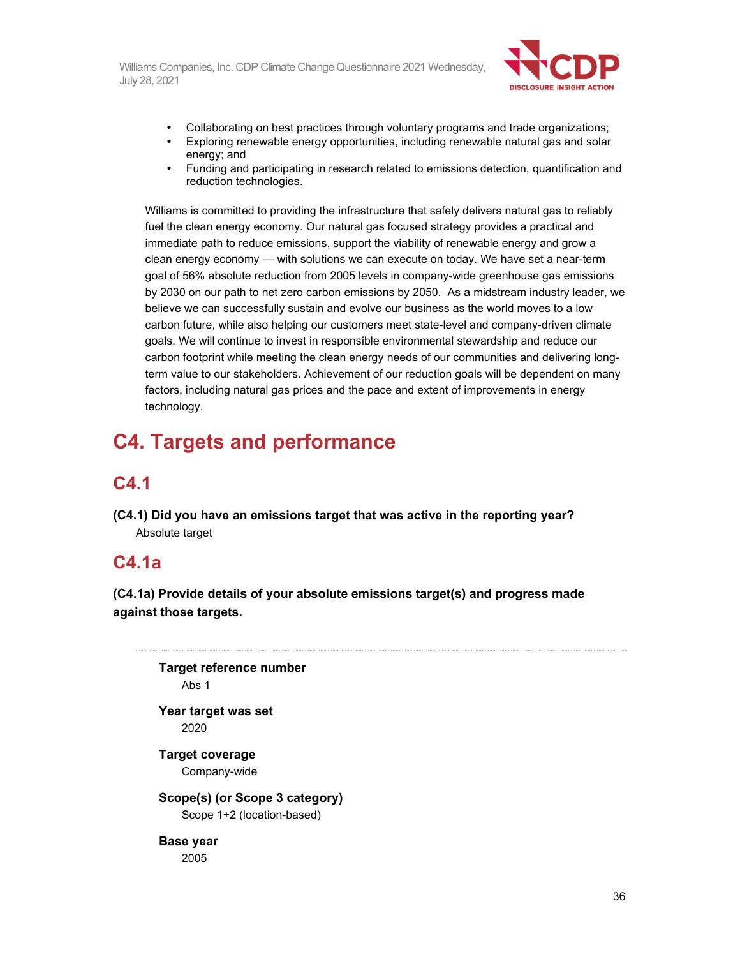

- Collaborating on best practices through voluntary programs and trade organizations;
- Exploring renewable energy opportunities, including renewable natural gas and solar energy; and
- Funding and participating in research related to emissions detection, quantification and reduction technologies.

Williams is committed to providing the infrastructure that safely delivers natural gas to reliably fuel the clean energy economy. Our natural gas focused strategy provides a practical and immediate path to reduce emissions, support the viability of renewable energy and grow a clean energy economy — with solutions we can execute on today. We have set a near-term goal of 56% absolute reduction from 2005 levels in company-wide greenhouse gas emissions by 2030 on our path to net zero carbon emissions by 2050. As a midstream industry leader, we believe we can successfully sustain and evolve our business as the world moves to a low carbon future, while also helping our customers meet state-level and company-driven climate goals. We will continue to invest in responsible environmental stewardship and reduce our carbon footprint while meeting the clean energy needs of our communities and delivering longterm value to our stakeholders. Achievement of our reduction goals will be dependent on many factors, including natural gas prices and the pace and extent of improvements in energy technology.

# **C4. Targets and performance**

## **C4.1**

**(C4.1) Did you have an emissions target that was active in the reporting year?**  Absolute target

### **C4.1a**

**(C4.1a) Provide details of your absolute emissions target(s) and progress made against those targets.** 

**Target reference number**  Abs 1 **Year target was set**  2020 **Target coverage**  Company-wide **Scope(s) (or Scope 3 category)**  Scope 1+2 (location-based) **Base year**  2005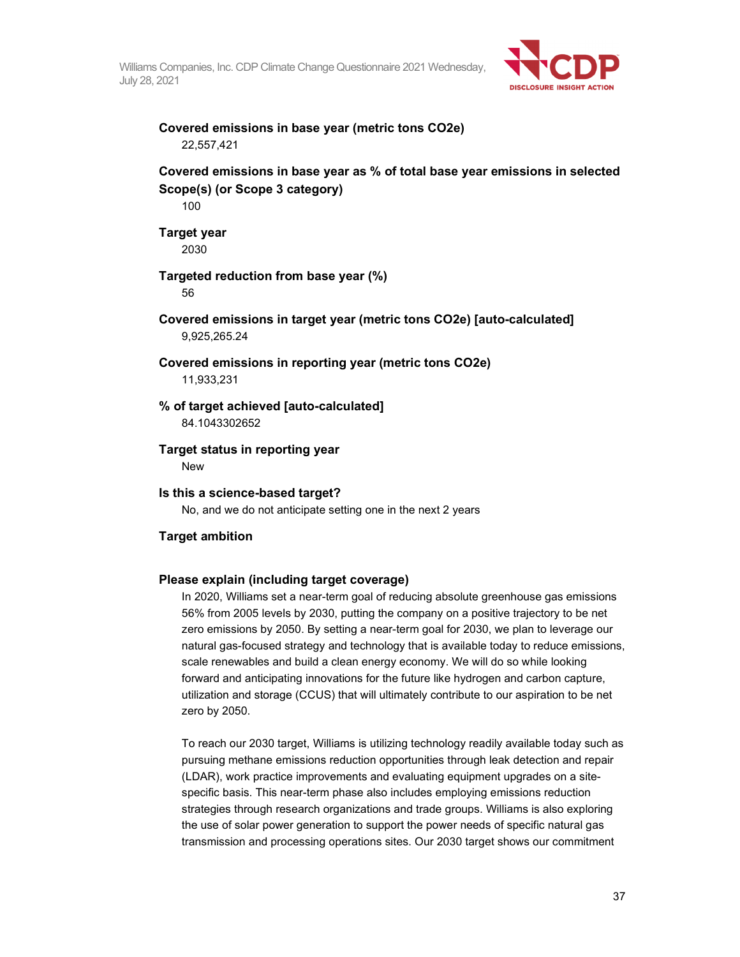

## **Covered emissions in base year (metric tons CO2e)**  22,557,421

## **Covered emissions in base year as % of total base year emissions in selected Scope(s) (or Scope 3 category)**

100

#### **Target year**  2030

## **Targeted reduction from base year (%)**

56

**Covered emissions in target year (metric tons CO2e) [auto-calculated]**  9,925,265.24

#### **Covered emissions in reporting year (metric tons CO2e)**

11,933,231

# **% of target achieved [auto-calculated]**

84.1043302652

#### **Target status in reporting year**

**New** 

## **Is this a science-based target?**

No, and we do not anticipate setting one in the next 2 years

## **Target ambition**

## **Please explain (including target coverage)**

In 2020, Williams set a near-term goal of reducing absolute greenhouse gas emissions 56% from 2005 levels by 2030, putting the company on a positive trajectory to be net zero emissions by 2050. By setting a near-term goal for 2030, we plan to leverage our natural gas-focused strategy and technology that is available today to reduce emissions, scale renewables and build a clean energy economy. We will do so while looking forward and anticipating innovations for the future like hydrogen and carbon capture, utilization and storage (CCUS) that will ultimately contribute to our aspiration to be net zero by 2050.

To reach our 2030 target, Williams is utilizing technology readily available today such as pursuing methane emissions reduction opportunities through leak detection and repair (LDAR), work practice improvements and evaluating equipment upgrades on a sitespecific basis. This near-term phase also includes employing emissions reduction strategies through research organizations and trade groups. Williams is also exploring the use of solar power generation to support the power needs of specific natural gas transmission and processing operations sites. Our 2030 target shows our commitment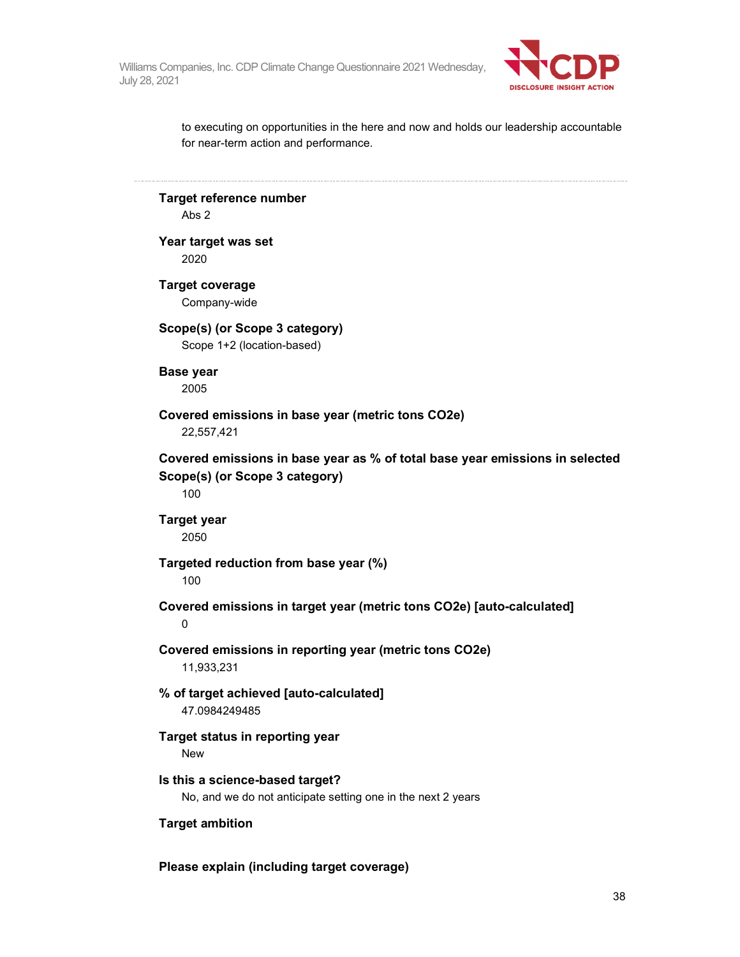

to executing on opportunities in the here and now and holds our leadership accountable for near-term action and performance.

**Target reference number**  Abs 2 **Year target was set**  2020 **Target coverage**  Company-wide **Scope(s) (or Scope 3 category)**  Scope 1+2 (location-based) **Base year**  2005 **Covered emissions in base year (metric tons CO2e)**  22,557,421 **Covered emissions in base year as % of total base year emissions in selected Scope(s) (or Scope 3 category)**  100 **Target year**  2050 **Targeted reduction from base year (%)**  100 **Covered emissions in target year (metric tons CO2e) [auto-calculated]**   $\Omega$ **Covered emissions in reporting year (metric tons CO2e)**  11,933,231 **% of target achieved [auto-calculated]**  47.0984249485 **Target status in reporting year**  New **Is this a science-based target?**  No, and we do not anticipate setting one in the next 2 years **Target ambition** 

**Please explain (including target coverage)**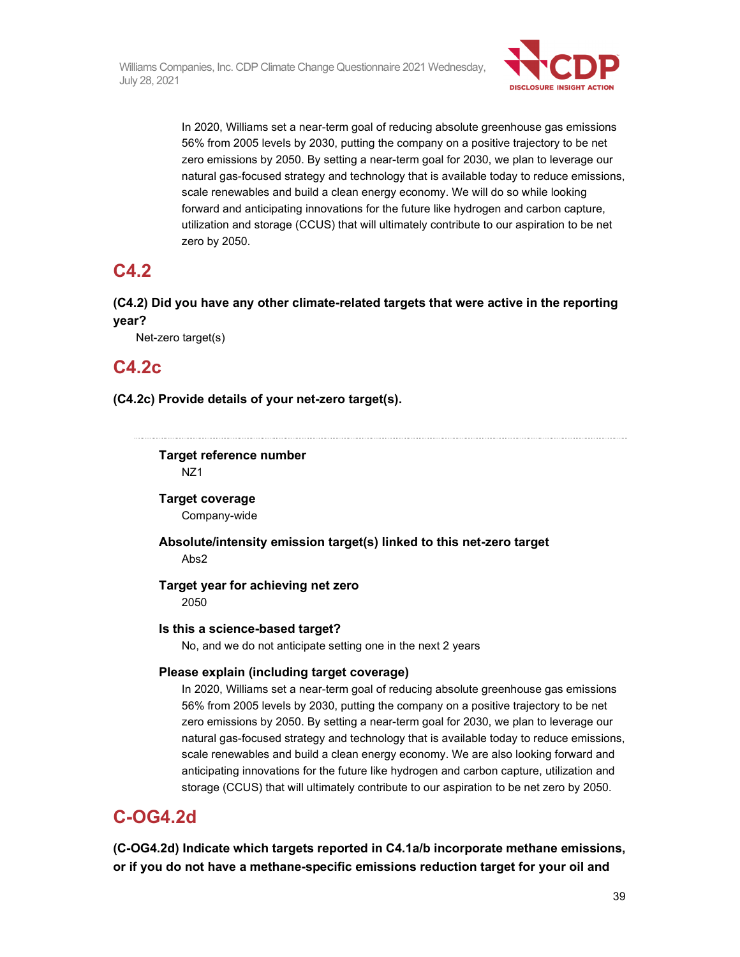

In 2020, Williams set a near-term goal of reducing absolute greenhouse gas emissions 56% from 2005 levels by 2030, putting the company on a positive trajectory to be net zero emissions by 2050. By setting a near-term goal for 2030, we plan to leverage our natural gas-focused strategy and technology that is available today to reduce emissions, scale renewables and build a clean energy economy. We will do so while looking forward and anticipating innovations for the future like hydrogen and carbon capture, utilization and storage (CCUS) that will ultimately contribute to our aspiration to be net zero by 2050.

# **C4.2**

**(C4.2) Did you have any other climate-related targets that were active in the reporting year?** 

Net-zero target(s)

# **C4.2c**

**(C4.2c) Provide details of your net-zero target(s).** 

**Target reference number**  NZ1

**Target coverage**  Company-wide

**Absolute/intensity emission target(s) linked to this net-zero target**  Abs2

**Target year for achieving net zero**  2050

## **Is this a science-based target?**

No, and we do not anticipate setting one in the next 2 years

## **Please explain (including target coverage)**

In 2020, Williams set a near-term goal of reducing absolute greenhouse gas emissions 56% from 2005 levels by 2030, putting the company on a positive trajectory to be net zero emissions by 2050. By setting a near-term goal for 2030, we plan to leverage our natural gas-focused strategy and technology that is available today to reduce emissions, scale renewables and build a clean energy economy. We are also looking forward and anticipating innovations for the future like hydrogen and carbon capture, utilization and storage (CCUS) that will ultimately contribute to our aspiration to be net zero by 2050.

# **C-OG4.2d**

**(C-OG4.2d) Indicate which targets reported in C4.1a/b incorporate methane emissions, or if you do not have a methane-specific emissions reduction target for your oil and**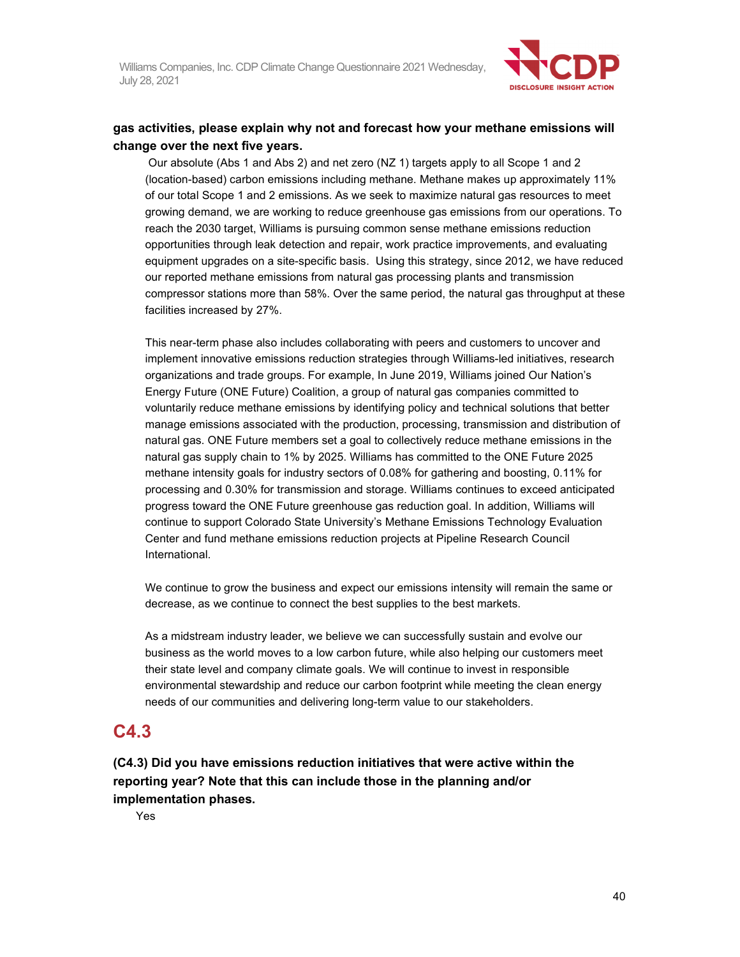

## **gas activities, please explain why not and forecast how your methane emissions will change over the next five years.**

 Our absolute (Abs 1 and Abs 2) and net zero (NZ 1) targets apply to all Scope 1 and 2 (location-based) carbon emissions including methane. Methane makes up approximately 11% of our total Scope 1 and 2 emissions. As we seek to maximize natural gas resources to meet growing demand, we are working to reduce greenhouse gas emissions from our operations. To reach the 2030 target, Williams is pursuing common sense methane emissions reduction opportunities through leak detection and repair, work practice improvements, and evaluating equipment upgrades on a site-specific basis. Using this strategy, since 2012, we have reduced our reported methane emissions from natural gas processing plants and transmission compressor stations more than 58%. Over the same period, the natural gas throughput at these facilities increased by 27%.

This near-term phase also includes collaborating with peers and customers to uncover and implement innovative emissions reduction strategies through Williams-led initiatives, research organizations and trade groups. For example, In June 2019, Williams joined Our Nation's Energy Future (ONE Future) Coalition, a group of natural gas companies committed to voluntarily reduce methane emissions by identifying policy and technical solutions that better manage emissions associated with the production, processing, transmission and distribution of natural gas. ONE Future members set a goal to collectively reduce methane emissions in the natural gas supply chain to 1% by 2025. Williams has committed to the ONE Future 2025 methane intensity goals for industry sectors of 0.08% for gathering and boosting, 0.11% for processing and 0.30% for transmission and storage. Williams continues to exceed anticipated progress toward the ONE Future greenhouse gas reduction goal. In addition, Williams will continue to support Colorado State University's Methane Emissions Technology Evaluation Center and fund methane emissions reduction projects at Pipeline Research Council International.

We continue to grow the business and expect our emissions intensity will remain the same or decrease, as we continue to connect the best supplies to the best markets.

As a midstream industry leader, we believe we can successfully sustain and evolve our business as the world moves to a low carbon future, while also helping our customers meet their state level and company climate goals. We will continue to invest in responsible environmental stewardship and reduce our carbon footprint while meeting the clean energy needs of our communities and delivering long-term value to our stakeholders.

# **C4.3**

**(C4.3) Did you have emissions reduction initiatives that were active within the reporting year? Note that this can include those in the planning and/or implementation phases.** 

Yes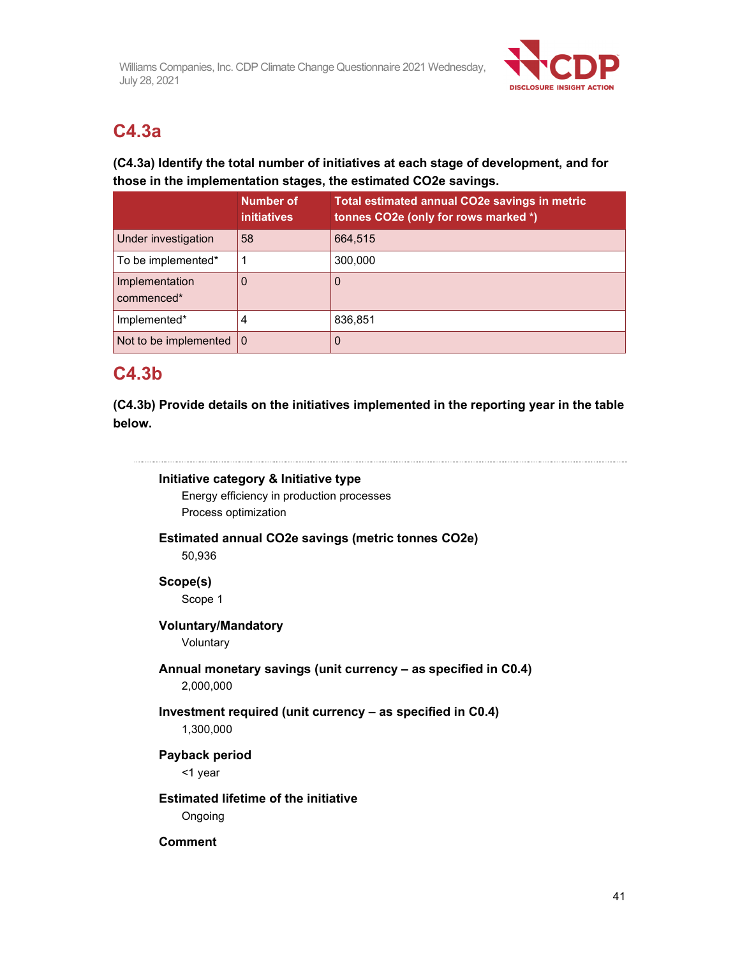

# **C4.3a**

# **(C4.3a) Identify the total number of initiatives at each stage of development, and for those in the implementation stages, the estimated CO2e savings.**

|                              | <b>Number of</b><br><i>initiatives</i> | Total estimated annual CO2e savings in metric<br>tonnes CO2e (only for rows marked *) |
|------------------------------|----------------------------------------|---------------------------------------------------------------------------------------|
| Under investigation          | 58                                     | 664,515                                                                               |
| To be implemented*           |                                        | 300,000                                                                               |
| Implementation<br>commenced* | 0                                      | 0                                                                                     |
| Implemented*                 | 4                                      | 836,851                                                                               |
| Not to be implemented        | $\Omega$                               | 0                                                                                     |

# **C4.3b**

**(C4.3b) Provide details on the initiatives implemented in the reporting year in the table below.** 

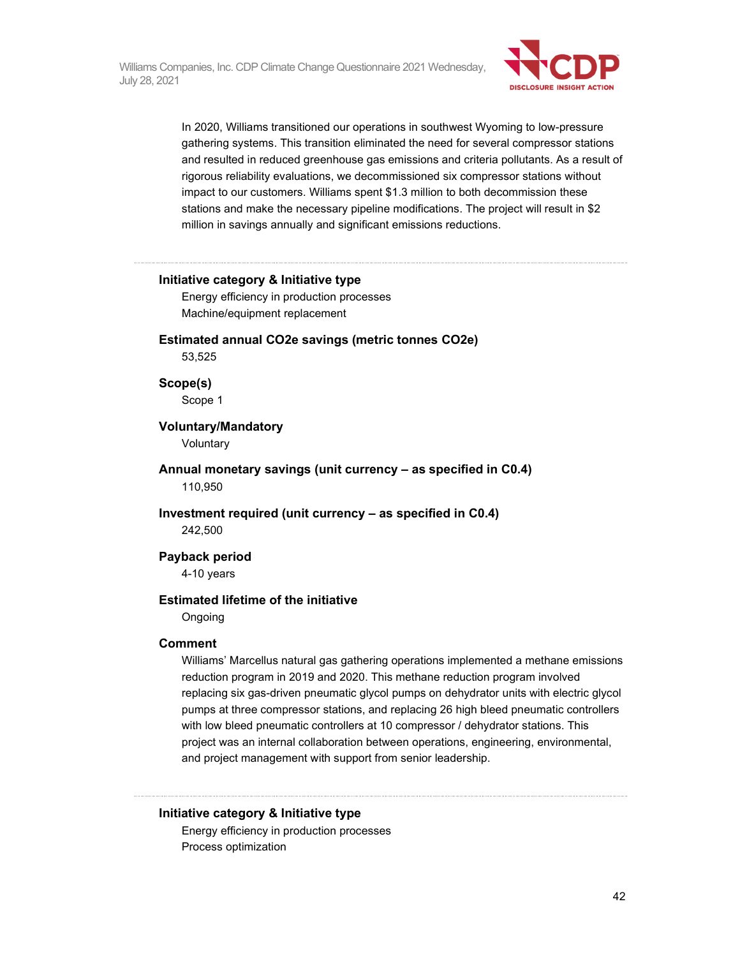

In 2020, Williams transitioned our operations in southwest Wyoming to low-pressure gathering systems. This transition eliminated the need for several compressor stations and resulted in reduced greenhouse gas emissions and criteria pollutants. As a result of rigorous reliability evaluations, we decommissioned six compressor stations without impact to our customers. Williams spent \$1.3 million to both decommission these stations and make the necessary pipeline modifications. The project will result in \$2 million in savings annually and significant emissions reductions.

#### **Initiative category & Initiative type**

Energy efficiency in production processes Machine/equipment replacement

**Estimated annual CO2e savings (metric tonnes CO2e)** 

53,525

#### **Scope(s)**

Scope 1

#### **Voluntary/Mandatory**

Voluntary

**Annual monetary savings (unit currency – as specified in C0.4)**  110,950

**Investment required (unit currency – as specified in C0.4)**  242,500

**Payback period** 

4-10 years

#### **Estimated lifetime of the initiative**

Ongoing

#### **Comment**

Williams' Marcellus natural gas gathering operations implemented a methane emissions reduction program in 2019 and 2020. This methane reduction program involved replacing six gas-driven pneumatic glycol pumps on dehydrator units with electric glycol pumps at three compressor stations, and replacing 26 high bleed pneumatic controllers with low bleed pneumatic controllers at 10 compressor / dehydrator stations. This project was an internal collaboration between operations, engineering, environmental, and project management with support from senior leadership.

#### **Initiative category & Initiative type**

Energy efficiency in production processes Process optimization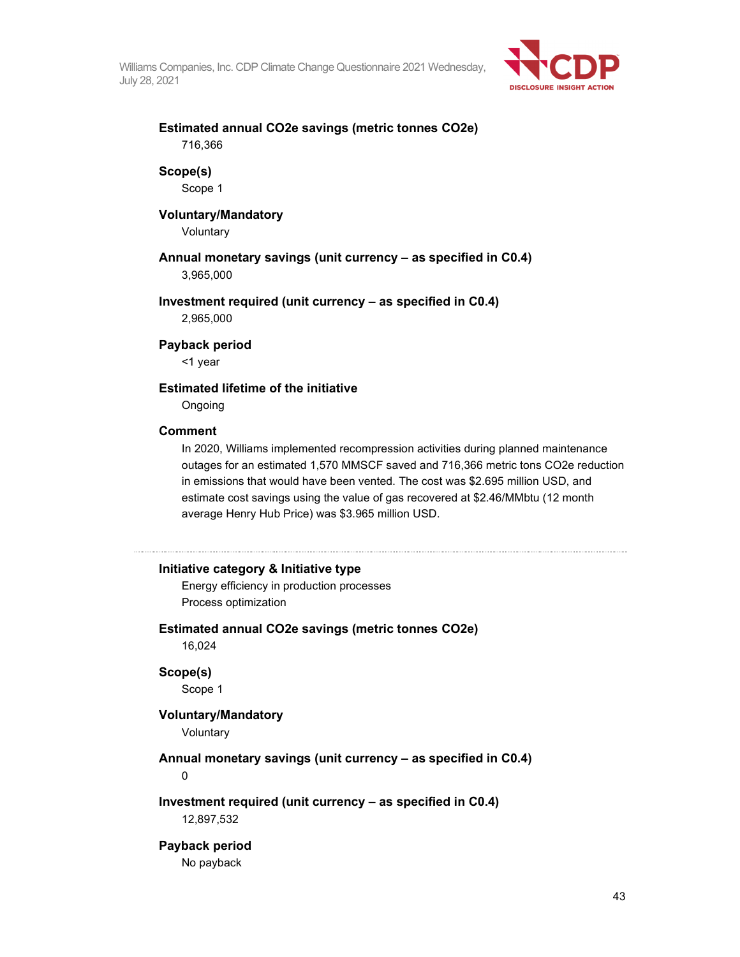

## **Estimated annual CO2e savings (metric tonnes CO2e)**  716,366

#### **Scope(s)**

Scope 1

#### **Voluntary/Mandatory**

Voluntary

## **Annual monetary savings (unit currency – as specified in C0.4)**

3,965,000

### **Investment required (unit currency – as specified in C0.4)**

2,965,000

#### **Payback period**

<1 year

#### **Estimated lifetime of the initiative**

Ongoing

#### **Comment**

In 2020, Williams implemented recompression activities during planned maintenance outages for an estimated 1,570 MMSCF saved and 716,366 metric tons CO2e reduction in emissions that would have been vented. The cost was \$2.695 million USD, and estimate cost savings using the value of gas recovered at \$2.46/MMbtu (12 month average Henry Hub Price) was \$3.965 million USD.

#### **Initiative category & Initiative type**

Energy efficiency in production processes Process optimization

#### **Estimated annual CO2e savings (metric tonnes CO2e)**

16,024

#### **Scope(s)**

Scope 1

### **Voluntary/Mandatory**

Voluntary

#### **Annual monetary savings (unit currency – as specified in C0.4)**

0

#### **Investment required (unit currency – as specified in C0.4)**  12,897,532

### **Payback period**  No payback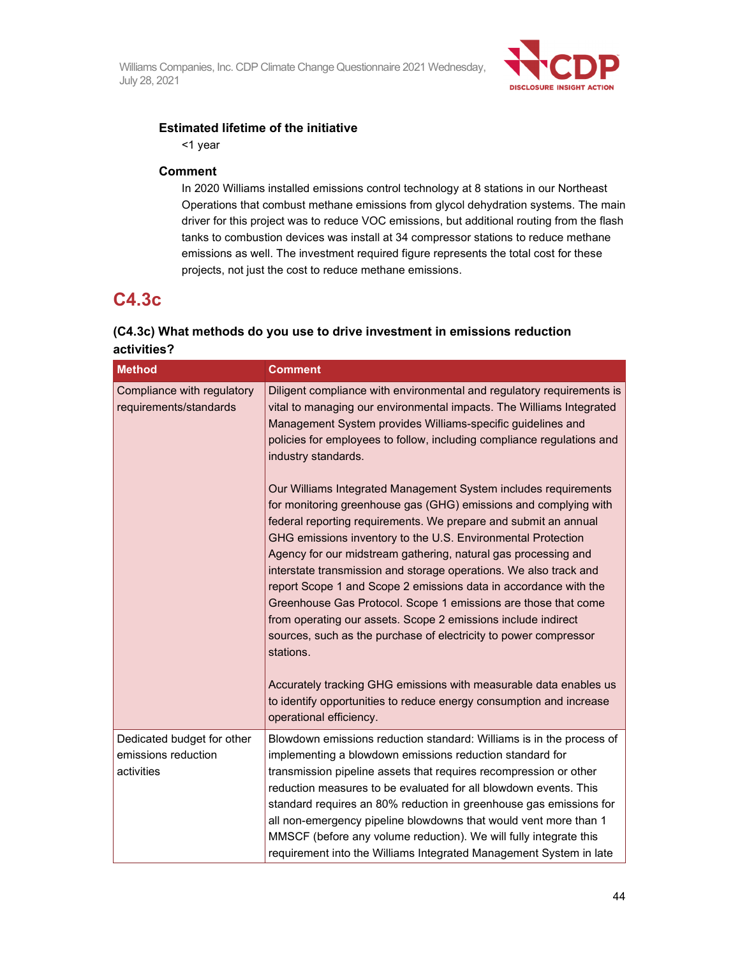

### **Estimated lifetime of the initiative**

<1 year

#### **Comment**

In 2020 Williams installed emissions control technology at 8 stations in our Northeast Operations that combust methane emissions from glycol dehydration systems. The main driver for this project was to reduce VOC emissions, but additional routing from the flash tanks to combustion devices was install at 34 compressor stations to reduce methane emissions as well. The investment required figure represents the total cost for these projects, not just the cost to reduce methane emissions.

# **C4.3c**

## **(C4.3c) What methods do you use to drive investment in emissions reduction activities?**

| <b>Method</b>                                        | <b>Comment</b>                                                                                                                                                                                                                                                                                                                                                                                                                                                                                                                                                                                                                                                                                        |
|------------------------------------------------------|-------------------------------------------------------------------------------------------------------------------------------------------------------------------------------------------------------------------------------------------------------------------------------------------------------------------------------------------------------------------------------------------------------------------------------------------------------------------------------------------------------------------------------------------------------------------------------------------------------------------------------------------------------------------------------------------------------|
| Compliance with regulatory<br>requirements/standards | Diligent compliance with environmental and regulatory requirements is<br>vital to managing our environmental impacts. The Williams Integrated<br>Management System provides Williams-specific guidelines and<br>policies for employees to follow, including compliance regulations and<br>industry standards.                                                                                                                                                                                                                                                                                                                                                                                         |
|                                                      | Our Williams Integrated Management System includes requirements<br>for monitoring greenhouse gas (GHG) emissions and complying with<br>federal reporting requirements. We prepare and submit an annual<br>GHG emissions inventory to the U.S. Environmental Protection<br>Agency for our midstream gathering, natural gas processing and<br>interstate transmission and storage operations. We also track and<br>report Scope 1 and Scope 2 emissions data in accordance with the<br>Greenhouse Gas Protocol. Scope 1 emissions are those that come<br>from operating our assets. Scope 2 emissions include indirect<br>sources, such as the purchase of electricity to power compressor<br>stations. |
|                                                      | Accurately tracking GHG emissions with measurable data enables us<br>to identify opportunities to reduce energy consumption and increase<br>operational efficiency.                                                                                                                                                                                                                                                                                                                                                                                                                                                                                                                                   |
| Dedicated budget for other<br>emissions reduction    | Blowdown emissions reduction standard: Williams is in the process of<br>implementing a blowdown emissions reduction standard for                                                                                                                                                                                                                                                                                                                                                                                                                                                                                                                                                                      |
| activities                                           | transmission pipeline assets that requires recompression or other<br>reduction measures to be evaluated for all blowdown events. This<br>standard requires an 80% reduction in greenhouse gas emissions for<br>all non-emergency pipeline blowdowns that would vent more than 1<br>MMSCF (before any volume reduction). We will fully integrate this<br>requirement into the Williams Integrated Management System in late                                                                                                                                                                                                                                                                            |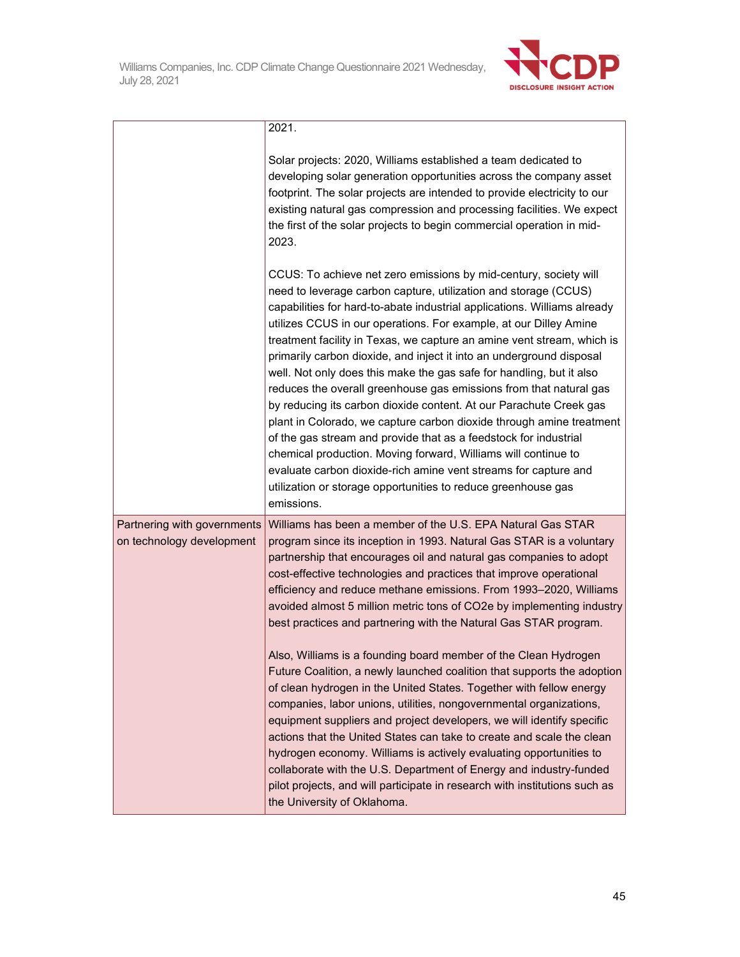

|                                                          | 2021.                                                                                                                                                                                                                                                                                                                                                                                                                                                                                                                                                                                                                                                                                                                                                                                                                                                                                                                                                                                                                                                                                                                                                                                                   |
|----------------------------------------------------------|---------------------------------------------------------------------------------------------------------------------------------------------------------------------------------------------------------------------------------------------------------------------------------------------------------------------------------------------------------------------------------------------------------------------------------------------------------------------------------------------------------------------------------------------------------------------------------------------------------------------------------------------------------------------------------------------------------------------------------------------------------------------------------------------------------------------------------------------------------------------------------------------------------------------------------------------------------------------------------------------------------------------------------------------------------------------------------------------------------------------------------------------------------------------------------------------------------|
|                                                          | Solar projects: 2020, Williams established a team dedicated to<br>developing solar generation opportunities across the company asset<br>footprint. The solar projects are intended to provide electricity to our<br>existing natural gas compression and processing facilities. We expect<br>the first of the solar projects to begin commercial operation in mid-<br>2023.                                                                                                                                                                                                                                                                                                                                                                                                                                                                                                                                                                                                                                                                                                                                                                                                                             |
|                                                          | CCUS: To achieve net zero emissions by mid-century, society will<br>need to leverage carbon capture, utilization and storage (CCUS)<br>capabilities for hard-to-abate industrial applications. Williams already<br>utilizes CCUS in our operations. For example, at our Dilley Amine<br>treatment facility in Texas, we capture an amine vent stream, which is<br>primarily carbon dioxide, and inject it into an underground disposal<br>well. Not only does this make the gas safe for handling, but it also<br>reduces the overall greenhouse gas emissions from that natural gas<br>by reducing its carbon dioxide content. At our Parachute Creek gas<br>plant in Colorado, we capture carbon dioxide through amine treatment<br>of the gas stream and provide that as a feedstock for industrial<br>chemical production. Moving forward, Williams will continue to<br>evaluate carbon dioxide-rich amine vent streams for capture and<br>utilization or storage opportunities to reduce greenhouse gas<br>emissions.                                                                                                                                                                              |
| Partnering with governments<br>on technology development | Williams has been a member of the U.S. EPA Natural Gas STAR<br>program since its inception in 1993. Natural Gas STAR is a voluntary<br>partnership that encourages oil and natural gas companies to adopt<br>cost-effective technologies and practices that improve operational<br>efficiency and reduce methane emissions. From 1993-2020, Williams<br>avoided almost 5 million metric tons of CO2e by implementing industry<br>best practices and partnering with the Natural Gas STAR program.<br>Also, Williams is a founding board member of the Clean Hydrogen<br>Future Coalition, a newly launched coalition that supports the adoption<br>of clean hydrogen in the United States. Together with fellow energy<br>companies, labor unions, utilities, nongovernmental organizations,<br>equipment suppliers and project developers, we will identify specific<br>actions that the United States can take to create and scale the clean<br>hydrogen economy. Williams is actively evaluating opportunities to<br>collaborate with the U.S. Department of Energy and industry-funded<br>pilot projects, and will participate in research with institutions such as<br>the University of Oklahoma. |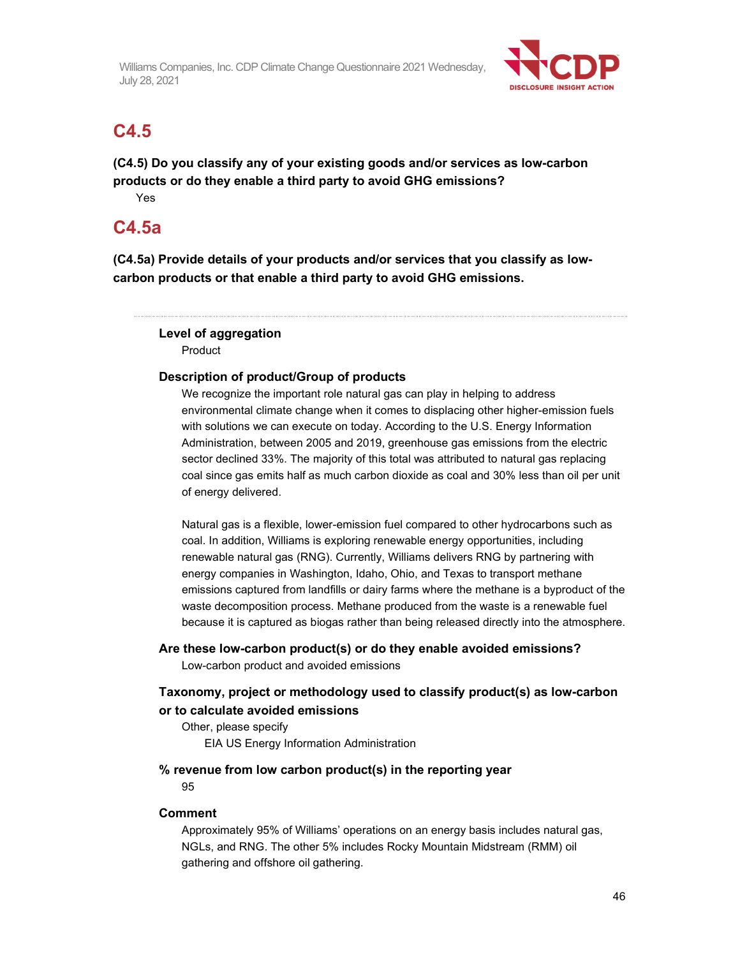

# **C4.5**

**(C4.5) Do you classify any of your existing goods and/or services as low-carbon products or do they enable a third party to avoid GHG emissions?**  Yes

# **C4.5a**

**(C4.5a) Provide details of your products and/or services that you classify as lowcarbon products or that enable a third party to avoid GHG emissions.** 

# **Level of aggregation**

Product

## **Description of product/Group of products**

We recognize the important role natural gas can play in helping to address environmental climate change when it comes to displacing other higher-emission fuels with solutions we can execute on today. According to the U.S. Energy Information Administration, between 2005 and 2019, greenhouse gas emissions from the electric sector declined 33%. The majority of this total was attributed to natural gas replacing coal since gas emits half as much carbon dioxide as coal and 30% less than oil per unit of energy delivered.

Natural gas is a flexible, lower-emission fuel compared to other hydrocarbons such as coal. In addition, Williams is exploring renewable energy opportunities, including renewable natural gas (RNG). Currently, Williams delivers RNG by partnering with energy companies in Washington, Idaho, Ohio, and Texas to transport methane emissions captured from landfills or dairy farms where the methane is a byproduct of the waste decomposition process. Methane produced from the waste is a renewable fuel because it is captured as biogas rather than being released directly into the atmosphere.

## **Are these low-carbon product(s) or do they enable avoided emissions?**

Low-carbon product and avoided emissions

## **Taxonomy, project or methodology used to classify product(s) as low-carbon or to calculate avoided emissions**

Other, please specify EIA US Energy Information Administration

## **% revenue from low carbon product(s) in the reporting year**

95

## **Comment**

Approximately 95% of Williams' operations on an energy basis includes natural gas, NGLs, and RNG. The other 5% includes Rocky Mountain Midstream (RMM) oil gathering and offshore oil gathering.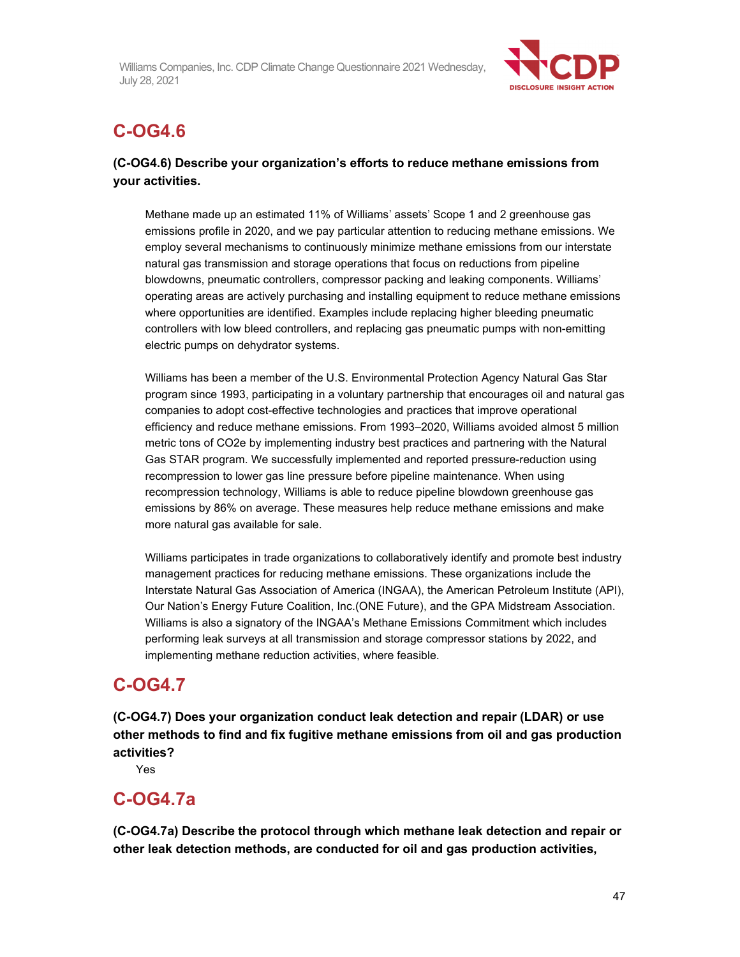

# **C-OG4.6**

## **(C-OG4.6) Describe your organization's efforts to reduce methane emissions from your activities.**

Methane made up an estimated 11% of Williams' assets' Scope 1 and 2 greenhouse gas emissions profile in 2020, and we pay particular attention to reducing methane emissions. We employ several mechanisms to continuously minimize methane emissions from our interstate natural gas transmission and storage operations that focus on reductions from pipeline blowdowns, pneumatic controllers, compressor packing and leaking components. Williams' operating areas are actively purchasing and installing equipment to reduce methane emissions where opportunities are identified. Examples include replacing higher bleeding pneumatic controllers with low bleed controllers, and replacing gas pneumatic pumps with non-emitting electric pumps on dehydrator systems.

Williams has been a member of the U.S. Environmental Protection Agency Natural Gas Star program since 1993, participating in a voluntary partnership that encourages oil and natural gas companies to adopt cost-effective technologies and practices that improve operational efficiency and reduce methane emissions. From 1993–2020, Williams avoided almost 5 million metric tons of CO2e by implementing industry best practices and partnering with the Natural Gas STAR program. We successfully implemented and reported pressure-reduction using recompression to lower gas line pressure before pipeline maintenance. When using recompression technology, Williams is able to reduce pipeline blowdown greenhouse gas emissions by 86% on average. These measures help reduce methane emissions and make more natural gas available for sale.

Williams participates in trade organizations to collaboratively identify and promote best industry management practices for reducing methane emissions. These organizations include the Interstate Natural Gas Association of America (INGAA), the American Petroleum Institute (API), Our Nation's Energy Future Coalition, Inc.(ONE Future), and the GPA Midstream Association. Williams is also a signatory of the INGAA's Methane Emissions Commitment which includes performing leak surveys at all transmission and storage compressor stations by 2022, and implementing methane reduction activities, where feasible.

# **C-OG4.7**

**(C-OG4.7) Does your organization conduct leak detection and repair (LDAR) or use other methods to find and fix fugitive methane emissions from oil and gas production activities?** 

Yes

# **C-OG4.7a**

**(C-OG4.7a) Describe the protocol through which methane leak detection and repair or other leak detection methods, are conducted for oil and gas production activities,**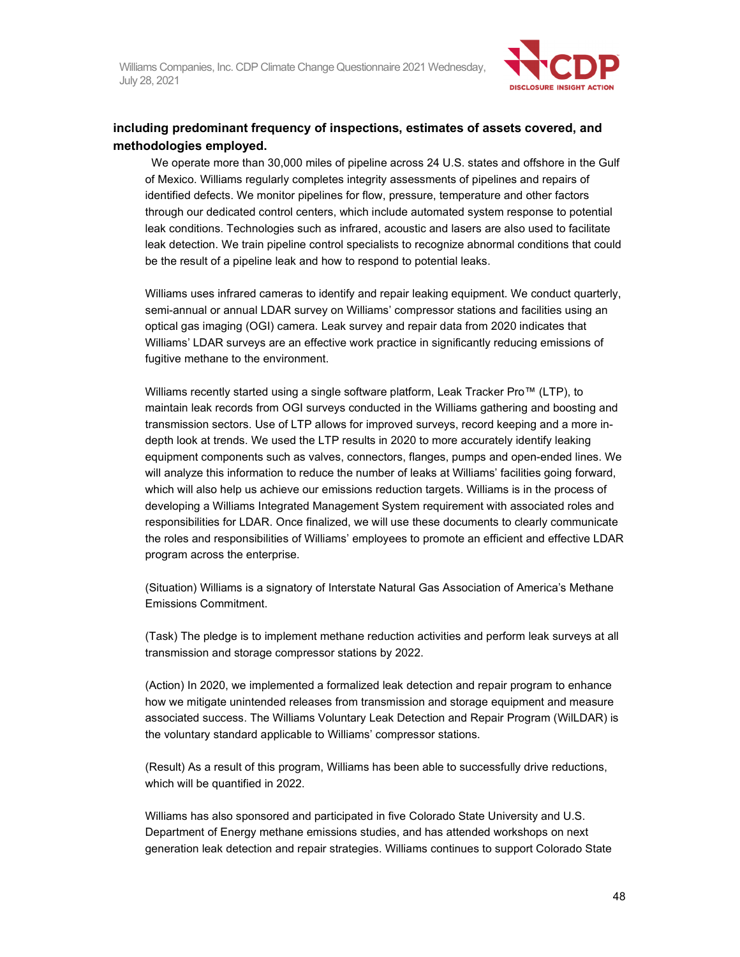

## **including predominant frequency of inspections, estimates of assets covered, and methodologies employed.**

We operate more than 30,000 miles of pipeline across 24 U.S. states and offshore in the Gulf of Mexico. Williams regularly completes integrity assessments of pipelines and repairs of identified defects. We monitor pipelines for flow, pressure, temperature and other factors through our dedicated control centers, which include automated system response to potential leak conditions. Technologies such as infrared, acoustic and lasers are also used to facilitate leak detection. We train pipeline control specialists to recognize abnormal conditions that could be the result of a pipeline leak and how to respond to potential leaks.

Williams uses infrared cameras to identify and repair leaking equipment. We conduct quarterly, semi-annual or annual LDAR survey on Williams' compressor stations and facilities using an optical gas imaging (OGI) camera. Leak survey and repair data from 2020 indicates that Williams' LDAR surveys are an effective work practice in significantly reducing emissions of fugitive methane to the environment.

Williams recently started using a single software platform, Leak Tracker Pro™ (LTP), to maintain leak records from OGI surveys conducted in the Williams gathering and boosting and transmission sectors. Use of LTP allows for improved surveys, record keeping and a more indepth look at trends. We used the LTP results in 2020 to more accurately identify leaking equipment components such as valves, connectors, flanges, pumps and open-ended lines. We will analyze this information to reduce the number of leaks at Williams' facilities going forward, which will also help us achieve our emissions reduction targets. Williams is in the process of developing a Williams Integrated Management System requirement with associated roles and responsibilities for LDAR. Once finalized, we will use these documents to clearly communicate the roles and responsibilities of Williams' employees to promote an efficient and effective LDAR program across the enterprise.

(Situation) Williams is a signatory of Interstate Natural Gas Association of America's Methane Emissions Commitment.

(Task) The pledge is to implement methane reduction activities and perform leak surveys at all transmission and storage compressor stations by 2022.

(Action) In 2020, we implemented a formalized leak detection and repair program to enhance how we mitigate unintended releases from transmission and storage equipment and measure associated success. The Williams Voluntary Leak Detection and Repair Program (WilLDAR) is the voluntary standard applicable to Williams' compressor stations.

(Result) As a result of this program, Williams has been able to successfully drive reductions, which will be quantified in 2022.

Williams has also sponsored and participated in five Colorado State University and U.S. Department of Energy methane emissions studies, and has attended workshops on next generation leak detection and repair strategies. Williams continues to support Colorado State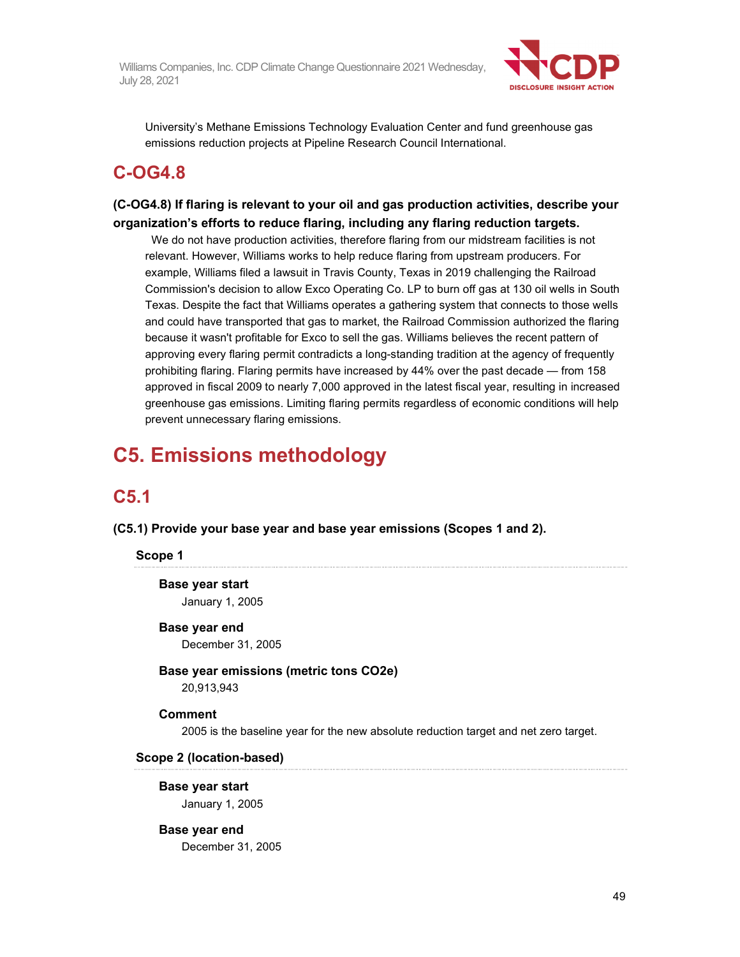

University's Methane Emissions Technology Evaluation Center and fund greenhouse gas emissions reduction projects at Pipeline Research Council International.

# **C-OG4.8**

## **(C-OG4.8) If flaring is relevant to your oil and gas production activities, describe your organization's efforts to reduce flaring, including any flaring reduction targets.**

 We do not have production activities, therefore flaring from our midstream facilities is not relevant. However, Williams works to help reduce flaring from upstream producers. For example, Williams filed a lawsuit in Travis County, Texas in 2019 challenging the Railroad Commission's decision to allow Exco Operating Co. LP to burn off gas at 130 oil wells in South Texas. Despite the fact that Williams operates a gathering system that connects to those wells and could have transported that gas to market, the Railroad Commission authorized the flaring because it wasn't profitable for Exco to sell the gas. Williams believes the recent pattern of approving every flaring permit contradicts a long-standing tradition at the agency of frequently prohibiting flaring. Flaring permits have increased by 44% over the past decade — from 158 approved in fiscal 2009 to nearly 7,000 approved in the latest fiscal year, resulting in increased greenhouse gas emissions. Limiting flaring permits regardless of economic conditions will help prevent unnecessary flaring emissions.

# **C5. Emissions methodology**

# **C5.1**

**(C5.1) Provide your base year and base year emissions (Scopes 1 and 2).** 

#### **Scope 1**

**Base year start**  January 1, 2005

# **Base year end**

December 31, 2005

## **Base year emissions (metric tons CO2e)**

20,913,943

#### **Comment**

2005 is the baseline year for the new absolute reduction target and net zero target.

#### **Scope 2 (location-based)**

#### **Base year start**  January 1, 2005

## **Base year end**

December 31, 2005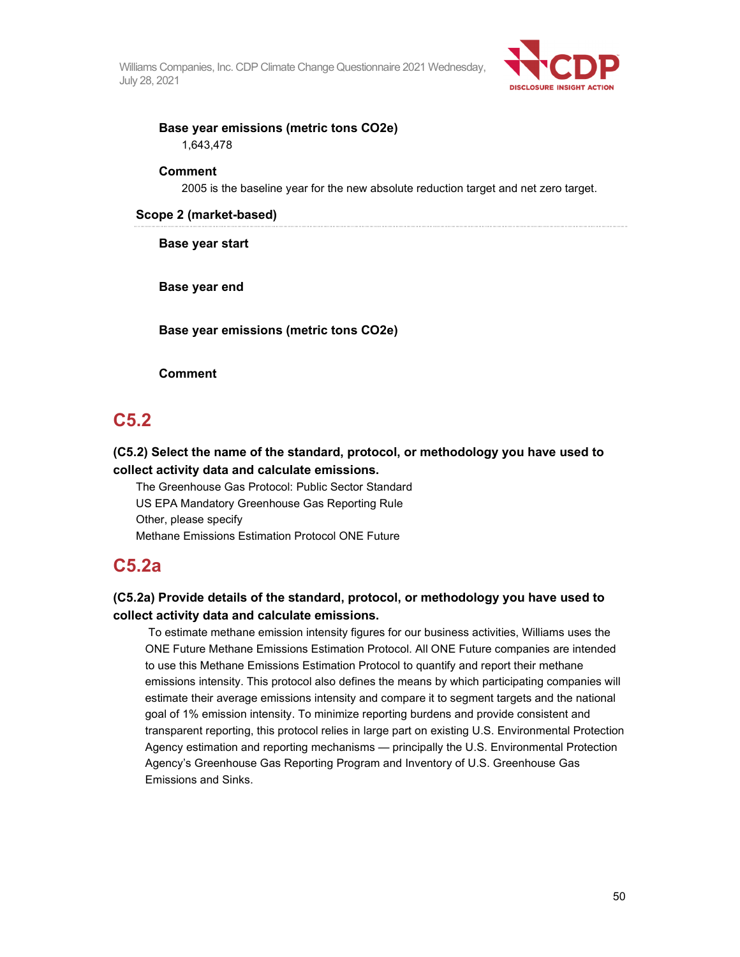

## **Base year emissions (metric tons CO2e)**  1,643,478

#### **Comment**

2005 is the baseline year for the new absolute reduction target and net zero target.

#### **Scope 2 (market-based)**

**Base year start** 

**Base year end** 

**Base year emissions (metric tons CO2e)** 

**Comment** 

# **C5.2**

**(C5.2) Select the name of the standard, protocol, or methodology you have used to collect activity data and calculate emissions.** 

The Greenhouse Gas Protocol: Public Sector Standard US EPA Mandatory Greenhouse Gas Reporting Rule Other, please specify Methane Emissions Estimation Protocol ONE Future

# **C5.2a**

## **(C5.2a) Provide details of the standard, protocol, or methodology you have used to collect activity data and calculate emissions.**

 To estimate methane emission intensity figures for our business activities, Williams uses the ONE Future Methane Emissions Estimation Protocol. All ONE Future companies are intended to use this Methane Emissions Estimation Protocol to quantify and report their methane emissions intensity. This protocol also defines the means by which participating companies will estimate their average emissions intensity and compare it to segment targets and the national goal of 1% emission intensity. To minimize reporting burdens and provide consistent and transparent reporting, this protocol relies in large part on existing U.S. Environmental Protection Agency estimation and reporting mechanisms — principally the U.S. Environmental Protection Agency's Greenhouse Gas Reporting Program and Inventory of U.S. Greenhouse Gas Emissions and Sinks.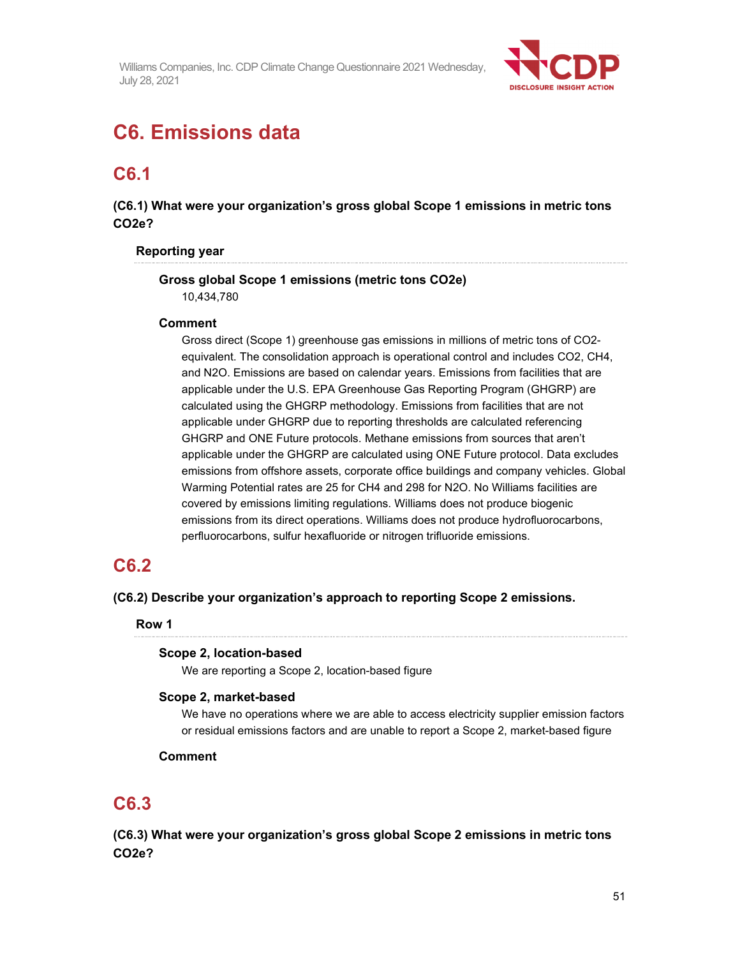

# **C6. Emissions data**

# **C6.1**

**(C6.1) What were your organization's gross global Scope 1 emissions in metric tons CO2e?** 

#### **Reporting year**

# **Gross global Scope 1 emissions (metric tons CO2e)**

10,434,780

#### **Comment**

Gross direct (Scope 1) greenhouse gas emissions in millions of metric tons of CO2 equivalent. The consolidation approach is operational control and includes CO2, CH4, and N2O. Emissions are based on calendar years. Emissions from facilities that are applicable under the U.S. EPA Greenhouse Gas Reporting Program (GHGRP) are calculated using the GHGRP methodology. Emissions from facilities that are not applicable under GHGRP due to reporting thresholds are calculated referencing GHGRP and ONE Future protocols. Methane emissions from sources that aren't applicable under the GHGRP are calculated using ONE Future protocol. Data excludes emissions from offshore assets, corporate office buildings and company vehicles. Global Warming Potential rates are 25 for CH4 and 298 for N2O. No Williams facilities are covered by emissions limiting regulations. Williams does not produce biogenic emissions from its direct operations. Williams does not produce hydrofluorocarbons, perfluorocarbons, sulfur hexafluoride or nitrogen trifluoride emissions.

# **C6.2**

**(C6.2) Describe your organization's approach to reporting Scope 2 emissions.** 

**Row 1** 

#### **Scope 2, location-based**

We are reporting a Scope 2, location-based figure

## **Scope 2, market-based**

We have no operations where we are able to access electricity supplier emission factors or residual emissions factors and are unable to report a Scope 2, market-based figure

## **Comment**

# **C6.3**

**(C6.3) What were your organization's gross global Scope 2 emissions in metric tons CO2e?**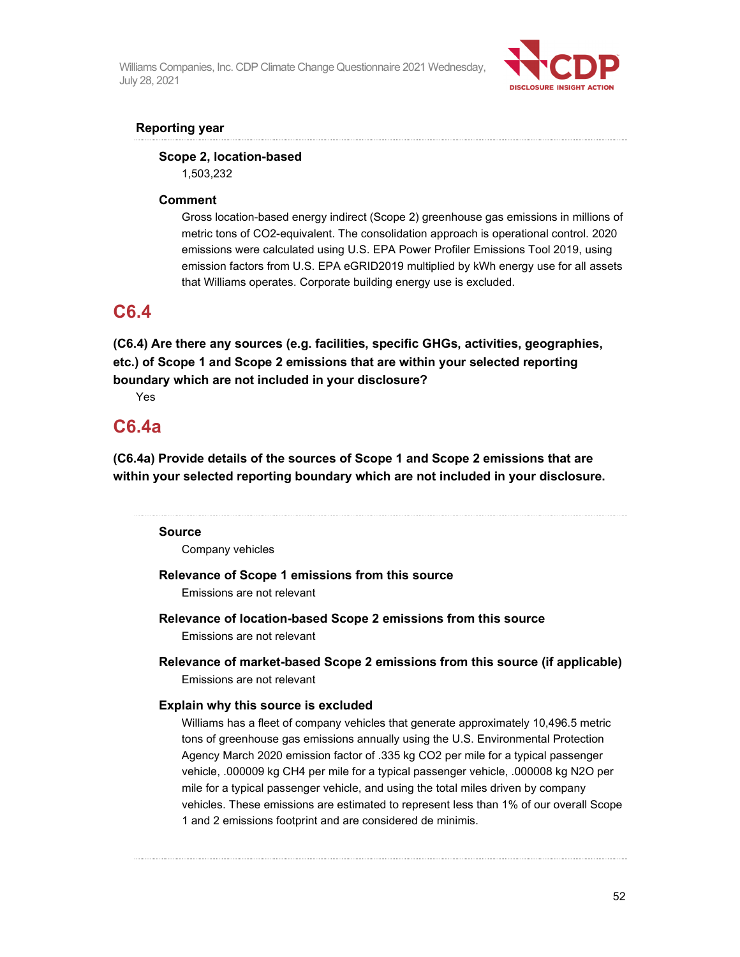

## **Reporting year**

# **Scope 2, location-based**

1,503,232

## **Comment**

Gross location-based energy indirect (Scope 2) greenhouse gas emissions in millions of metric tons of CO2-equivalent. The consolidation approach is operational control. 2020 emissions were calculated using U.S. EPA Power Profiler Emissions Tool 2019, using emission factors from U.S. EPA eGRID2019 multiplied by kWh energy use for all assets that Williams operates. Corporate building energy use is excluded.

# **C6.4**

**(C6.4) Are there any sources (e.g. facilities, specific GHGs, activities, geographies, etc.) of Scope 1 and Scope 2 emissions that are within your selected reporting boundary which are not included in your disclosure?** 

Yes

# **C6.4a**

**(C6.4a) Provide details of the sources of Scope 1 and Scope 2 emissions that are within your selected reporting boundary which are not included in your disclosure.** 

## **Source**

Company vehicles

# **Relevance of Scope 1 emissions from this source**

Emissions are not relevant

- **Relevance of location-based Scope 2 emissions from this source**  Emissions are not relevant
- **Relevance of market-based Scope 2 emissions from this source (if applicable)**  Emissions are not relevant

## **Explain why this source is excluded**

Williams has a fleet of company vehicles that generate approximately 10,496.5 metric tons of greenhouse gas emissions annually using the U.S. Environmental Protection Agency March 2020 emission factor of .335 kg CO2 per mile for a typical passenger vehicle, .000009 kg CH4 per mile for a typical passenger vehicle, .000008 kg N2O per mile for a typical passenger vehicle, and using the total miles driven by company vehicles. These emissions are estimated to represent less than 1% of our overall Scope 1 and 2 emissions footprint and are considered de minimis.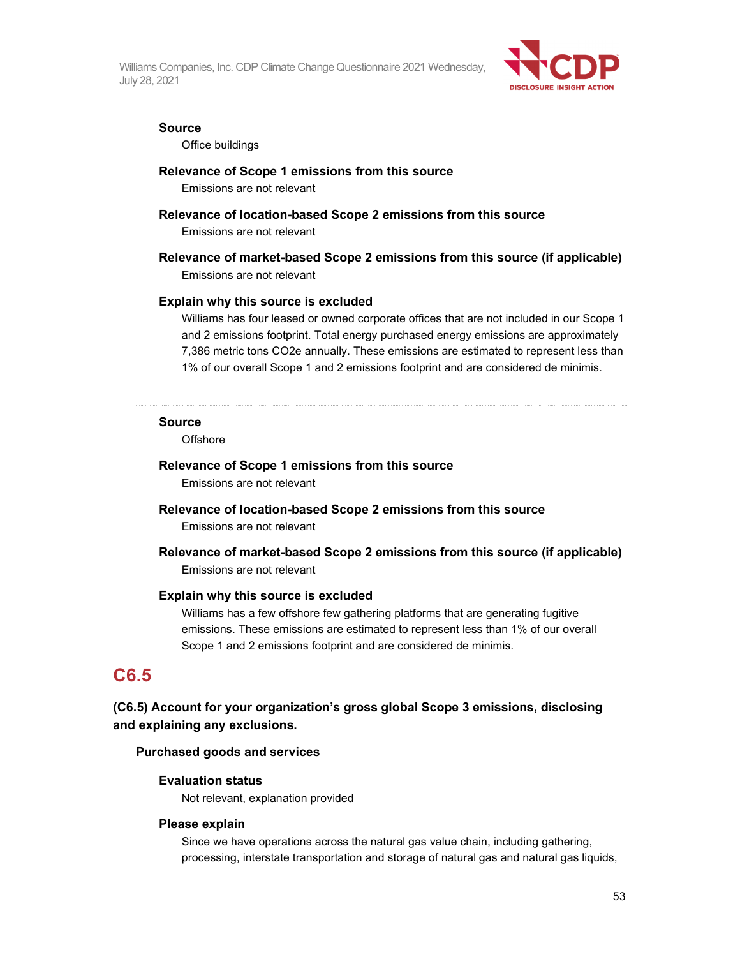

#### **Source**

Office buildings

#### **Relevance of Scope 1 emissions from this source**

Emissions are not relevant

### **Relevance of location-based Scope 2 emissions from this source**

Emissions are not relevant

# **Relevance of market-based Scope 2 emissions from this source (if applicable)**

Emissions are not relevant

#### **Explain why this source is excluded**

Williams has four leased or owned corporate offices that are not included in our Scope 1 and 2 emissions footprint. Total energy purchased energy emissions are approximately 7,386 metric tons CO2e annually. These emissions are estimated to represent less than 1% of our overall Scope 1 and 2 emissions footprint and are considered de minimis.

#### **Source**

**Offshore** 

# **Relevance of Scope 1 emissions from this source**

Emissions are not relevant

# **Relevance of location-based Scope 2 emissions from this source**

Emissions are not relevant

**Relevance of market-based Scope 2 emissions from this source (if applicable)**  Emissions are not relevant

#### **Explain why this source is excluded**

Williams has a few offshore few gathering platforms that are generating fugitive emissions. These emissions are estimated to represent less than 1% of our overall Scope 1 and 2 emissions footprint and are considered de minimis.

# **C6.5**

## **(C6.5) Account for your organization's gross global Scope 3 emissions, disclosing and explaining any exclusions.**

#### **Purchased goods and services**

#### **Evaluation status**

Not relevant, explanation provided

#### **Please explain**

Since we have operations across the natural gas value chain, including gathering, processing, interstate transportation and storage of natural gas and natural gas liquids,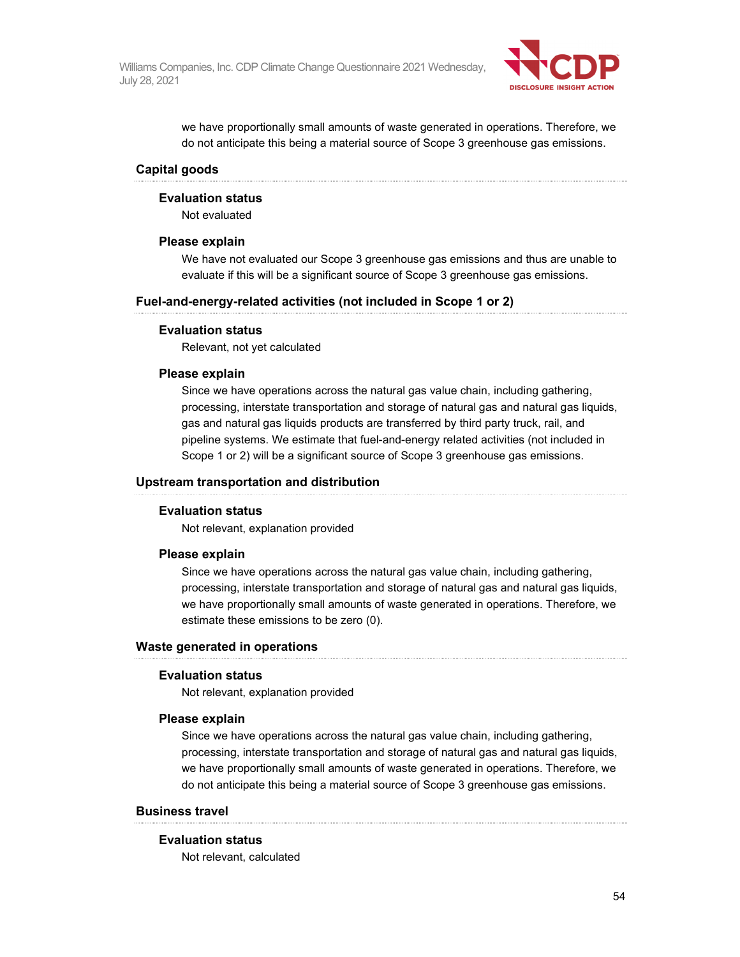

we have proportionally small amounts of waste generated in operations. Therefore, we do not anticipate this being a material source of Scope 3 greenhouse gas emissions.

#### **Capital goods**

#### **Evaluation status**

Not evaluated

#### **Please explain**

We have not evaluated our Scope 3 greenhouse gas emissions and thus are unable to evaluate if this will be a significant source of Scope 3 greenhouse gas emissions.

#### **Fuel-and-energy-related activities (not included in Scope 1 or 2)**

#### **Evaluation status**

Relevant, not yet calculated

#### **Please explain**

Since we have operations across the natural gas value chain, including gathering, processing, interstate transportation and storage of natural gas and natural gas liquids, gas and natural gas liquids products are transferred by third party truck, rail, and pipeline systems. We estimate that fuel-and-energy related activities (not included in Scope 1 or 2) will be a significant source of Scope 3 greenhouse gas emissions.

#### **Upstream transportation and distribution**

#### **Evaluation status**

Not relevant, explanation provided

#### **Please explain**

Since we have operations across the natural gas value chain, including gathering, processing, interstate transportation and storage of natural gas and natural gas liquids, we have proportionally small amounts of waste generated in operations. Therefore, we estimate these emissions to be zero (0).

#### **Waste generated in operations**

#### **Evaluation status**

Not relevant, explanation provided

#### **Please explain**

Since we have operations across the natural gas value chain, including gathering, processing, interstate transportation and storage of natural gas and natural gas liquids, we have proportionally small amounts of waste generated in operations. Therefore, we do not anticipate this being a material source of Scope 3 greenhouse gas emissions.

#### **Business travel**

#### **Evaluation status**

Not relevant, calculated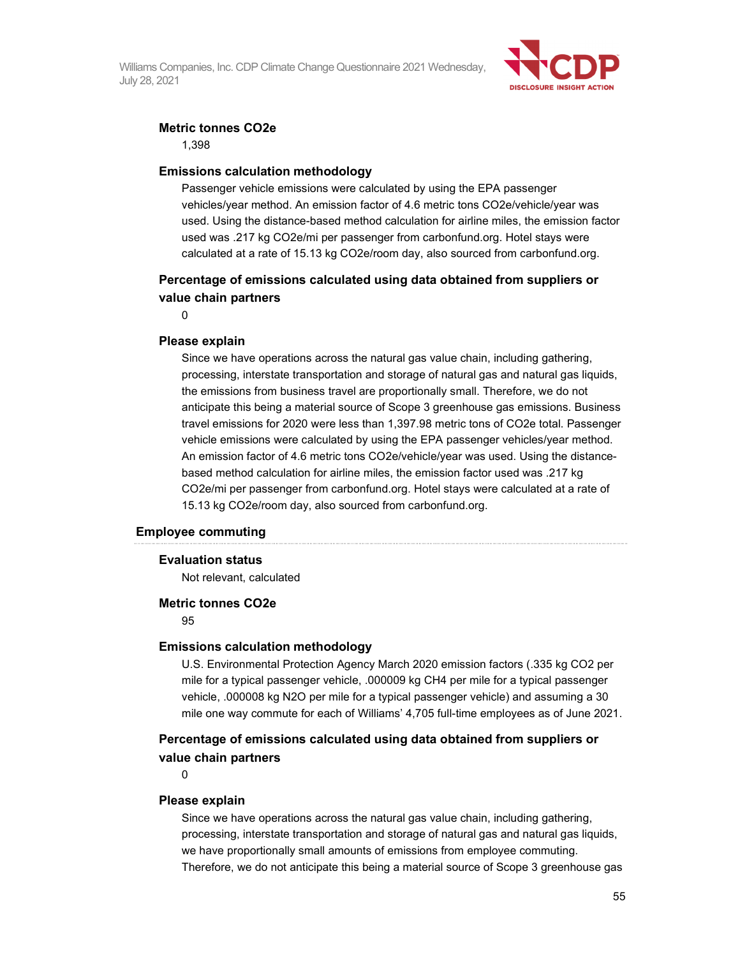

#### **Metric tonnes CO2e**

1,398

#### **Emissions calculation methodology**

Passenger vehicle emissions were calculated by using the EPA passenger vehicles/year method. An emission factor of 4.6 metric tons CO2e/vehicle/year was used. Using the distance-based method calculation for airline miles, the emission factor used was .217 kg CO2e/mi per passenger from carbonfund.org. Hotel stays were calculated at a rate of 15.13 kg CO2e/room day, also sourced from carbonfund.org.

## **Percentage of emissions calculated using data obtained from suppliers or value chain partners**

0

#### **Please explain**

Since we have operations across the natural gas value chain, including gathering, processing, interstate transportation and storage of natural gas and natural gas liquids, the emissions from business travel are proportionally small. Therefore, we do not anticipate this being a material source of Scope 3 greenhouse gas emissions. Business travel emissions for 2020 were less than 1,397.98 metric tons of CO2e total. Passenger vehicle emissions were calculated by using the EPA passenger vehicles/year method. An emission factor of 4.6 metric tons CO2e/vehicle/year was used. Using the distancebased method calculation for airline miles, the emission factor used was .217 kg CO2e/mi per passenger from carbonfund.org. Hotel stays were calculated at a rate of 15.13 kg CO2e/room day, also sourced from carbonfund.org.

#### **Employee commuting**

#### **Evaluation status**

Not relevant, calculated

#### **Metric tonnes CO2e**

95

#### **Emissions calculation methodology**

U.S. Environmental Protection Agency March 2020 emission factors (.335 kg CO2 per mile for a typical passenger vehicle, .000009 kg CH4 per mile for a typical passenger vehicle, .000008 kg N2O per mile for a typical passenger vehicle) and assuming a 30 mile one way commute for each of Williams' 4,705 full-time employees as of June 2021.

## **Percentage of emissions calculated using data obtained from suppliers or value chain partners**

 $\Omega$ 

#### **Please explain**

Since we have operations across the natural gas value chain, including gathering, processing, interstate transportation and storage of natural gas and natural gas liquids, we have proportionally small amounts of emissions from employee commuting. Therefore, we do not anticipate this being a material source of Scope 3 greenhouse gas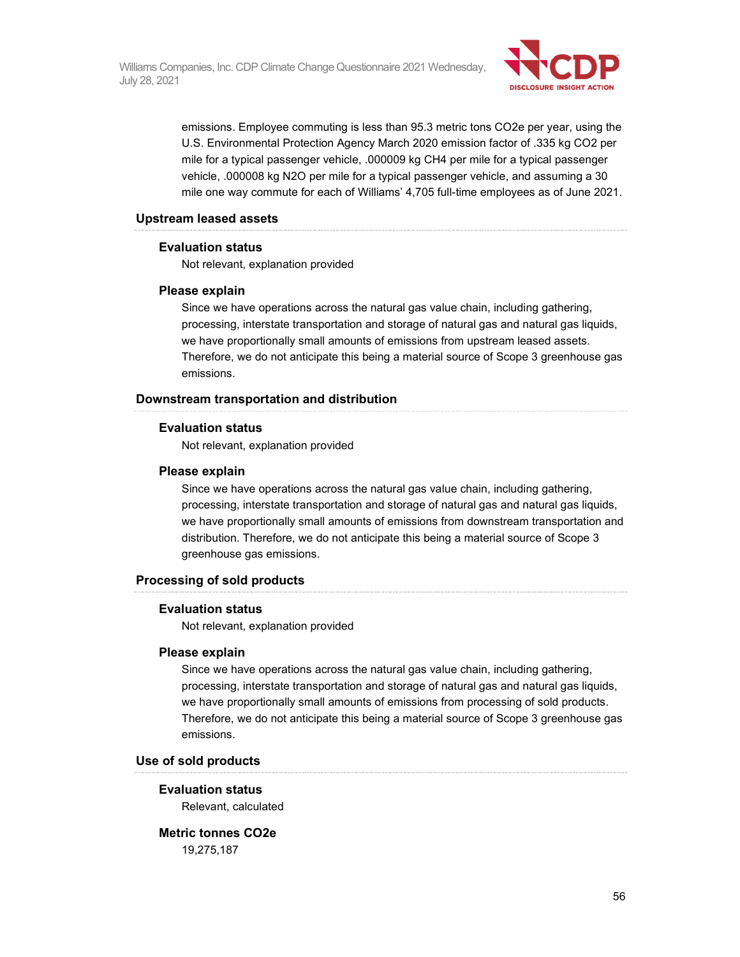

emissions. Employee commuting is less than 95.3 metric tons CO2e per year, using the U.S. Environmental Protection Agency March 2020 emission factor of .335 kg CO2 per mile for a typical passenger vehicle, .000009 kg CH4 per mile for a typical passenger vehicle, .000008 kg N2O per mile for a typical passenger vehicle, and assuming a 30 mile one way commute for each of Williams' 4,705 full-time employees as of June 2021.

#### **Upstream leased assets**

#### **Evaluation status**

Not relevant, explanation provided

#### **Please explain**

Since we have operations across the natural gas value chain, including gathering, processing, interstate transportation and storage of natural gas and natural gas liquids, we have proportionally small amounts of emissions from upstream leased assets. Therefore, we do not anticipate this being a material source of Scope 3 greenhouse gas emissions.

#### **Downstream transportation and distribution**

#### **Evaluation status**

Not relevant, explanation provided

#### **Please explain**

Since we have operations across the natural gas value chain, including gathering, processing, interstate transportation and storage of natural gas and natural gas liquids, we have proportionally small amounts of emissions from downstream transportation and distribution. Therefore, we do not anticipate this being a material source of Scope 3 greenhouse gas emissions.

#### **Processing of sold products**

#### **Evaluation status**

Not relevant, explanation provided

#### **Please explain**

Since we have operations across the natural gas value chain, including gathering, processing, interstate transportation and storage of natural gas and natural gas liquids, we have proportionally small amounts of emissions from processing of sold products. Therefore, we do not anticipate this being a material source of Scope 3 greenhouse gas emissions.

#### **Use of sold products**

#### **Evaluation status**

Relevant, calculated

## **Metric tonnes CO2e**

19,275,187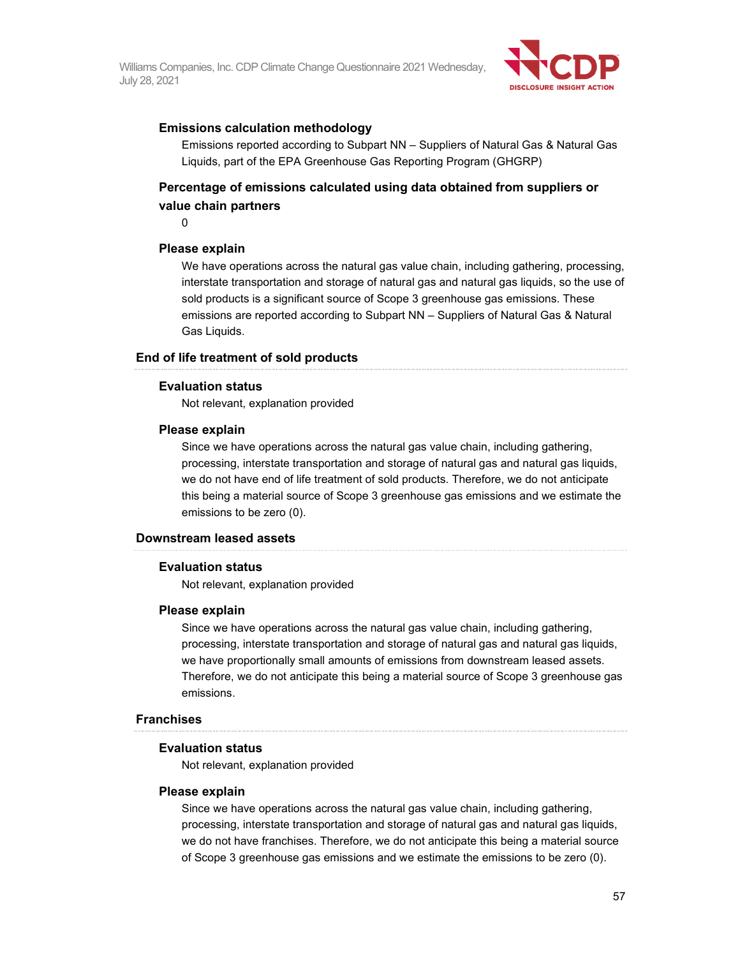

#### **Emissions calculation methodology**

Emissions reported according to Subpart NN – Suppliers of Natural Gas & Natural Gas Liquids, part of the EPA Greenhouse Gas Reporting Program (GHGRP)

## **Percentage of emissions calculated using data obtained from suppliers or value chain partners**

 $\Omega$ 

#### **Please explain**

We have operations across the natural gas value chain, including gathering, processing, interstate transportation and storage of natural gas and natural gas liquids, so the use of sold products is a significant source of Scope 3 greenhouse gas emissions. These emissions are reported according to Subpart NN – Suppliers of Natural Gas & Natural Gas Liquids.

#### **End of life treatment of sold products**

#### **Evaluation status**

Not relevant, explanation provided

#### **Please explain**

Since we have operations across the natural gas value chain, including gathering, processing, interstate transportation and storage of natural gas and natural gas liquids, we do not have end of life treatment of sold products. Therefore, we do not anticipate this being a material source of Scope 3 greenhouse gas emissions and we estimate the emissions to be zero (0).

#### **Downstream leased assets**

#### **Evaluation status**

Not relevant, explanation provided

#### **Please explain**

Since we have operations across the natural gas value chain, including gathering, processing, interstate transportation and storage of natural gas and natural gas liquids, we have proportionally small amounts of emissions from downstream leased assets. Therefore, we do not anticipate this being a material source of Scope 3 greenhouse gas emissions.

#### **Franchises**

#### **Evaluation status**

Not relevant, explanation provided

#### **Please explain**

Since we have operations across the natural gas value chain, including gathering, processing, interstate transportation and storage of natural gas and natural gas liquids, we do not have franchises. Therefore, we do not anticipate this being a material source of Scope 3 greenhouse gas emissions and we estimate the emissions to be zero (0).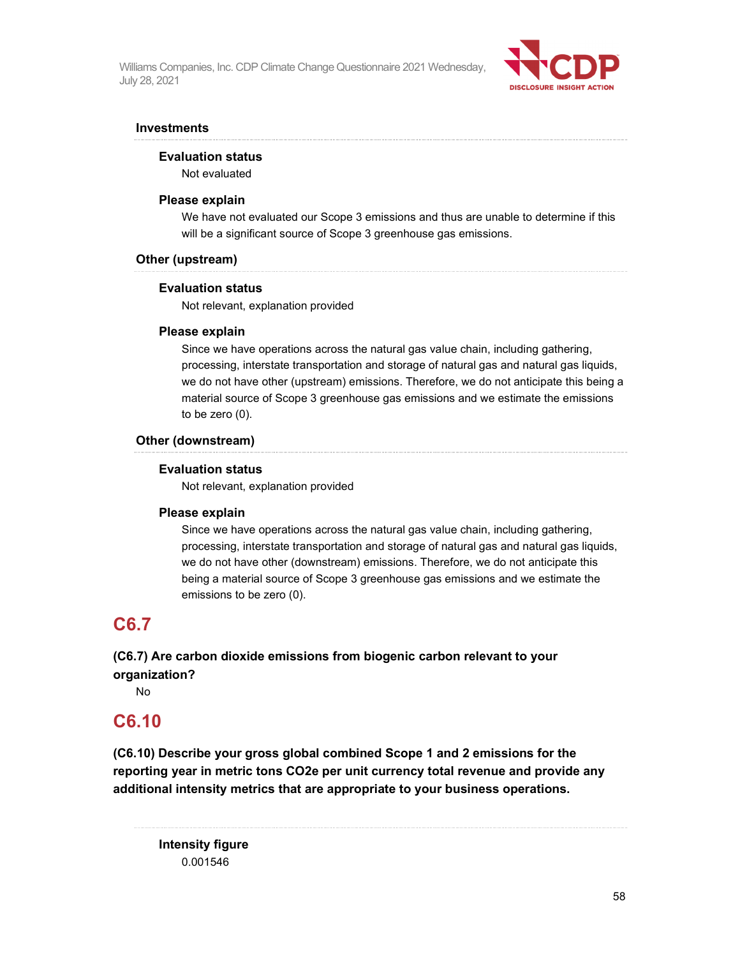

#### **Investments**

#### **Evaluation status**

Not evaluated

#### **Please explain**

We have not evaluated our Scope 3 emissions and thus are unable to determine if this will be a significant source of Scope 3 greenhouse gas emissions.

#### **Other (upstream)**

#### **Evaluation status**

Not relevant, explanation provided

#### **Please explain**

Since we have operations across the natural gas value chain, including gathering, processing, interstate transportation and storage of natural gas and natural gas liquids, we do not have other (upstream) emissions. Therefore, we do not anticipate this being a material source of Scope 3 greenhouse gas emissions and we estimate the emissions to be zero (0).

#### **Other (downstream)**

#### **Evaluation status**

Not relevant, explanation provided

#### **Please explain**

Since we have operations across the natural gas value chain, including gathering, processing, interstate transportation and storage of natural gas and natural gas liquids, we do not have other (downstream) emissions. Therefore, we do not anticipate this being a material source of Scope 3 greenhouse gas emissions and we estimate the emissions to be zero (0).

# **C6.7**

**(C6.7) Are carbon dioxide emissions from biogenic carbon relevant to your organization?** 

No

# **C6.10**

**(C6.10) Describe your gross global combined Scope 1 and 2 emissions for the reporting year in metric tons CO2e per unit currency total revenue and provide any additional intensity metrics that are appropriate to your business operations.** 

**Intensity figure**  0.001546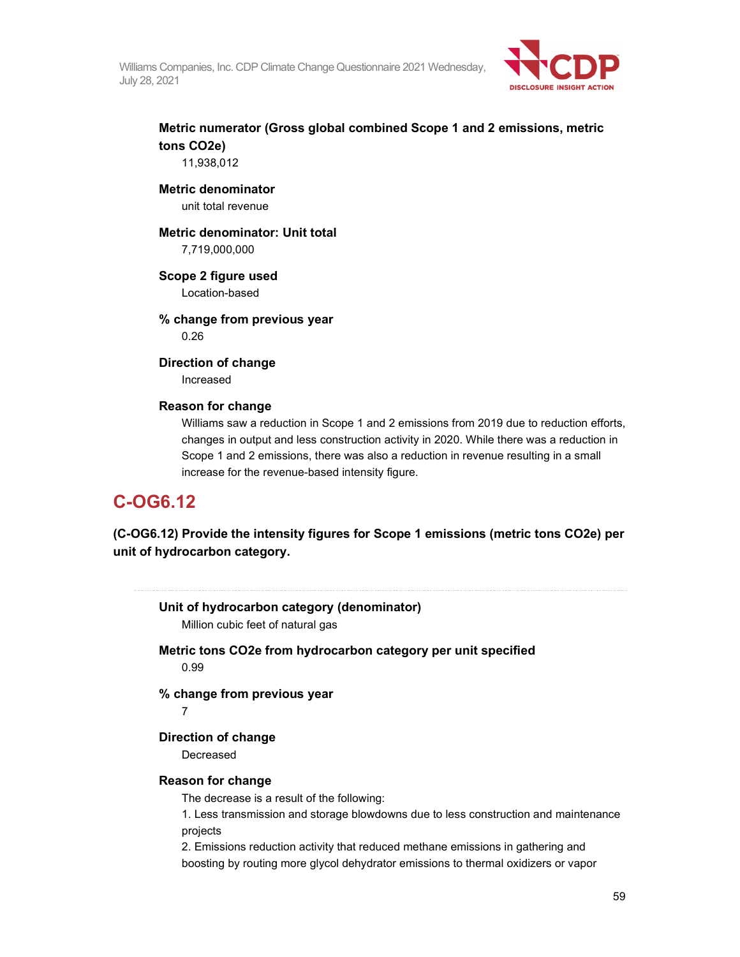

# **Metric numerator (Gross global combined Scope 1 and 2 emissions, metric tons CO2e)**

11,938,012

#### **Metric denominator**

unit total revenue

# **Metric denominator: Unit total**

7,719,000,000

## **Scope 2 figure used**

Location-based

## **% change from previous year**

0.26

#### **Direction of change**

Increased

### **Reason for change**

Williams saw a reduction in Scope 1 and 2 emissions from 2019 due to reduction efforts, changes in output and less construction activity in 2020. While there was a reduction in Scope 1 and 2 emissions, there was also a reduction in revenue resulting in a small increase for the revenue-based intensity figure.

# **C-OG6.12**

**(C-OG6.12) Provide the intensity figures for Scope 1 emissions (metric tons CO2e) per unit of hydrocarbon category.** 

| Unit of hydrocarbon category (denominator)<br>Million cubic feet of natural gas     |
|-------------------------------------------------------------------------------------|
| Metric tons CO2e from hydrocarbon category per unit specified<br>0.99               |
| % change from previous year<br>7                                                    |
| Direction of change                                                                 |
| Decreased                                                                           |
| <b>Reason for change</b>                                                            |
| The decrease is a result of the following:                                          |
| 1. Less transmission and storage blowdowns due to less construction and maintenance |
| projects                                                                            |
| 2. Emissions reduction activity that reduced methane emissions in gathering and     |
| boosting by routing more glycol dehydrator emissions to thermal oxidizers or vapor  |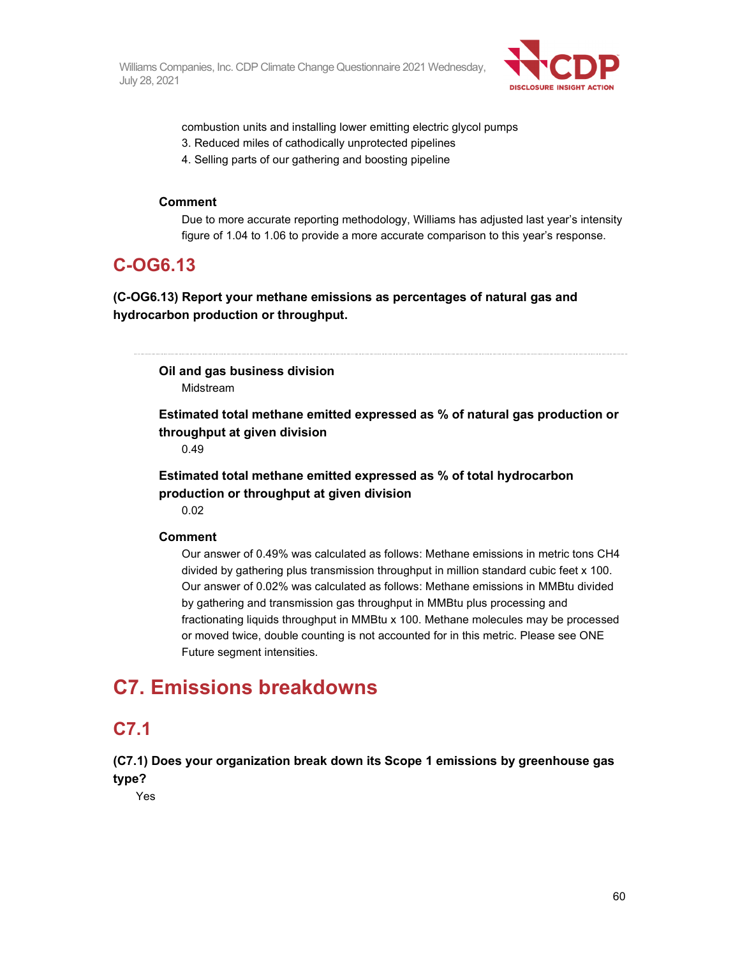

combustion units and installing lower emitting electric glycol pumps

- 3. Reduced miles of cathodically unprotected pipelines
- 4. Selling parts of our gathering and boosting pipeline

#### **Comment**

Due to more accurate reporting methodology, Williams has adjusted last year's intensity figure of 1.04 to 1.06 to provide a more accurate comparison to this year's response.

# **C-OG6.13**

**(C-OG6.13) Report your methane emissions as percentages of natural gas and hydrocarbon production or throughput.** 

**Oil and gas business division**  Midstream

**Estimated total methane emitted expressed as % of natural gas production or throughput at given division** 

0.49

**Estimated total methane emitted expressed as % of total hydrocarbon production or throughput at given division** 

0.02

## **Comment**

Our answer of 0.49% was calculated as follows: Methane emissions in metric tons CH4 divided by gathering plus transmission throughput in million standard cubic feet x 100. Our answer of 0.02% was calculated as follows: Methane emissions in MMBtu divided by gathering and transmission gas throughput in MMBtu plus processing and fractionating liquids throughput in MMBtu x 100. Methane molecules may be processed or moved twice, double counting is not accounted for in this metric. Please see ONE Future segment intensities.

# **C7. Emissions breakdowns**

# **C7.1**

**(C7.1) Does your organization break down its Scope 1 emissions by greenhouse gas type?** 

Yes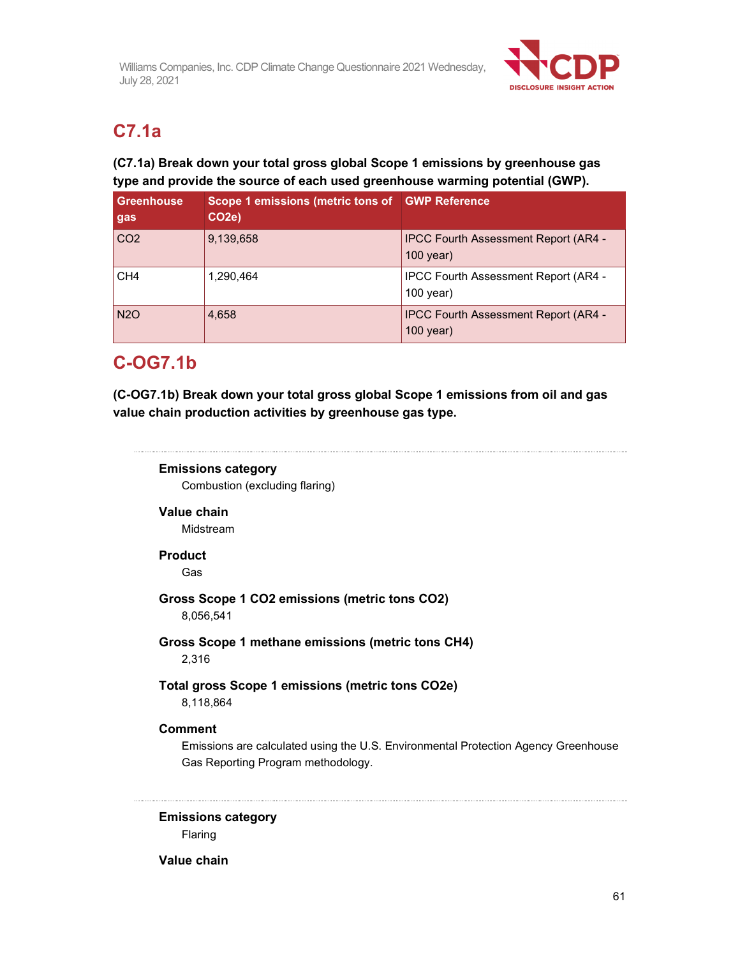

# **C7.1a**

# **(C7.1a) Break down your total gross global Scope 1 emissions by greenhouse gas type and provide the source of each used greenhouse warming potential (GWP).**

| <b>Greenhouse</b><br>gas | Scope 1 emissions (metric tons of GWP Reference<br>CO <sub>2e</sub> ) |                                                            |
|--------------------------|-----------------------------------------------------------------------|------------------------------------------------------------|
| CO <sub>2</sub>          | 9,139,658                                                             | <b>IPCC Fourth Assessment Report (AR4 -</b><br>$100$ year) |
| CH <sub>4</sub>          | 1.290.464                                                             | <b>IPCC Fourth Assessment Report (AR4 -</b><br>$100$ year) |
| N <sub>2</sub> O         | 4,658                                                                 | <b>IPCC Fourth Assessment Report (AR4 -</b><br>$100$ year) |

# **C-OG7.1b**

**(C-OG7.1b) Break down your total gross global Scope 1 emissions from oil and gas value chain production activities by greenhouse gas type.** 

# **Emissions category**

Combustion (excluding flaring)

## **Value chain**

Midstream

## **Product**

Gas

# **Gross Scope 1 CO2 emissions (metric tons CO2)**

8,056,541

## **Gross Scope 1 methane emissions (metric tons CH4)**  2,316

# **Total gross Scope 1 emissions (metric tons CO2e)**

8,118,864

# **Comment**

Emissions are calculated using the U.S. Environmental Protection Agency Greenhouse Gas Reporting Program methodology.

**Emissions category**  Flaring

## **Value chain**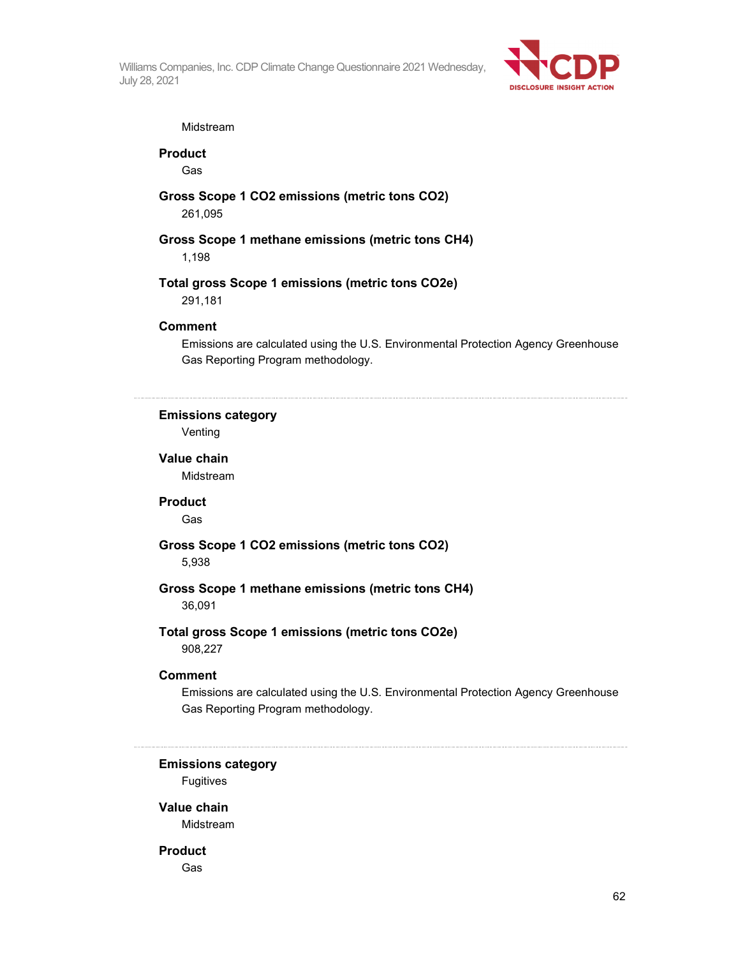

#### Midstream

**Product** 

Gas

### **Gross Scope 1 CO2 emissions (metric tons CO2)**  261,095

**Gross Scope 1 methane emissions (metric tons CH4)**  1,198

# **Total gross Scope 1 emissions (metric tons CO2e)**

291,181

### **Comment**

Emissions are calculated using the U.S. Environmental Protection Agency Greenhouse Gas Reporting Program methodology.

## **Emissions category**

Venting

## **Value chain**  Midstream

#### **Product**

Gas

# **Gross Scope 1 CO2 emissions (metric tons CO2)**

5,938

### **Gross Scope 1 methane emissions (metric tons CH4)**  36,091

# **Total gross Scope 1 emissions (metric tons CO2e)**

908,227

### **Comment**

Emissions are calculated using the U.S. Environmental Protection Agency Greenhouse Gas Reporting Program methodology.

## **Emissions category**

Fugitives

## **Value chain**

Midstream

## **Product**

Gas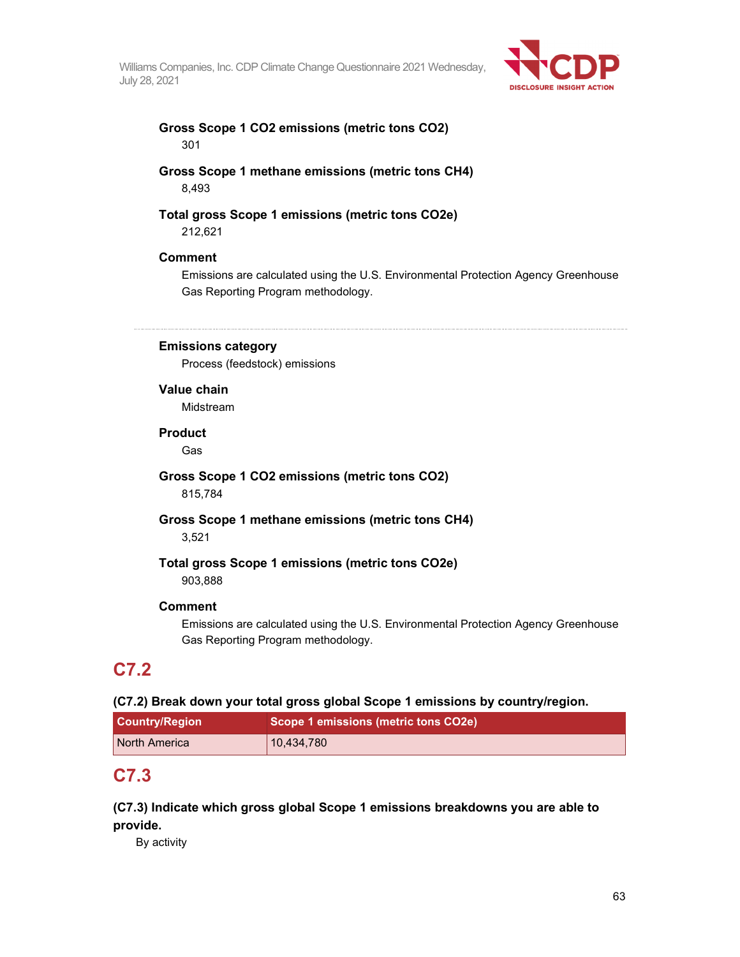

### **Gross Scope 1 CO2 emissions (metric tons CO2)**  301

**Gross Scope 1 methane emissions (metric tons CH4)**  8,493

#### **Total gross Scope 1 emissions (metric tons CO2e)**  212,621

#### **Comment**

Emissions are calculated using the U.S. Environmental Protection Agency Greenhouse Gas Reporting Program methodology.

**Emissions category** 

Process (feedstock) emissions

**Value chain** 

Midstream

#### **Product**

Gas

**Gross Scope 1 CO2 emissions (metric tons CO2)**  815,784

**Gross Scope 1 methane emissions (metric tons CH4)**  3,521

#### **Total gross Scope 1 emissions (metric tons CO2e)**  903,888

#### **Comment**

Emissions are calculated using the U.S. Environmental Protection Agency Greenhouse Gas Reporting Program methodology.

# **C7.2**

#### **(C7.2) Break down your total gross global Scope 1 emissions by country/region.**

| <b>Country/Region</b> | Scope 1 emissions (metric tons CO2e) |  |
|-----------------------|--------------------------------------|--|
| North America         | 10,434,780                           |  |

# **C7.3**

**(C7.3) Indicate which gross global Scope 1 emissions breakdowns you are able to provide.** 

By activity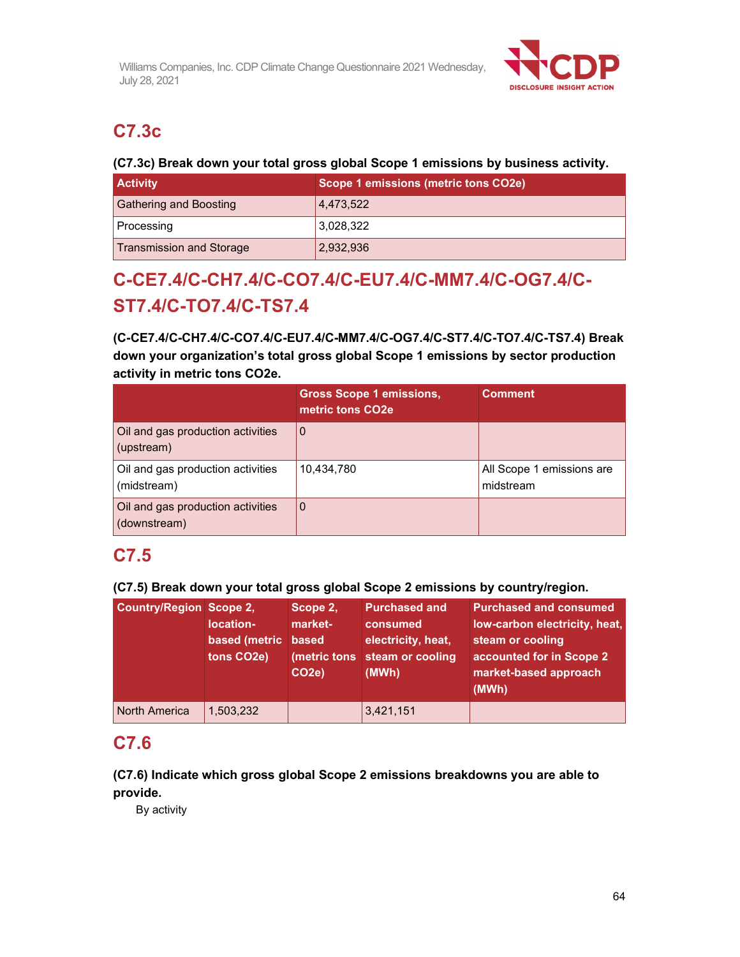

# **C7.3c**

## **(C7.3c) Break down your total gross global Scope 1 emissions by business activity.**

| <b>Activity</b>                 | Scope 1 emissions (metric tons CO2e) |
|---------------------------------|--------------------------------------|
| <b>Gathering and Boosting</b>   | 4,473,522                            |
| Processing                      | 3.028.322                            |
| <b>Transmission and Storage</b> | 2,932,936                            |

# **C-CE7.4/C-CH7.4/C-CO7.4/C-EU7.4/C-MM7.4/C-OG7.4/C-ST7.4/C-TO7.4/C-TS7.4**

**(C-CE7.4/C-CH7.4/C-CO7.4/C-EU7.4/C-MM7.4/C-OG7.4/C-ST7.4/C-TO7.4/C-TS7.4) Break down your organization's total gross global Scope 1 emissions by sector production activity in metric tons CO2e.** 

|                                                   | <b>Gross Scope 1 emissions,</b><br>metric tons CO <sub>2e</sub> | <b>Comment</b>                         |
|---------------------------------------------------|-----------------------------------------------------------------|----------------------------------------|
| Oil and gas production activities<br>(upstream)   | $\Omega$                                                        |                                        |
| Oil and gas production activities<br>(midstream)  | 10.434.780                                                      | All Scope 1 emissions are<br>midstream |
| Oil and gas production activities<br>(downstream) | $\Omega$                                                        |                                        |

# **C7.5**

**(C7.5) Break down your total gross global Scope 2 emissions by country/region.** 

| <b>Country/Region Scope 2,</b> | location-<br>based (metric based<br>tons CO <sub>2</sub> e) | Scope 2,<br>market-<br>CO <sub>2e</sub> ) | <b>Purchased and</b><br>consumed<br>electricity, heat,<br>(metric tons steam or cooling<br>(MWh) | <b>Purchased and consumed</b><br>low-carbon electricity, heat,<br>steam or cooling<br>accounted for in Scope 2<br>market-based approach<br>(MWh) |
|--------------------------------|-------------------------------------------------------------|-------------------------------------------|--------------------------------------------------------------------------------------------------|--------------------------------------------------------------------------------------------------------------------------------------------------|
| North America                  | 1,503,232                                                   |                                           | 3,421,151                                                                                        |                                                                                                                                                  |

# **C7.6**

**(C7.6) Indicate which gross global Scope 2 emissions breakdowns you are able to provide.** 

By activity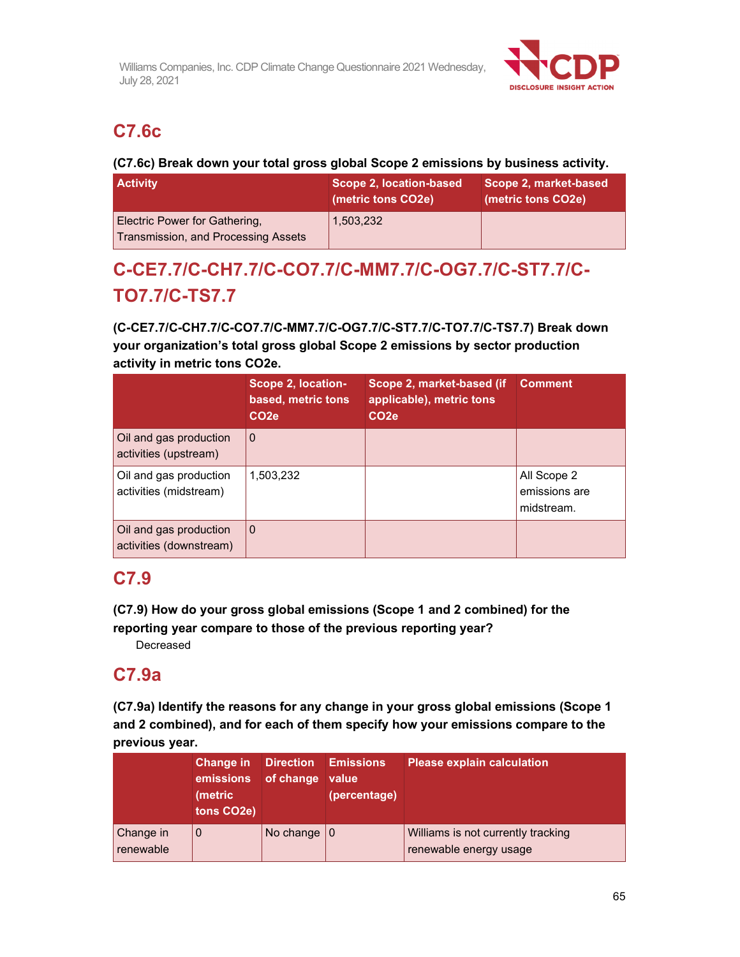

# **C7.6c**

## **(C7.6c) Break down your total gross global Scope 2 emissions by business activity.**

| <b>Activity</b>                                                      | Scope 2, location-based<br>(metric tons CO2e) | Scope 2, market-based<br>(metric tons CO2e) |
|----------------------------------------------------------------------|-----------------------------------------------|---------------------------------------------|
| Electric Power for Gathering,<br>Transmission, and Processing Assets | 1,503,232                                     |                                             |

# **C-CE7.7/C-CH7.7/C-CO7.7/C-MM7.7/C-OG7.7/C-ST7.7/C-TO7.7/C-TS7.7**

**(C-CE7.7/C-CH7.7/C-CO7.7/C-MM7.7/C-OG7.7/C-ST7.7/C-TO7.7/C-TS7.7) Break down your organization's total gross global Scope 2 emissions by sector production activity in metric tons CO2e.** 

|                                                   | <b>Scope 2, location-</b><br>based, metric tons<br>CO <sub>2e</sub> | Scope 2, market-based (if<br>applicable), metric tons<br>CO <sub>2e</sub> | <b>Comment</b>                             |
|---------------------------------------------------|---------------------------------------------------------------------|---------------------------------------------------------------------------|--------------------------------------------|
| Oil and gas production<br>activities (upstream)   | l 0                                                                 |                                                                           |                                            |
| Oil and gas production<br>activities (midstream)  | 1,503,232                                                           |                                                                           | All Scope 2<br>emissions are<br>midstream. |
| Oil and gas production<br>activities (downstream) | $\Omega$                                                            |                                                                           |                                            |

# **C7.9**

**(C7.9) How do your gross global emissions (Scope 1 and 2 combined) for the reporting year compare to those of the previous reporting year?** 

Decreased

# **C7.9a**

**(C7.9a) Identify the reasons for any change in your gross global emissions (Scope 1 and 2 combined), and for each of them specify how your emissions compare to the previous year.** 

|                        | ∣Change in <sup>।</sup><br>emissions<br>(metric<br>tons CO <sub>2</sub> e) | of change value | <b>Direction Emissions</b><br>(percentage) | <b>Please explain calculation</b>                            |
|------------------------|----------------------------------------------------------------------------|-----------------|--------------------------------------------|--------------------------------------------------------------|
| Change in<br>renewable | 0                                                                          | No change $ 0$  |                                            | Williams is not currently tracking<br>renewable energy usage |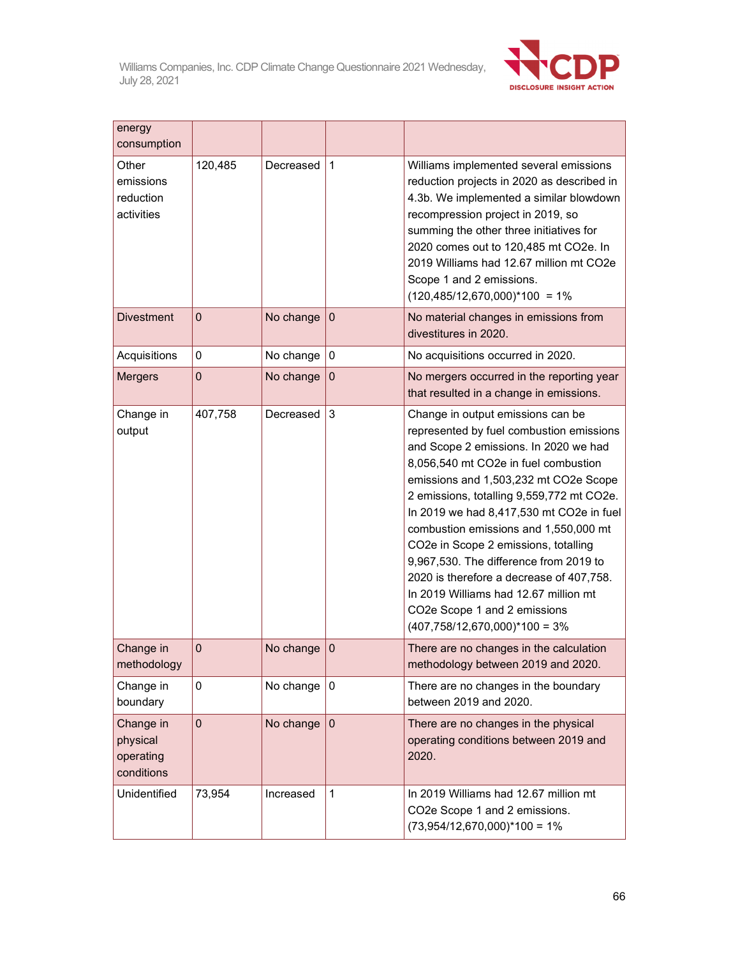

| energy<br>consumption                            |              |               |                  |                                                                                                                                                                                                                                                                                                                                                                                                                                                                                                                                                                                     |
|--------------------------------------------------|--------------|---------------|------------------|-------------------------------------------------------------------------------------------------------------------------------------------------------------------------------------------------------------------------------------------------------------------------------------------------------------------------------------------------------------------------------------------------------------------------------------------------------------------------------------------------------------------------------------------------------------------------------------|
| Other<br>emissions<br>reduction<br>activities    | 120,485      | Decreased     | $\mathbf{1}$     | Williams implemented several emissions<br>reduction projects in 2020 as described in<br>4.3b. We implemented a similar blowdown<br>recompression project in 2019, so<br>summing the other three initiatives for<br>2020 comes out to 120,485 mt CO2e. In<br>2019 Williams had 12.67 million mt CO2e<br>Scope 1 and 2 emissions.<br>$(120,485/12,670,000)^*100 = 1\%$                                                                                                                                                                                                                |
| <b>Divestment</b>                                | $\Omega$     | No change     | $\mathbf{0}$     | No material changes in emissions from<br>divestitures in 2020.                                                                                                                                                                                                                                                                                                                                                                                                                                                                                                                      |
| Acquisitions                                     | 0            | No change     | 0                | No acquisitions occurred in 2020.                                                                                                                                                                                                                                                                                                                                                                                                                                                                                                                                                   |
| <b>Mergers</b>                                   | $\mathbf 0$  | No change     | $\mathbf{0}$     | No mergers occurred in the reporting year<br>that resulted in a change in emissions.                                                                                                                                                                                                                                                                                                                                                                                                                                                                                                |
| Change in<br>output                              | 407,758      | Decreased     | 3                | Change in output emissions can be<br>represented by fuel combustion emissions<br>and Scope 2 emissions. In 2020 we had<br>8,056,540 mt CO2e in fuel combustion<br>emissions and 1,503,232 mt CO2e Scope<br>2 emissions, totalling 9,559,772 mt CO2e.<br>In 2019 we had 8,417,530 mt CO2e in fuel<br>combustion emissions and 1,550,000 mt<br>CO2e in Scope 2 emissions, totalling<br>9,967,530. The difference from 2019 to<br>2020 is therefore a decrease of 407,758.<br>In 2019 Williams had 12.67 million mt<br>CO2e Scope 1 and 2 emissions<br>$(407,758/12,670,000)*100 = 3%$ |
| Change in<br>methodology                         | $\mathbf 0$  | No change     | $\boldsymbol{0}$ | There are no changes in the calculation<br>methodology between 2019 and 2020                                                                                                                                                                                                                                                                                                                                                                                                                                                                                                        |
| Change in<br>boundary                            | 0            | No change     | $\mathbf 0$      | There are no changes in the boundary<br>between 2019 and 2020.                                                                                                                                                                                                                                                                                                                                                                                                                                                                                                                      |
| Change in<br>physical<br>operating<br>conditions | $\mathbf{0}$ | No change $ $ | $\mathbf{0}$     | There are no changes in the physical<br>operating conditions between 2019 and<br>2020.                                                                                                                                                                                                                                                                                                                                                                                                                                                                                              |
| Unidentified                                     | 73,954       | Increased     | $\mathbf{1}$     | In 2019 Williams had 12.67 million mt<br>CO2e Scope 1 and 2 emissions.<br>$(73,954/12,670,000)*100 = 1%$                                                                                                                                                                                                                                                                                                                                                                                                                                                                            |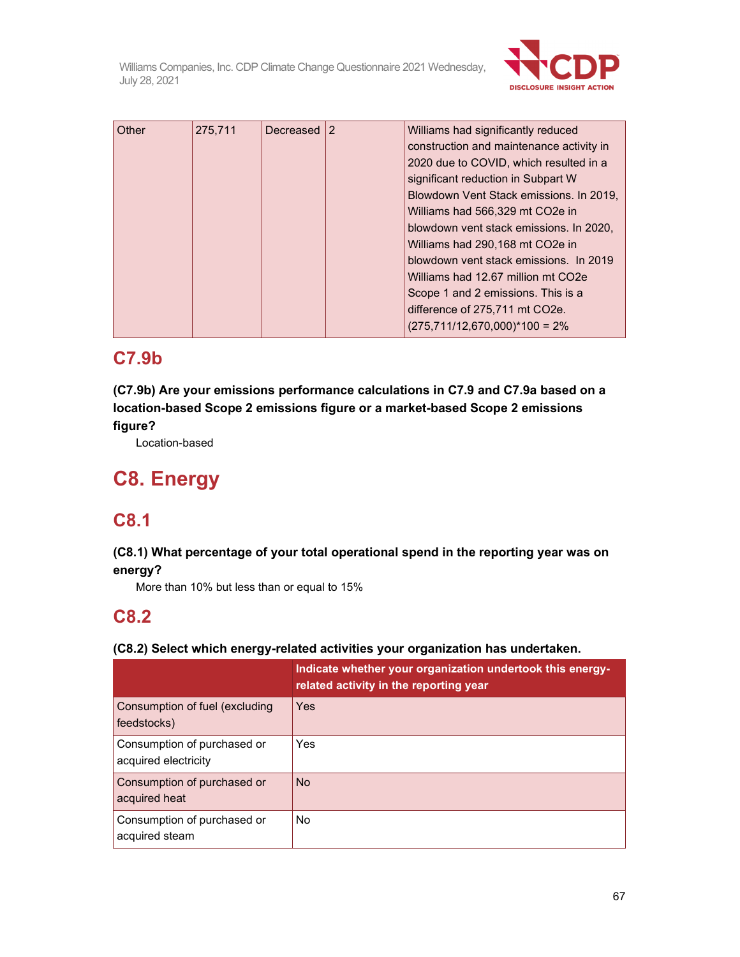

| Other | 275,711 | Decreased 2 | Williams had significantly reduced       |
|-------|---------|-------------|------------------------------------------|
|       |         |             | construction and maintenance activity in |
|       |         |             | 2020 due to COVID, which resulted in a   |
|       |         |             | significant reduction in Subpart W       |
|       |         |             | Blowdown Vent Stack emissions. In 2019,  |
|       |         |             | Williams had 566,329 mt CO2e in          |
|       |         |             | blowdown vent stack emissions. In 2020,  |
|       |         |             | Williams had 290,168 mt CO2e in          |
|       |         |             | blowdown vent stack emissions. In 2019   |
|       |         |             | Williams had 12.67 million mt CO2e       |
|       |         |             | Scope 1 and 2 emissions. This is a       |
|       |         |             | difference of 275,711 mt CO2e.           |
|       |         |             | $(275,711/12,670,000)^*100 = 2%$         |

# **C7.9b**

**(C7.9b) Are your emissions performance calculations in C7.9 and C7.9a based on a location-based Scope 2 emissions figure or a market-based Scope 2 emissions figure?** 

Location-based

# **C8. Energy**

# **C8.1**

# **(C8.1) What percentage of your total operational spend in the reporting year was on energy?**

More than 10% but less than or equal to 15%

# **C8.2**

# **(C8.2) Select which energy-related activities your organization has undertaken.**

|                                                     | Indicate whether your organization undertook this energy-<br>related activity in the reporting year |
|-----------------------------------------------------|-----------------------------------------------------------------------------------------------------|
| Consumption of fuel (excluding<br>feedstocks)       | Yes                                                                                                 |
| Consumption of purchased or<br>acquired electricity | Yes                                                                                                 |
| Consumption of purchased or<br>acquired heat        | <b>No</b>                                                                                           |
| Consumption of purchased or<br>acquired steam       | No.                                                                                                 |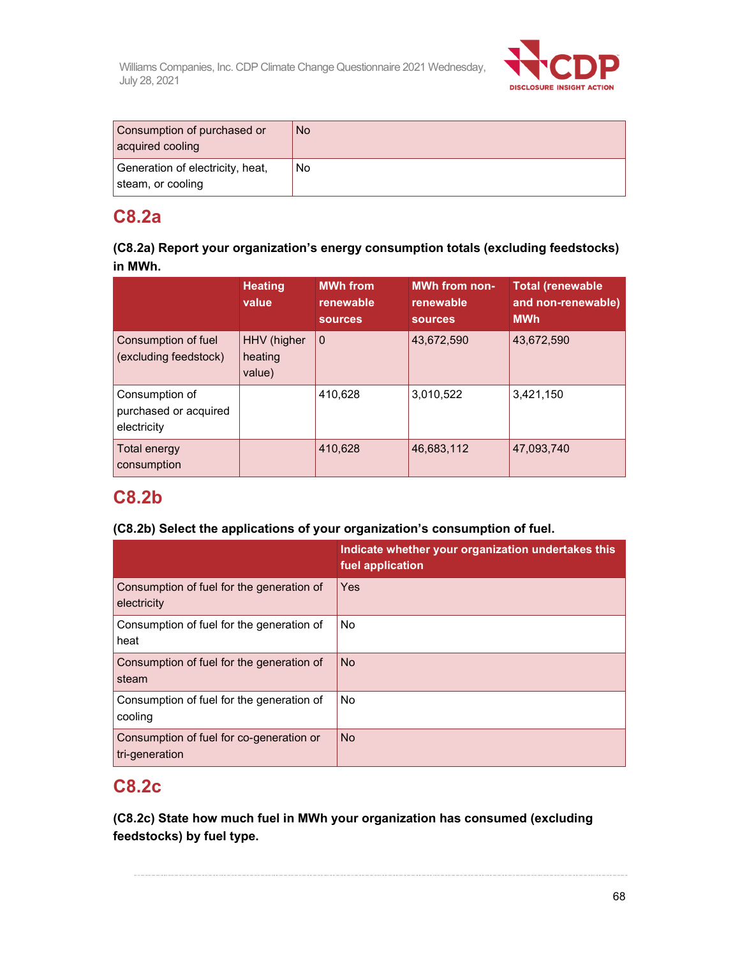

| Consumption of purchased or<br>acquired cooling       | <b>No</b> |
|-------------------------------------------------------|-----------|
| Generation of electricity, heat,<br>steam, or cooling | No        |

# **C8.2a**

| (C8.2a) Report your organization's energy consumption totals (excluding feedstocks) |  |
|-------------------------------------------------------------------------------------|--|
| in MWh.                                                                             |  |

|                                                        | <b>Heating</b><br>value          | <b>MWh from</b><br>renewable<br><b>sources</b> | <b>MWh from non-</b><br>renewable<br><b>SOUrces</b> | <b>Total (renewable</b><br>and non-renewable)<br><b>MWh</b> |
|--------------------------------------------------------|----------------------------------|------------------------------------------------|-----------------------------------------------------|-------------------------------------------------------------|
| Consumption of fuel<br>(excluding feedstock)           | HHV (higher<br>heating<br>value) | $\mathbf 0$                                    | 43,672,590                                          | 43,672,590                                                  |
| Consumption of<br>purchased or acquired<br>electricity |                                  | 410,628                                        | 3,010,522                                           | 3,421,150                                                   |
| Total energy<br>consumption                            |                                  | 410,628                                        | 46,683,112                                          | 47,093,740                                                  |

# **C8.2b**

# **(C8.2b) Select the applications of your organization's consumption of fuel.**

|                                                            | Indicate whether your organization undertakes this<br>fuel application |
|------------------------------------------------------------|------------------------------------------------------------------------|
| Consumption of fuel for the generation of<br>electricity   | Yes                                                                    |
| Consumption of fuel for the generation of<br>heat          | <b>No</b>                                                              |
| Consumption of fuel for the generation of<br>steam         | <b>No</b>                                                              |
| Consumption of fuel for the generation of<br>cooling       | <b>No</b>                                                              |
| Consumption of fuel for co-generation or<br>tri-generation | <b>No</b>                                                              |

# **C8.2c**

**(C8.2c) State how much fuel in MWh your organization has consumed (excluding feedstocks) by fuel type.**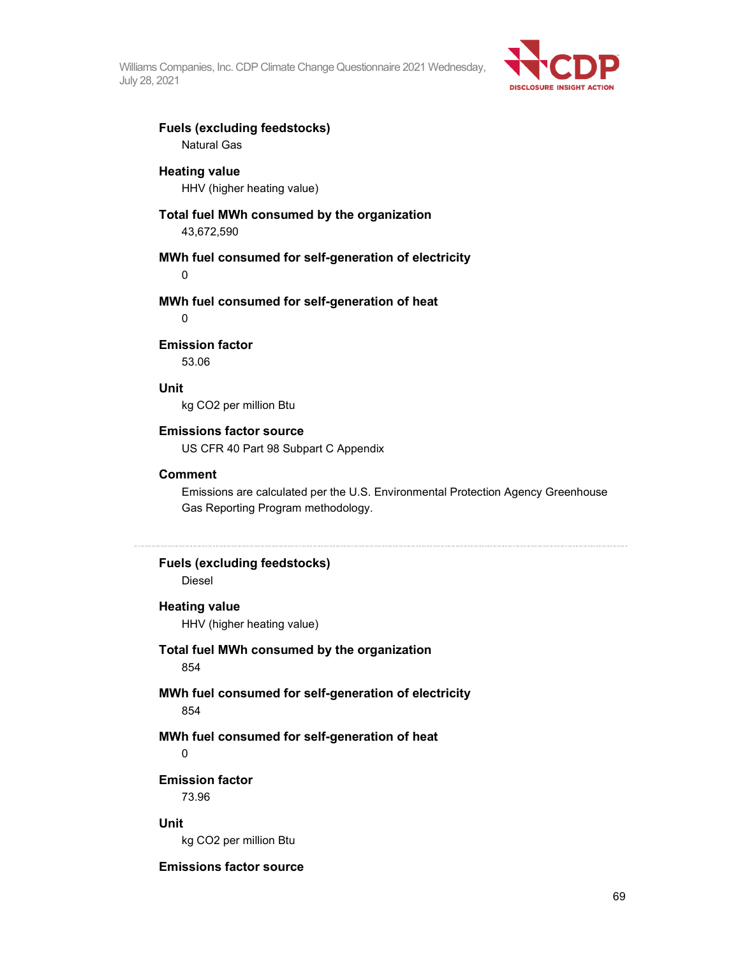

#### **Fuels (excluding feedstocks)**  Natural Gas

#### **Heating value**

HHV (higher heating value)

## **Total fuel MWh consumed by the organization**

43,672,590

#### **MWh fuel consumed for self-generation of electricity**

0

#### **MWh fuel consumed for self-generation of heat**

 $\Omega$ 

#### **Emission factor**

53.06

#### **Unit**

kg CO2 per million Btu

#### **Emissions factor source**

US CFR 40 Part 98 Subpart C Appendix

#### **Comment**

Emissions are calculated per the U.S. Environmental Protection Agency Greenhouse Gas Reporting Program methodology.

# **Fuels (excluding feedstocks)**

Diesel

#### **Heating value**

HHV (higher heating value)

## **Total fuel MWh consumed by the organization**

854

### **MWh fuel consumed for self-generation of electricity**  854

## **MWh fuel consumed for self-generation of heat**

0

# **Emission factor**

73.96

### **Unit**

kg CO2 per million Btu

## **Emissions factor source**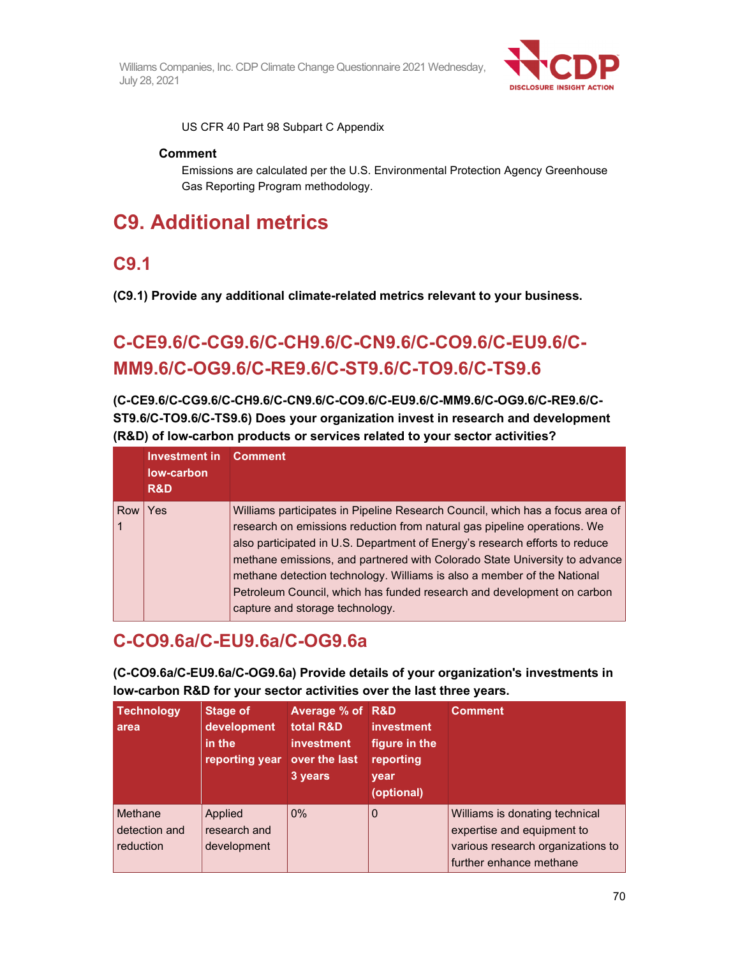

US CFR 40 Part 98 Subpart C Appendix

## **Comment**

Emissions are calculated per the U.S. Environmental Protection Agency Greenhouse Gas Reporting Program methodology.

# **C9. Additional metrics**

# **C9.1**

**(C9.1) Provide any additional climate-related metrics relevant to your business.** 

# **C-CE9.6/C-CG9.6/C-CH9.6/C-CN9.6/C-CO9.6/C-EU9.6/C-MM9.6/C-OG9.6/C-RE9.6/C-ST9.6/C-TO9.6/C-TS9.6**

**(C-CE9.6/C-CG9.6/C-CH9.6/C-CN9.6/C-CO9.6/C-EU9.6/C-MM9.6/C-OG9.6/C-RE9.6/C-ST9.6/C-TO9.6/C-TS9.6) Does your organization invest in research and development (R&D) of low-carbon products or services related to your sector activities?** 

|     | Investment in<br>low-carbon<br>R&D | <b>Comment</b>                                                                                                                                                                                                                                                                                                                                                                                                                                                                                                 |
|-----|------------------------------------|----------------------------------------------------------------------------------------------------------------------------------------------------------------------------------------------------------------------------------------------------------------------------------------------------------------------------------------------------------------------------------------------------------------------------------------------------------------------------------------------------------------|
| Row | Yes                                | Williams participates in Pipeline Research Council, which has a focus area of<br>research on emissions reduction from natural gas pipeline operations. We<br>also participated in U.S. Department of Energy's research efforts to reduce<br>methane emissions, and partnered with Colorado State University to advance<br>methane detection technology. Williams is also a member of the National<br>Petroleum Council, which has funded research and development on carbon<br>capture and storage technology. |

# **C-CO9.6a/C-EU9.6a/C-OG9.6a**

**(C-CO9.6a/C-EU9.6a/C-OG9.6a) Provide details of your organization's investments in low-carbon R&D for your sector activities over the last three years.** 

| <b>Technology</b><br>area             | <b>Stage of</b><br>development<br>in the<br>reporting year over the last | <b>Average % of R&amp;D</b><br>total R&D<br><b>investment</b><br>3 years | <b>investment</b><br>figure in the<br>reporting<br>year<br>(optional) | <b>Comment</b>                                                                                                               |
|---------------------------------------|--------------------------------------------------------------------------|--------------------------------------------------------------------------|-----------------------------------------------------------------------|------------------------------------------------------------------------------------------------------------------------------|
| Methane<br>detection and<br>reduction | Applied<br>research and<br>development                                   | $0\%$                                                                    | $\mathbf{0}$                                                          | Williams is donating technical<br>expertise and equipment to<br>various research organizations to<br>further enhance methane |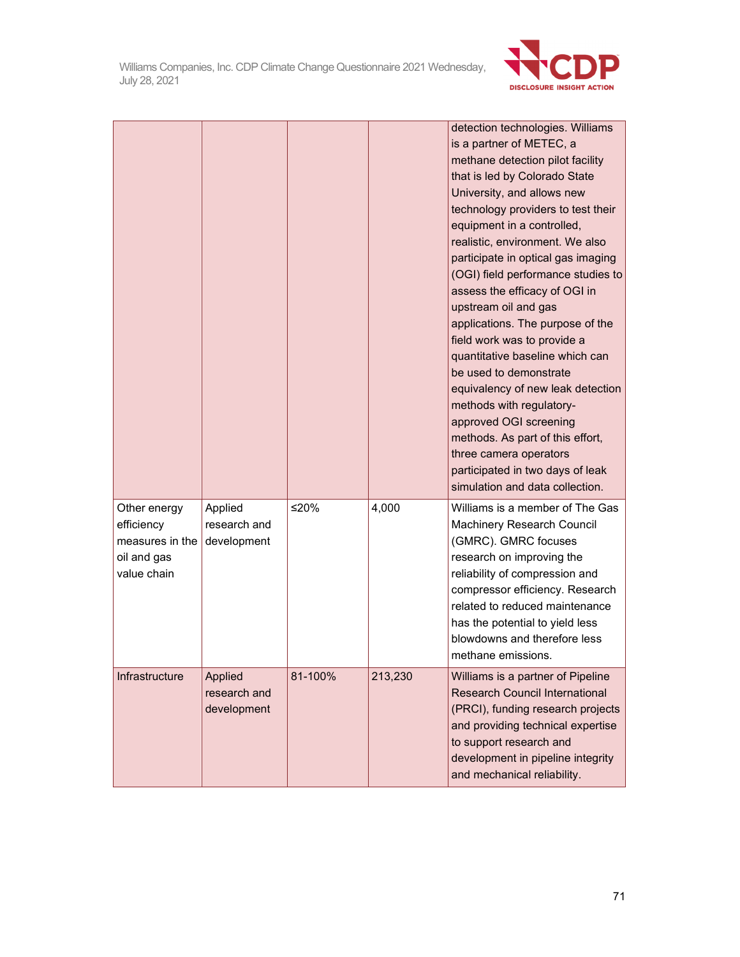

|                                                                             |                                               |         |         | detection technologies. Williams<br>is a partner of METEC, a<br>methane detection pilot facility<br>that is led by Colorado State<br>University, and allows new<br>technology providers to test their<br>equipment in a controlled,<br>realistic, environment. We also<br>participate in optical gas imaging<br>(OGI) field performance studies to<br>assess the efficacy of OGI in<br>upstream oil and gas<br>applications. The purpose of the<br>field work was to provide a<br>quantitative baseline which can<br>be used to demonstrate<br>equivalency of new leak detection<br>methods with regulatory-<br>approved OGI screening<br>methods. As part of this effort,<br>three camera operators<br>participated in two days of leak<br>simulation and data collection. |
|-----------------------------------------------------------------------------|-----------------------------------------------|---------|---------|-----------------------------------------------------------------------------------------------------------------------------------------------------------------------------------------------------------------------------------------------------------------------------------------------------------------------------------------------------------------------------------------------------------------------------------------------------------------------------------------------------------------------------------------------------------------------------------------------------------------------------------------------------------------------------------------------------------------------------------------------------------------------------|
| Other energy<br>efficiency<br>measures in the<br>oil and gas<br>value chain | Applied<br>research and<br>development        | ≤20%    | 4,000   | Williams is a member of The Gas<br>Machinery Research Council<br>(GMRC). GMRC focuses<br>research on improving the<br>reliability of compression and<br>compressor efficiency. Research<br>related to reduced maintenance<br>has the potential to yield less<br>blowdowns and therefore less<br>methane emissions.                                                                                                                                                                                                                                                                                                                                                                                                                                                          |
| Infrastructure                                                              | <b>Applied</b><br>research and<br>development | 81-100% | 213,230 | Williams is a partner of Pipeline<br><b>Research Council International</b><br>(PRCI), funding research projects<br>and providing technical expertise<br>to support research and<br>development in pipeline integrity<br>and mechanical reliability.                                                                                                                                                                                                                                                                                                                                                                                                                                                                                                                         |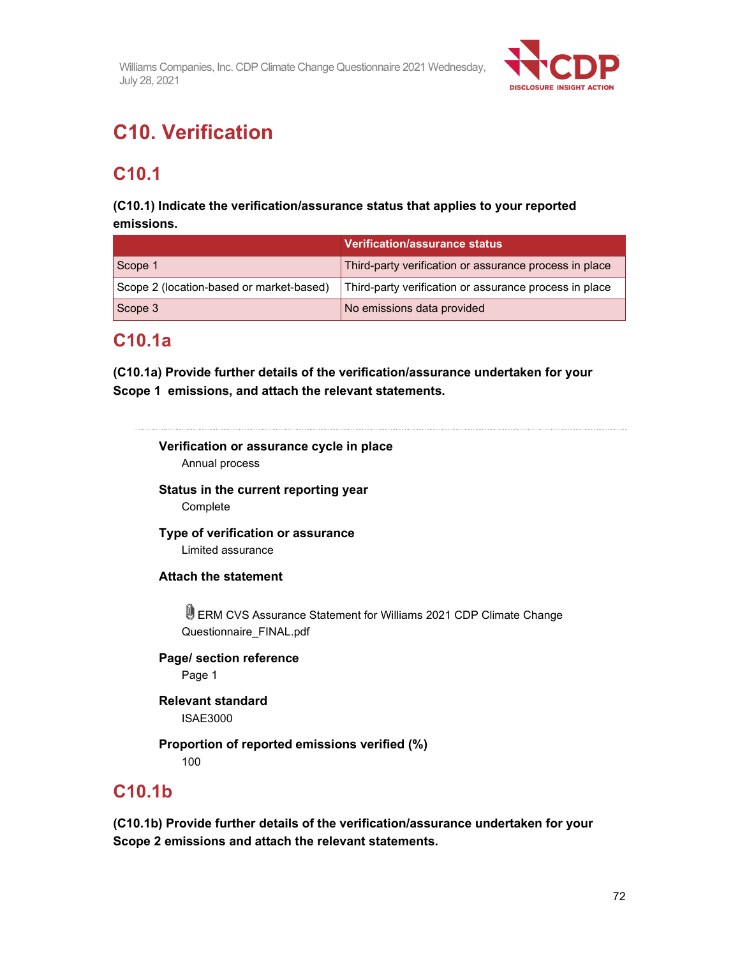

# **C10. Verification**

# **C10.1**

## **(C10.1) Indicate the verification/assurance status that applies to your reported emissions.**

|                                          | <b>Verification/assurance status</b>                   |
|------------------------------------------|--------------------------------------------------------|
| Scope 1                                  | Third-party verification or assurance process in place |
| Scope 2 (location-based or market-based) | Third-party verification or assurance process in place |
| Scope 3                                  | No emissions data provided                             |

# **C10.1a**

**(C10.1a) Provide further details of the verification/assurance undertaken for your Scope 1 emissions, and attach the relevant statements.**

#### 

# **Verification or assurance cycle in place**

Annual process

### **Status in the current reporting year**  Complete

# **Type of verification or assurance**

Limited assurance

## **Attach the statement**

ERM CVS Assurance Statement for Williams 2021 CDP Climate Change Questionnaire\_FINAL.pdf

## **Page/ section reference**  Page 1

**Relevant standard**  ISAE3000

# **Proportion of reported emissions verified (%)**

100

# **C10.1b**

**(C10.1b) Provide further details of the verification/assurance undertaken for your Scope 2 emissions and attach the relevant statements.**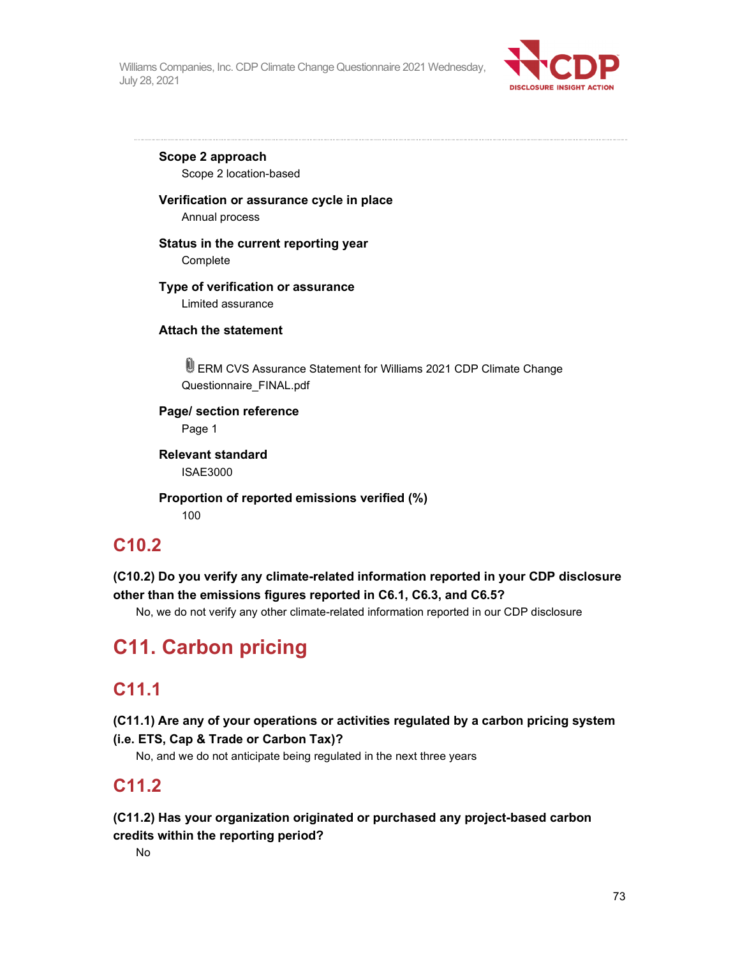

**Scope 2 approach**  Scope 2 location-based

#### **Verification or assurance cycle in place**

Annual process

#### **Status in the current reporting year**

Complete

#### **Type of verification or assurance**

Limited assurance

#### **Attach the statement**

ERM CVS Assurance Statement for Williams 2021 CDP Climate Change Questionnaire\_FINAL.pdf

**Page/ section reference**  Page 1

**Relevant standard**  ISAE3000

**Proportion of reported emissions verified (%)**  100

## **C10.2**

**(C10.2) Do you verify any climate-related information reported in your CDP disclosure other than the emissions figures reported in C6.1, C6.3, and C6.5?** 

No, we do not verify any other climate-related information reported in our CDP disclosure

# **C11. Carbon pricing**

## **C11.1**

**(C11.1) Are any of your operations or activities regulated by a carbon pricing system (i.e. ETS, Cap & Trade or Carbon Tax)?** 

No, and we do not anticipate being regulated in the next three years

# **C11.2**

**(C11.2) Has your organization originated or purchased any project-based carbon credits within the reporting period?** 

No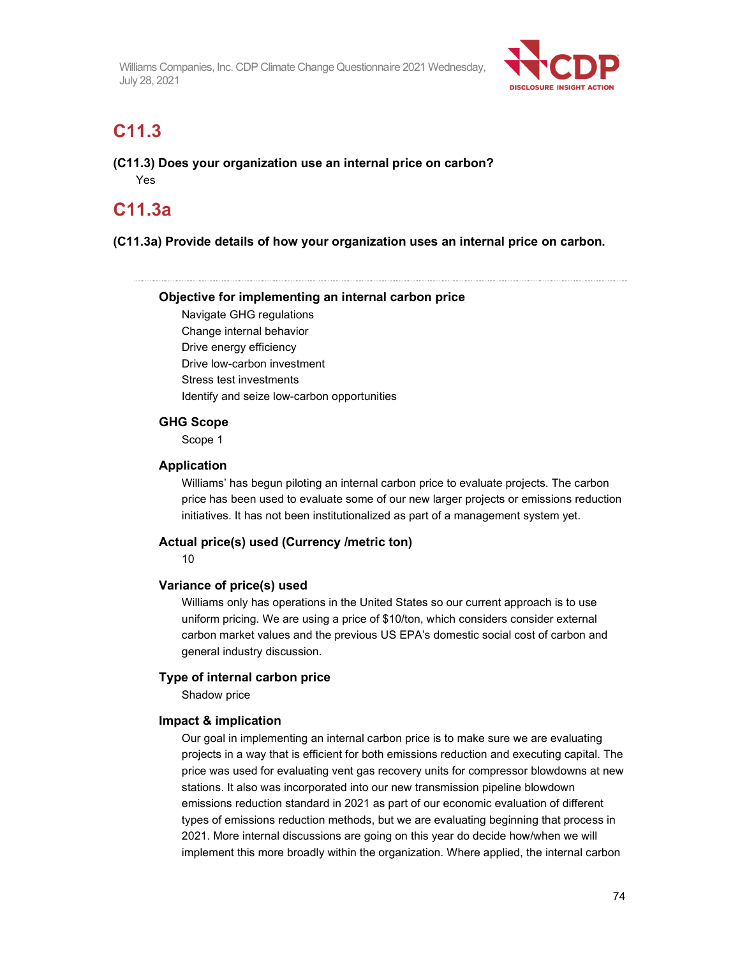

# **C11.3**

**(C11.3) Does your organization use an internal price on carbon?**  Yes

# **C11.3a**

**(C11.3a) Provide details of how your organization uses an internal price on carbon.** 

#### **Objective for implementing an internal carbon price**

Navigate GHG regulations Change internal behavior Drive energy efficiency Drive low-carbon investment Stress test investments Identify and seize low-carbon opportunities

#### **GHG Scope**

Scope 1

#### **Application**

Williams' has begun piloting an internal carbon price to evaluate projects. The carbon price has been used to evaluate some of our new larger projects or emissions reduction initiatives. It has not been institutionalized as part of a management system yet.

#### **Actual price(s) used (Currency /metric ton)**

10

#### **Variance of price(s) used**

Williams only has operations in the United States so our current approach is to use uniform pricing. We are using a price of \$10/ton, which considers consider external carbon market values and the previous US EPA's domestic social cost of carbon and general industry discussion.

#### **Type of internal carbon price**

Shadow price

#### **Impact & implication**

Our goal in implementing an internal carbon price is to make sure we are evaluating projects in a way that is efficient for both emissions reduction and executing capital. The price was used for evaluating vent gas recovery units for compressor blowdowns at new stations. It also was incorporated into our new transmission pipeline blowdown emissions reduction standard in 2021 as part of our economic evaluation of different types of emissions reduction methods, but we are evaluating beginning that process in 2021. More internal discussions are going on this year do decide how/when we will implement this more broadly within the organization. Where applied, the internal carbon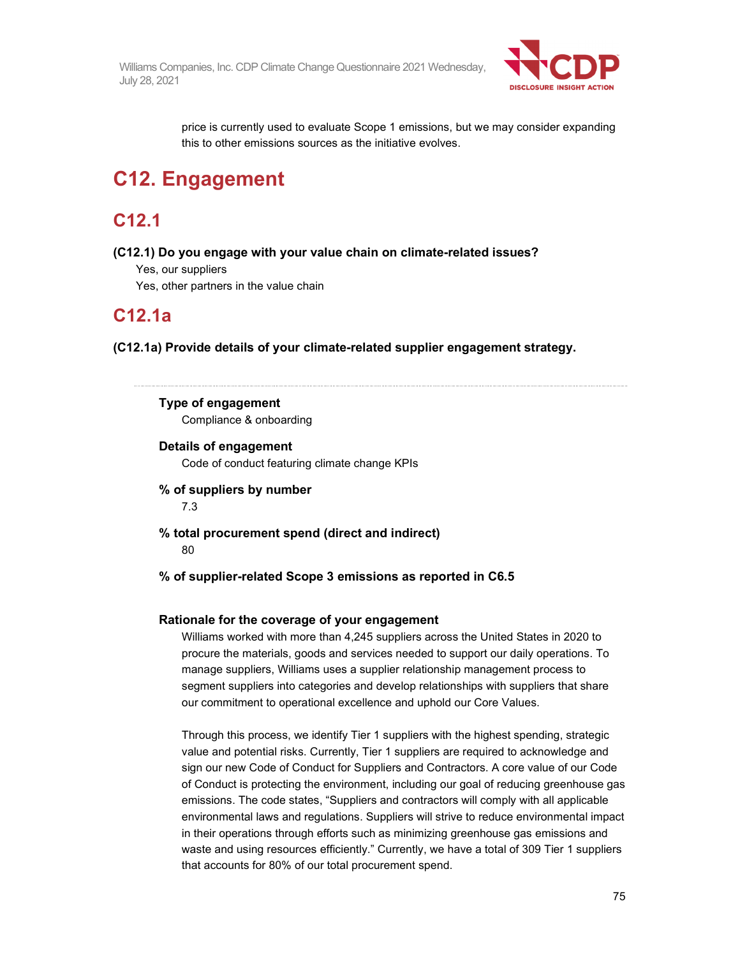

price is currently used to evaluate Scope 1 emissions, but we may consider expanding this to other emissions sources as the initiative evolves.

# **C12. Engagement**

# **C12.1**

**(C12.1) Do you engage with your value chain on climate-related issues?** 

Yes, our suppliers

Yes, other partners in the value chain

# **C12.1a**

**(C12.1a) Provide details of your climate-related supplier engagement strategy.** 

# **Type of engagement**

Compliance & onboarding

**Details of engagement**  Code of conduct featuring climate change KPIs

**% of suppliers by number**  7.3

- **% total procurement spend (direct and indirect)**  80
- **% of supplier-related Scope 3 emissions as reported in C6.5**

#### **Rationale for the coverage of your engagement**

Williams worked with more than 4,245 suppliers across the United States in 2020 to procure the materials, goods and services needed to support our daily operations. To manage suppliers, Williams uses a supplier relationship management process to segment suppliers into categories and develop relationships with suppliers that share our commitment to operational excellence and uphold our Core Values.

Through this process, we identify Tier 1 suppliers with the highest spending, strategic value and potential risks. Currently, Tier 1 suppliers are required to acknowledge and sign our new Code of Conduct for Suppliers and Contractors. A core value of our Code of Conduct is protecting the environment, including our goal of reducing greenhouse gas emissions. The code states, "Suppliers and contractors will comply with all applicable environmental laws and regulations. Suppliers will strive to reduce environmental impact in their operations through efforts such as minimizing greenhouse gas emissions and waste and using resources efficiently." Currently, we have a total of 309 Tier 1 suppliers that accounts for 80% of our total procurement spend.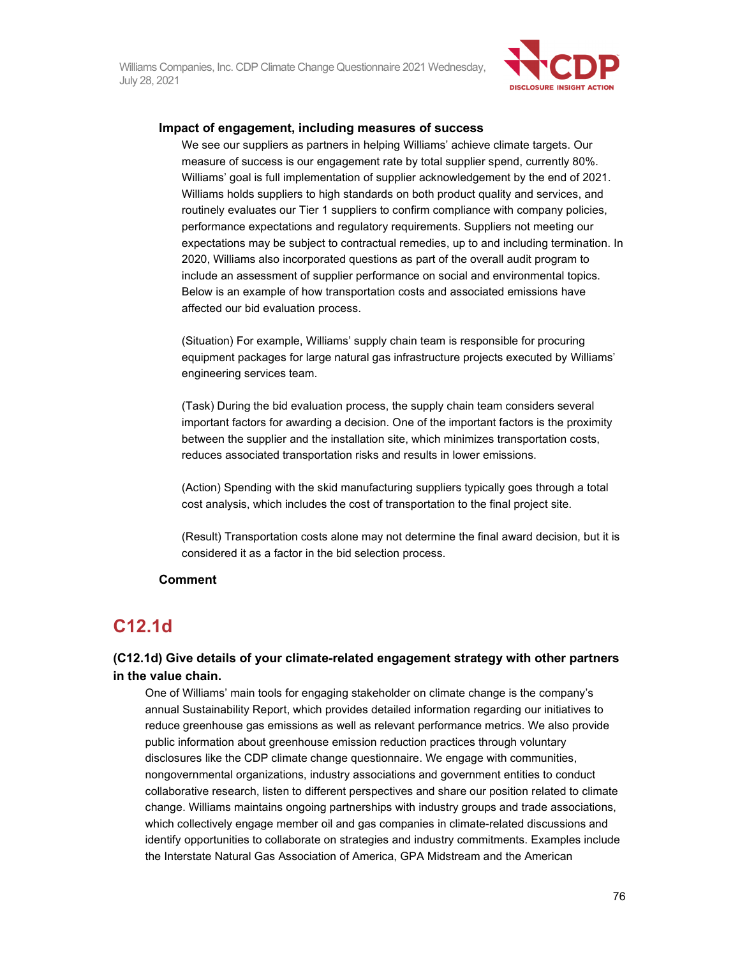

#### **Impact of engagement, including measures of success**

We see our suppliers as partners in helping Williams' achieve climate targets. Our measure of success is our engagement rate by total supplier spend, currently 80%. Williams' goal is full implementation of supplier acknowledgement by the end of 2021. Williams holds suppliers to high standards on both product quality and services, and routinely evaluates our Tier 1 suppliers to confirm compliance with company policies, performance expectations and regulatory requirements. Suppliers not meeting our expectations may be subject to contractual remedies, up to and including termination. In 2020, Williams also incorporated questions as part of the overall audit program to include an assessment of supplier performance on social and environmental topics. Below is an example of how transportation costs and associated emissions have affected our bid evaluation process.

(Situation) For example, Williams' supply chain team is responsible for procuring equipment packages for large natural gas infrastructure projects executed by Williams' engineering services team.

(Task) During the bid evaluation process, the supply chain team considers several important factors for awarding a decision. One of the important factors is the proximity between the supplier and the installation site, which minimizes transportation costs, reduces associated transportation risks and results in lower emissions.

(Action) Spending with the skid manufacturing suppliers typically goes through a total cost analysis, which includes the cost of transportation to the final project site.

(Result) Transportation costs alone may not determine the final award decision, but it is considered it as a factor in the bid selection process.

#### **Comment**

### **C12.1d**

#### **(C12.1d) Give details of your climate-related engagement strategy with other partners in the value chain.**

One of Williams' main tools for engaging stakeholder on climate change is the company's annual Sustainability Report, which provides detailed information regarding our initiatives to reduce greenhouse gas emissions as well as relevant performance metrics. We also provide public information about greenhouse emission reduction practices through voluntary disclosures like the CDP climate change questionnaire. We engage with communities, nongovernmental organizations, industry associations and government entities to conduct collaborative research, listen to different perspectives and share our position related to climate change. Williams maintains ongoing partnerships with industry groups and trade associations, which collectively engage member oil and gas companies in climate-related discussions and identify opportunities to collaborate on strategies and industry commitments. Examples include the Interstate Natural Gas Association of America, GPA Midstream and the American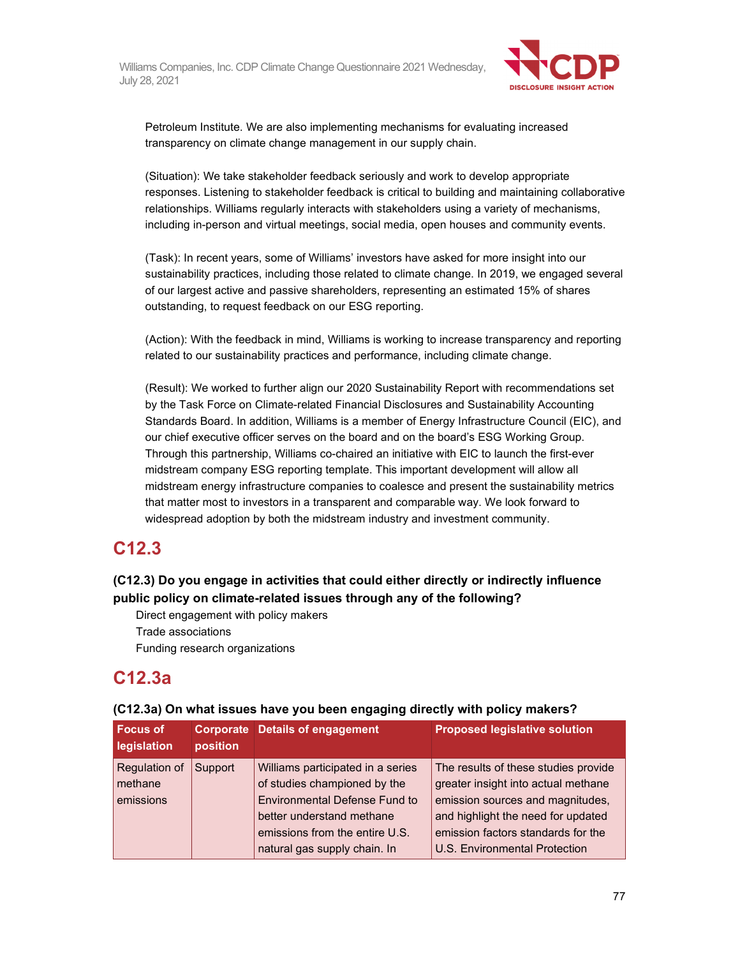

Petroleum Institute. We are also implementing mechanisms for evaluating increased transparency on climate change management in our supply chain.

(Situation): We take stakeholder feedback seriously and work to develop appropriate responses. Listening to stakeholder feedback is critical to building and maintaining collaborative relationships. Williams regularly interacts with stakeholders using a variety of mechanisms, including in-person and virtual meetings, social media, open houses and community events.

(Task): In recent years, some of Williams' investors have asked for more insight into our sustainability practices, including those related to climate change. In 2019, we engaged several of our largest active and passive shareholders, representing an estimated 15% of shares outstanding, to request feedback on our ESG reporting.

(Action): With the feedback in mind, Williams is working to increase transparency and reporting related to our sustainability practices and performance, including climate change.

(Result): We worked to further align our 2020 Sustainability Report with recommendations set by the Task Force on Climate-related Financial Disclosures and Sustainability Accounting Standards Board. In addition, Williams is a member of Energy Infrastructure Council (EIC), and our chief executive officer serves on the board and on the board's ESG Working Group. Through this partnership, Williams co-chaired an initiative with EIC to launch the first-ever midstream company ESG reporting template. This important development will allow all midstream energy infrastructure companies to coalesce and present the sustainability metrics that matter most to investors in a transparent and comparable way. We look forward to widespread adoption by both the midstream industry and investment community.

## **C12.3**

#### **(C12.3) Do you engage in activities that could either directly or indirectly influence public policy on climate-related issues through any of the following?**

Direct engagement with policy makers Trade associations Funding research organizations

# **C12.3a**

| <b>Focus of</b><br>legislation        | position | <b>Corporate Details of engagement</b>                                                                                                                                                                   | <b>Proposed legislative solution</b>                                                                                                                                                                                         |  |  |
|---------------------------------------|----------|----------------------------------------------------------------------------------------------------------------------------------------------------------------------------------------------------------|------------------------------------------------------------------------------------------------------------------------------------------------------------------------------------------------------------------------------|--|--|
| Regulation of<br>methane<br>emissions | Support  | Williams participated in a series<br>of studies championed by the<br><b>Environmental Defense Fund to</b><br>better understand methane<br>emissions from the entire U.S.<br>natural gas supply chain. In | The results of these studies provide<br>greater insight into actual methane<br>emission sources and magnitudes,<br>and highlight the need for updated<br>emission factors standards for the<br>U.S. Environmental Protection |  |  |

#### **(C12.3a) On what issues have you been engaging directly with policy makers?**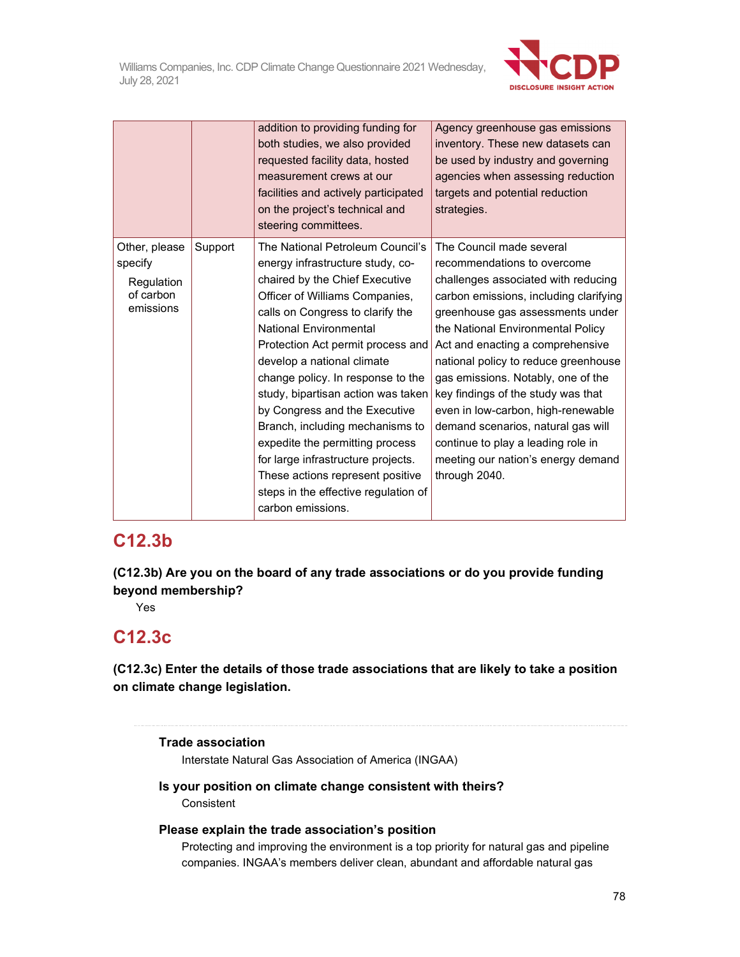

|                                                                  |         | addition to providing funding for<br>both studies, we also provided<br>requested facility data, hosted<br>measurement crews at our<br>facilities and actively participated<br>on the project's technical and<br>steering committees.                                                                                                                                                                                                                                                                                                                                                                      | Agency greenhouse gas emissions<br>inventory. These new datasets can<br>be used by industry and governing<br>agencies when assessing reduction<br>targets and potential reduction<br>strategies.                                                                                                                                                                                                                                                                                                                                                   |
|------------------------------------------------------------------|---------|-----------------------------------------------------------------------------------------------------------------------------------------------------------------------------------------------------------------------------------------------------------------------------------------------------------------------------------------------------------------------------------------------------------------------------------------------------------------------------------------------------------------------------------------------------------------------------------------------------------|----------------------------------------------------------------------------------------------------------------------------------------------------------------------------------------------------------------------------------------------------------------------------------------------------------------------------------------------------------------------------------------------------------------------------------------------------------------------------------------------------------------------------------------------------|
| Other, please<br>specify<br>Regulation<br>of carbon<br>emissions | Support | The National Petroleum Council's<br>energy infrastructure study, co-<br>chaired by the Chief Executive<br>Officer of Williams Companies,<br>calls on Congress to clarify the<br><b>National Environmental</b><br>Protection Act permit process and<br>develop a national climate<br>change policy. In response to the<br>study, bipartisan action was taken<br>by Congress and the Executive<br>Branch, including mechanisms to<br>expedite the permitting process<br>for large infrastructure projects.<br>These actions represent positive<br>steps in the effective regulation of<br>carbon emissions. | The Council made several<br>recommendations to overcome<br>challenges associated with reducing<br>carbon emissions, including clarifying<br>greenhouse gas assessments under<br>the National Environmental Policy<br>Act and enacting a comprehensive<br>national policy to reduce greenhouse<br>gas emissions. Notably, one of the<br>key findings of the study was that<br>even in low-carbon, high-renewable<br>demand scenarios, natural gas will<br>continue to play a leading role in<br>meeting our nation's energy demand<br>through 2040. |

# **C12.3b**

**(C12.3b) Are you on the board of any trade associations or do you provide funding beyond membership?** 

Yes

## **C12.3c**

**(C12.3c) Enter the details of those trade associations that are likely to take a position on climate change legislation.** 

#### **Trade association**

Interstate Natural Gas Association of America (INGAA)

#### **Is your position on climate change consistent with theirs? Consistent**

#### **Please explain the trade association's position**

Protecting and improving the environment is a top priority for natural gas and pipeline companies. INGAA's members deliver clean, abundant and affordable natural gas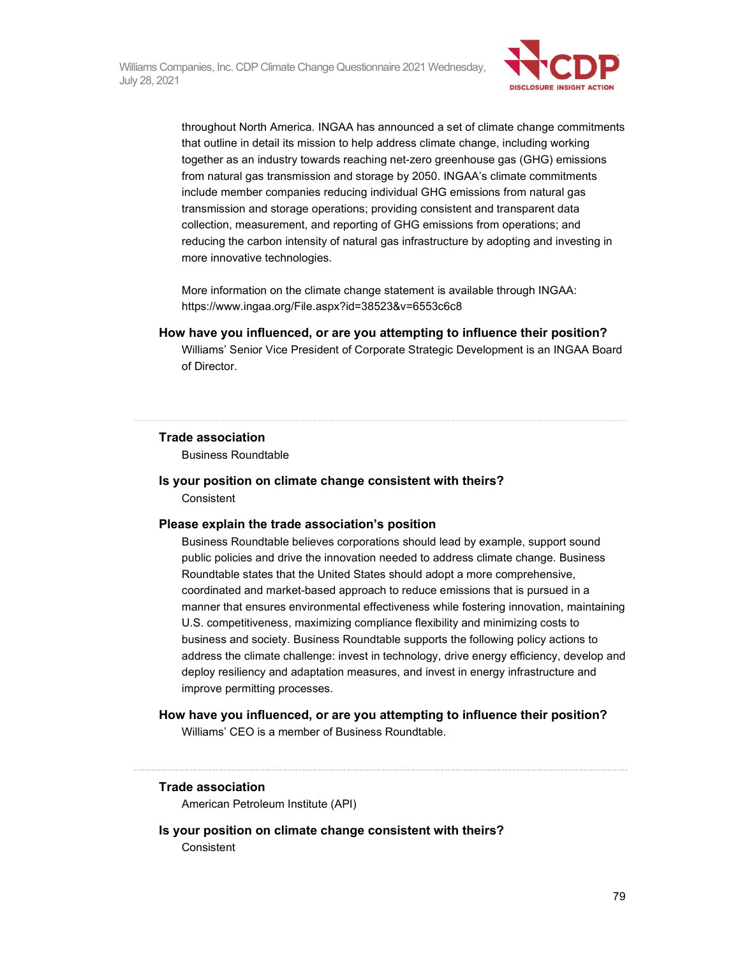

throughout North America. INGAA has announced a set of climate change commitments that outline in detail its mission to help address climate change, including working together as an industry towards reaching net-zero greenhouse gas (GHG) emissions from natural gas transmission and storage by 2050. INGAA's climate commitments include member companies reducing individual GHG emissions from natural gas transmission and storage operations; providing consistent and transparent data collection, measurement, and reporting of GHG emissions from operations; and reducing the carbon intensity of natural gas infrastructure by adopting and investing in more innovative technologies.

More information on the climate change statement is available through INGAA: https://www.ingaa.org/File.aspx?id=38523&v=6553c6c8

#### **How have you influenced, or are you attempting to influence their position?**

Williams' Senior Vice President of Corporate Strategic Development is an INGAA Board of Director.

#### **Trade association**

Business Roundtable

#### **Is your position on climate change consistent with theirs?**

**Consistent** 

#### **Please explain the trade association's position**

Business Roundtable believes corporations should lead by example, support sound public policies and drive the innovation needed to address climate change. Business Roundtable states that the United States should adopt a more comprehensive, coordinated and market-based approach to reduce emissions that is pursued in a manner that ensures environmental effectiveness while fostering innovation, maintaining U.S. competitiveness, maximizing compliance flexibility and minimizing costs to business and society. Business Roundtable supports the following policy actions to address the climate challenge: invest in technology, drive energy efficiency, develop and deploy resiliency and adaptation measures, and invest in energy infrastructure and improve permitting processes.

#### **How have you influenced, or are you attempting to influence their position?**

Williams' CEO is a member of Business Roundtable.

#### **Trade association**

American Petroleum Institute (API)

#### **Is your position on climate change consistent with theirs?**

Consistent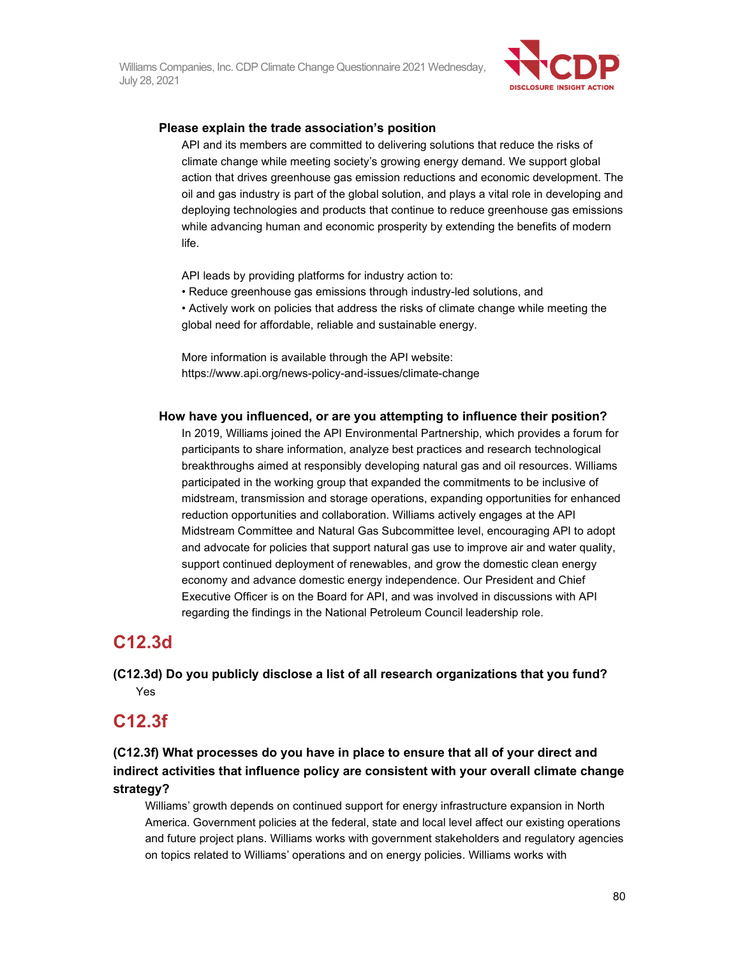

#### **Please explain the trade association's position**

API and its members are committed to delivering solutions that reduce the risks of climate change while meeting society's growing energy demand. We support global action that drives greenhouse gas emission reductions and economic development. The oil and gas industry is part of the global solution, and plays a vital role in developing and deploying technologies and products that continue to reduce greenhouse gas emissions while advancing human and economic prosperity by extending the benefits of modern life.

API leads by providing platforms for industry action to:

• Reduce greenhouse gas emissions through industry-led solutions, and

• Actively work on policies that address the risks of climate change while meeting the global need for affordable, reliable and sustainable energy.

More information is available through the API website: https://www.api.org/news-policy-and-issues/climate-change

#### **How have you influenced, or are you attempting to influence their position?**

In 2019, Williams joined the API Environmental Partnership, which provides a forum for participants to share information, analyze best practices and research technological breakthroughs aimed at responsibly developing natural gas and oil resources. Williams participated in the working group that expanded the commitments to be inclusive of midstream, transmission and storage operations, expanding opportunities for enhanced reduction opportunities and collaboration. Williams actively engages at the API Midstream Committee and Natural Gas Subcommittee level, encouraging API to adopt and advocate for policies that support natural gas use to improve air and water quality, support continued deployment of renewables, and grow the domestic clean energy economy and advance domestic energy independence. Our President and Chief Executive Officer is on the Board for API, and was involved in discussions with API regarding the findings in the National Petroleum Council leadership role.

## **C12.3d**

**(C12.3d) Do you publicly disclose a list of all research organizations that you fund?**  Yes

## **C12.3f**

**(C12.3f) What processes do you have in place to ensure that all of your direct and indirect activities that influence policy are consistent with your overall climate change strategy?** 

Williams' growth depends on continued support for energy infrastructure expansion in North America. Government policies at the federal, state and local level affect our existing operations and future project plans. Williams works with government stakeholders and regulatory agencies on topics related to Williams' operations and on energy policies. Williams works with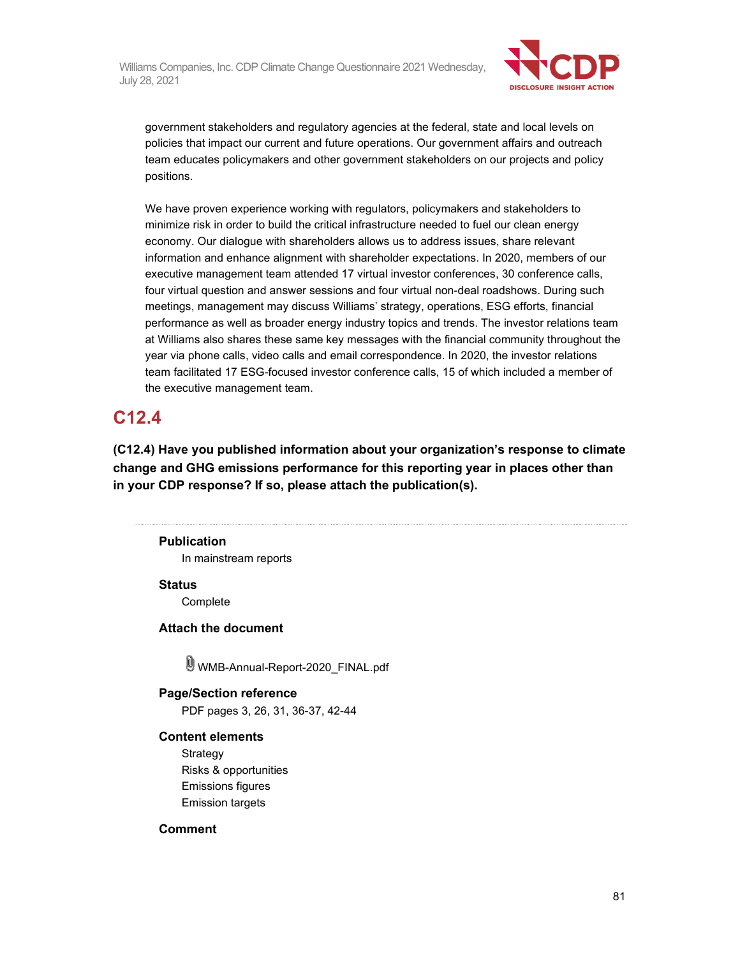

government stakeholders and regulatory agencies at the federal, state and local levels on policies that impact our current and future operations. Our government affairs and outreach team educates policymakers and other government stakeholders on our projects and policy positions.

We have proven experience working with regulators, policymakers and stakeholders to minimize risk in order to build the critical infrastructure needed to fuel our clean energy economy. Our dialogue with shareholders allows us to address issues, share relevant information and enhance alignment with shareholder expectations. In 2020, members of our executive management team attended 17 virtual investor conferences, 30 conference calls, four virtual question and answer sessions and four virtual non-deal roadshows. During such meetings, management may discuss Williams' strategy, operations, ESG efforts, financial performance as well as broader energy industry topics and trends. The investor relations team at Williams also shares these same key messages with the financial community throughout the year via phone calls, video calls and email correspondence. In 2020, the investor relations team facilitated 17 ESG-focused investor conference calls, 15 of which included a member of the executive management team.

## **C12.4**

**(C12.4) Have you published information about your organization's response to climate change and GHG emissions performance for this reporting year in places other than in your CDP response? If so, please attach the publication(s).** 

#### **Publication**

In mainstream reports

**Status** 

**Complete** 

**Attach the document** 

WMB-Annual-Report-2020\_FINAL.pdf

## **Page/Section reference**

PDF pages 3, 26, 31, 36-37, 42-44

#### **Content elements**

**Strategy** Risks & opportunities Emissions figures Emission targets

#### **Comment**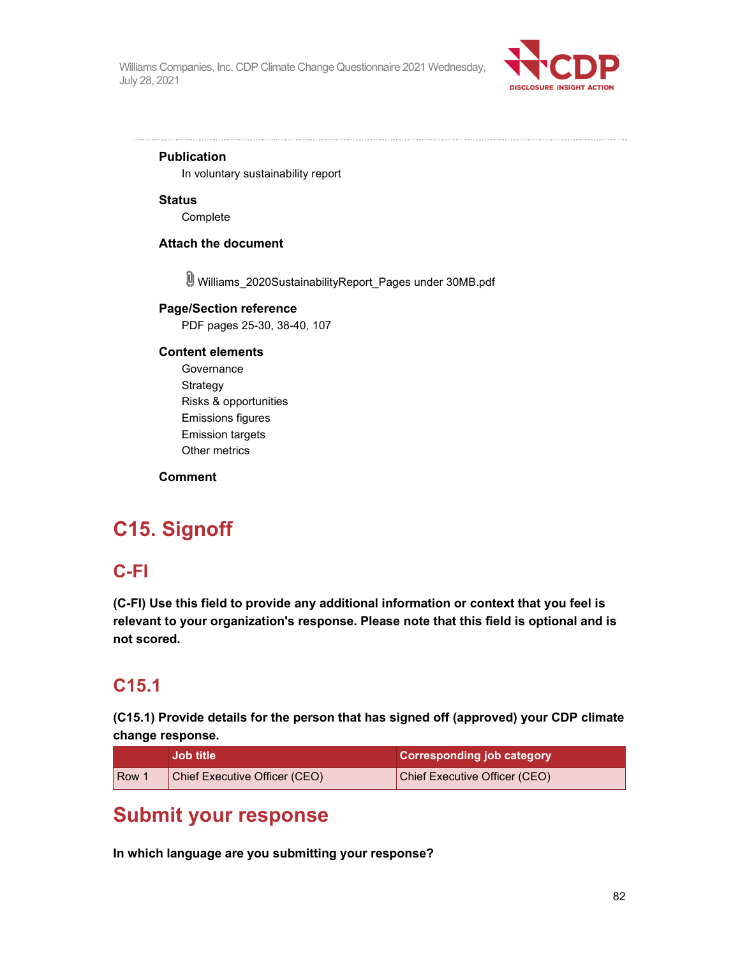

#### **Publication**

In voluntary sustainability report

#### **Status**

Complete

#### **Attach the document**

Williams\_2020SustainabilityReport\_Pages under 30MB.pdf

#### **Page/Section reference**

PDF pages 25-30, 38-40, 107

#### **Content elements**

**Governance** Strategy Risks & opportunities Emissions figures Emission targets Other metrics

**Comment** 

# **C15. Signoff**

## **C-FI**

**(C-FI) Use this field to provide any additional information or context that you feel is relevant to your organization's response. Please note that this field is optional and is not scored.** 

### **C15.1**

**(C15.1) Provide details for the person that has signed off (approved) your CDP climate change response.** 

|     | <b>Job title</b>              | <b>Corresponding job category</b> |
|-----|-------------------------------|-----------------------------------|
| Row | Chief Executive Officer (CEO) | Chief Executive Officer (CEO)     |

# **Submit your response**

**In which language are you submitting your response?**